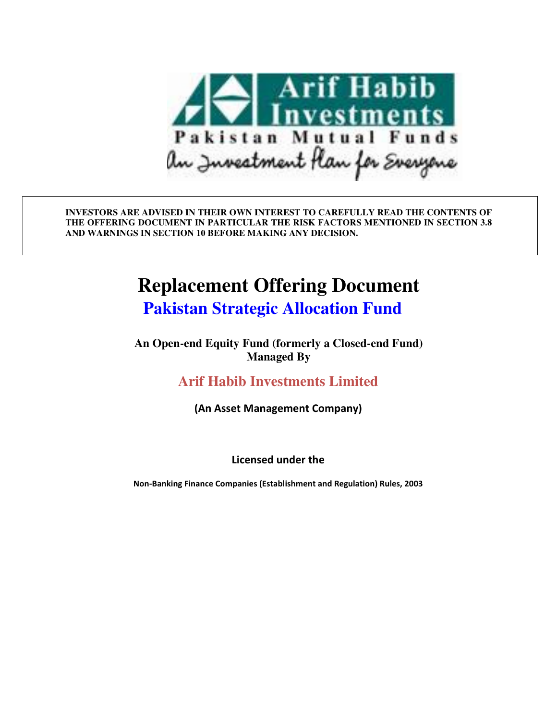

**INVESTORS ARE ADVISED IN THEIR OWN INTEREST TO CAREFULLY READ THE CONTENTS OF THE OFFERING DOCUMENT IN PARTICULAR THE RISK FACTORS MENTIONED IN SECTION 3.8 AND WARNINGS IN SECTION 10 BEFORE MAKING ANY DECISION.** 

# **Replacement Offering Document**

 **Pakistan Strategic Allocation Fund**

**An Open-end Equity Fund (formerly a Closed-end Fund) Managed By**

**Arif Habib Investments Limited** 

**(An Asset Management Company)** 

**Licensed under the** 

**Non-Banking Finance Companies (Establishment and Regulation) Rules, 2003**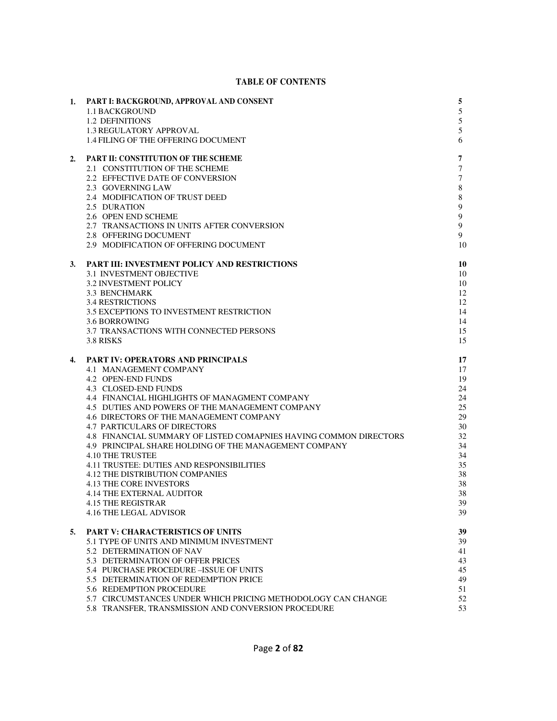#### **TABLE OF CONTENTS**

| 1. | PART I: BACKGROUND, APPROVAL AND CONSENT<br>1.1 BACKGROUND<br>1.2 DEFINITIONS<br><b>1.3 REGULATORY APPROVAL</b><br>1.4 FILING OF THE OFFERING DOCUMENT                                                                                                                                                                                                                                                                                                                                                                                                                                                                                                                                     | 5<br>5<br>5<br>5<br>6                                                                              |
|----|--------------------------------------------------------------------------------------------------------------------------------------------------------------------------------------------------------------------------------------------------------------------------------------------------------------------------------------------------------------------------------------------------------------------------------------------------------------------------------------------------------------------------------------------------------------------------------------------------------------------------------------------------------------------------------------------|----------------------------------------------------------------------------------------------------|
| 2. | PART II: CONSTITUTION OF THE SCHEME<br>2.1 CONSTITUTION OF THE SCHEME<br>2.2 EFFECTIVE DATE OF CONVERSION<br>2.3 GOVERNING LAW<br>2.4 MODIFICATION OF TRUST DEED<br>2.5 DURATION<br>2.6 OPEN END SCHEME<br>2.7 TRANSACTIONS IN UNITS AFTER CONVERSION<br>2.8 OFFERING DOCUMENT<br>2.9 MODIFICATION OF OFFERING DOCUMENT                                                                                                                                                                                                                                                                                                                                                                    | 7<br>$\tau$<br>$\tau$<br>$\,$ 8 $\,$<br>8<br>$\mathbf{9}$<br>$\mathbf{9}$<br>9<br>9<br>10          |
| 3. | PART III: INVESTMENT POLICY AND RESTRICTIONS<br><b>3.1 INVESTMENT OBJECTIVE</b><br><b>3.2 INVESTMENT POLICY</b><br><b>3.3 BENCHMARK</b><br><b>3.4 RESTRICTIONS</b><br>3.5 EXCEPTIONS TO INVESTMENT RESTRICTION<br>3.6 BORROWING<br>3.7 TRANSACTIONS WITH CONNECTED PERSONS<br>3.8 RISKS                                                                                                                                                                                                                                                                                                                                                                                                    | 10<br>10<br>10<br>12<br>12<br>14<br>14<br>15<br>15                                                 |
| 4. | <b>PART IV: OPERATORS AND PRINCIPALS</b><br>4.1 MANAGEMENT COMPANY<br>4.2 OPEN-END FUNDS<br>4.3 CLOSED-END FUNDS<br>4.4 FINANCIAL HIGHLIGHTS OF MANAGMENT COMPANY<br>4.5 DUTIES AND POWERS OF THE MANAGEMENT COMPANY<br>4.6 DIRECTORS OF THE MANAGEMENT COMPANY<br><b>4.7 PARTICULARS OF DIRECTORS</b><br>4.8 FINANCIAL SUMMARY OF LISTED COMAPNIES HAVING COMMON DIRECTORS<br>4.9 PRINCIPAL SHARE HOLDING OF THE MANAGEMENT COMPANY<br><b>4.10 THE TRUSTEE</b><br><b>4.11 TRUSTEE: DUTIES AND RESPONSIBILITIES</b><br><b>4.12 THE DISTRIBUTION COMPANIES</b><br><b>4.13 THE CORE INVESTORS</b><br><b>4.14 THE EXTERNAL AUDITOR</b><br>4.15 THE REGISTRAR<br><b>4.16 THE LEGAL ADVISOR</b> | 17<br>17<br>19<br>24<br>24<br>25<br>29<br>30<br>32<br>34<br>34<br>35<br>38<br>38<br>38<br>39<br>39 |
| 5. | <b>PART V: CHARACTERISTICS OF UNITS</b><br>5.1 TYPE OF UNITS AND MINIMUM INVESTMENT<br>5.2 DETERMINATION OF NAV<br>5.3 DETERMINATION OF OFFER PRICES<br>5.4 PURCHASE PROCEDURE - ISSUE OF UNITS<br>5.5 DETERMINATION OF REDEMPTION PRICE<br>5.6 REDEMPTION PROCEDURE<br>5.7 CIRCUMSTANCES UNDER WHICH PRICING METHODOLOGY CAN CHANGE<br>5.8 TRANSFER. TRANSMISSION AND CONVERSION PROCEDURE                                                                                                                                                                                                                                                                                                | 39<br>39<br>41<br>43<br>45<br>49<br>51<br>52<br>53                                                 |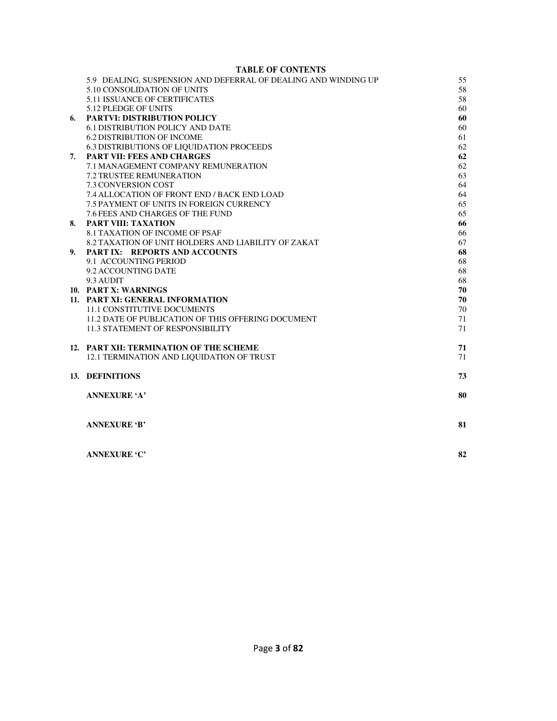#### **TABLE OF CONTENTS**

|    | 5.9 DEALING, SUSPENSION AND DEFERRAL OF DEALING AND WINDING UP | 55 |
|----|----------------------------------------------------------------|----|
|    | 5.10 CONSOLIDATION OF UNITS                                    | 58 |
|    | <b>5.11 ISSUANCE OF CERTIFICATES</b>                           | 58 |
|    | 5.12 PLEDGE OF UNITS                                           | 60 |
| 6. | <b>PARTVI: DISTRIBUTION POLICY</b>                             | 60 |
|    | <b>6.1 DISTRIBUTION POLICY AND DATE</b>                        | 60 |
|    | <b>6.2 DISTRIBUTION OF INCOME</b>                              | 61 |
|    | <b>6.3 DISTRIBUTIONS OF LIQUIDATION PROCEEDS</b>               | 62 |
| 7. | <b>PART VII: FEES AND CHARGES</b>                              | 62 |
|    | 7.1 MANAGEMENT COMPANY REMUNERATION                            | 62 |
|    | <b>7.2 TRUSTEE REMUNERATION</b>                                | 63 |
|    | 7.3 CONVERSION COST                                            | 64 |
|    | 7.4 ALLOCATION OF FRONT END / BACK END LOAD                    | 64 |
|    | 7.5 PAYMENT OF UNITS IN FOREIGN CURRENCY                       | 65 |
|    | 7.6 FEES AND CHARGES OF THE FUND                               | 65 |
| 8. | <b>PART VIII: TAXATION</b>                                     | 66 |
|    | <b>8.1 TAXATION OF INCOME OF PSAF</b>                          | 66 |
|    | 8.2 TAXATION OF UNIT HOLDERS AND LIABILITY OF ZAKAT            | 67 |
| 9. | PART IX: REPORTS AND ACCOUNTS                                  | 68 |
|    | 9.1 ACCOUNTING PERIOD                                          | 68 |
|    | 9.2 ACCOUNTING DATE                                            | 68 |
|    | 9.3 AUDIT                                                      | 68 |
|    | 10. PART X: WARNINGS                                           | 70 |
|    | 11. PART XI: GENERAL INFORMATION                               | 70 |
|    | 11.1 CONSTITUTIVE DOCUMENTS                                    | 70 |
|    | 11.2 DATE OF PUBLICATION OF THIS OFFERING DOCUMENT             | 71 |
|    | <b>11.3 STATEMENT OF RESPONSIBILITY</b>                        | 71 |
|    | 12. PART XII: TERMINATION OF THE SCHEME                        | 71 |
|    | 12.1 TERMINATION AND LIQUIDATION OF TRUST                      | 71 |
|    | 13. DEFINITIONS                                                | 73 |
|    | <b>ANNEXURE 'A'</b>                                            | 80 |
|    |                                                                |    |
|    | <b>ANNEXURE 'B'</b>                                            | 81 |
|    | <b>ANNEXURE 'C'</b>                                            | 82 |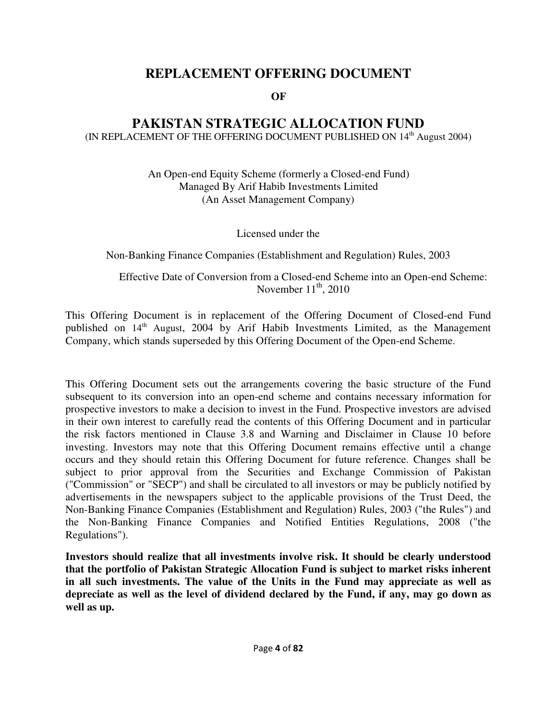# **REPLACEMENT OFFERING DOCUMENT**

**OF**

# **PAKISTAN STRATEGIC ALLOCATION FUND**

(IN REPLACEMENT OF THE OFFERING DOCUMENT PUBLISHED ON 14<sup>th</sup> August 2004)

An Open-end Equity Scheme (formerly a Closed-end Fund) Managed By Arif Habib Investments Limited (An Asset Management Company)

Licensed under the

Non-Banking Finance Companies (Establishment and Regulation) Rules, 2003

Effective Date of Conversion from a Closed-end Scheme into an Open-end Scheme: November  $11<sup>th</sup>$ , 2010

This Offering Document is in replacement of the Offering Document of Closed-end Fund published on  $14<sup>th</sup>$  August, 2004 by Arif Habib Investments Limited, as the Management Company, which stands superseded by this Offering Document of the Open-end Scheme.

This Offering Document sets out the arrangements covering the basic structure of the Fund subsequent to its conversion into an open-end scheme and contains necessary information for prospective investors to make a decision to invest in the Fund. Prospective investors are advised in their own interest to carefully read the contents of this Offering Document and in particular the risk factors mentioned in Clause 3.8 and Warning and Disclaimer in Clause 10 before investing. Investors may note that this Offering Document remains effective until a change occurs and they should retain this Offering Document for future reference. Changes shall be subject to prior approval from the Securities and Exchange Commission of Pakistan ("Commission" or "SECP") and shall be circulated to all investors or may be publicly notified by advertisements in the newspapers subject to the applicable provisions of the Trust Deed, the Non-Banking Finance Companies (Establishment and Regulation) Rules, 2003 ("the Rules") and the Non-Banking Finance Companies and Notified Entities Regulations, 2008 ("the Regulations").

**Investors should realize that all investments involve risk. It should be clearly understood that the portfolio of Pakistan Strategic Allocation Fund is subject to market risks inherent in all such investments. The value of the Units in the Fund may appreciate as well as depreciate as well as the level of dividend declared by the Fund, if any, may go down as well as up.**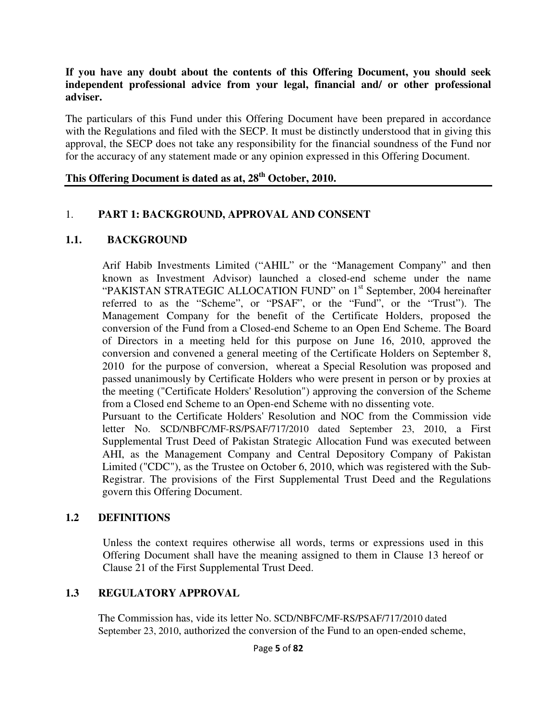#### **If you have any doubt about the contents of this Offering Document, you should seek independent professional advice from your legal, financial and/ or other professional adviser.**

The particulars of this Fund under this Offering Document have been prepared in accordance with the Regulations and filed with the SECP. It must be distinctly understood that in giving this approval, the SECP does not take any responsibility for the financial soundness of the Fund nor for the accuracy of any statement made or any opinion expressed in this Offering Document.

# **This Offering Document is dated as at, 28th October, 2010.**

#### 1. **PART 1: BACKGROUND, APPROVAL AND CONSENT**

#### **1.1. BACKGROUND**

Arif Habib Investments Limited ("AHIL" or the "Management Company" and then known as Investment Advisor) launched a closed-end scheme under the name "PAKISTAN STRATEGIC ALLOCATION FUND" on 1<sup>st</sup> September, 2004 hereinafter referred to as the "Scheme", or "PSAF", or the "Fund", or the "Trust"). The Management Company for the benefit of the Certificate Holders, proposed the conversion of the Fund from a Closed-end Scheme to an Open End Scheme. The Board of Directors in a meeting held for this purpose on June 16, 2010, approved the conversion and convened a general meeting of the Certificate Holders on September 8, 2010 for the purpose of conversion, whereat a Special Resolution was proposed and passed unanimously by Certificate Holders who were present in person or by proxies at the meeting ("Certificate Holders' Resolution") approving the conversion of the Scheme from a Closed end Scheme to an Open-end Scheme with no dissenting vote.

Pursuant to the Certificate Holders' Resolution and NOC from the Commission vide letter No. SCD/NBFC/MF-RS/PSAF/717/2010 dated September 23, 2010, a First Supplemental Trust Deed of Pakistan Strategic Allocation Fund was executed between AHI, as the Management Company and Central Depository Company of Pakistan Limited ("CDC"), as the Trustee on October 6, 2010, which was registered with the Sub-Registrar. The provisions of the First Supplemental Trust Deed and the Regulations govern this Offering Document.

#### **1.2 DEFINITIONS**

Unless the context requires otherwise all words, terms or expressions used in this Offering Document shall have the meaning assigned to them in Clause 13 hereof or Clause 21 of the First Supplemental Trust Deed.

#### **1.3 REGULATORY APPROVAL**

The Commission has, vide its letter No. SCD/NBFC/MF-RS/PSAF/717/2010 dated September 23, 2010, authorized the conversion of the Fund to an open-ended scheme,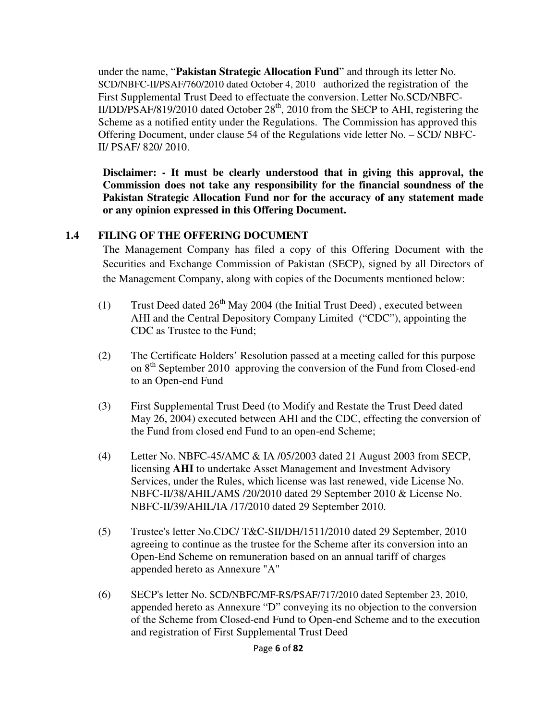under the name, "**Pakistan Strategic Allocation Fund**" and through its letter No. SCD/NBFC-II/PSAF/760/2010 dated October 4, 2010 authorized the registration of the First Supplemental Trust Deed to effectuate the conversion. Letter No.SCD/NBFC- $II/DD/PSAF/819/2010$  dated October  $28<sup>th</sup>$ , 2010 from the SECP to AHI, registering the Scheme as a notified entity under the Regulations. The Commission has approved this Offering Document, under clause 54 of the Regulations vide letter No. – SCD/ NBFC-II/ PSAF/ 820/ 2010.

**Disclaimer: - It must be clearly understood that in giving this approval, the Commission does not take any responsibility for the financial soundness of the Pakistan Strategic Allocation Fund nor for the accuracy of any statement made or any opinion expressed in this Offering Document.**

# **1.4 FILING OF THE OFFERING DOCUMENT**

The Management Company has filed a copy of this Offering Document with the Securities and Exchange Commission of Pakistan (SECP), signed by all Directors of the Management Company, along with copies of the Documents mentioned below:

- (1) Trust Deed dated  $26<sup>th</sup>$  May 2004 (the Initial Trust Deed), executed between AHI and the Central Depository Company Limited ("CDC"), appointing the CDC as Trustee to the Fund;
- (2) The Certificate Holders' Resolution passed at a meeting called for this purpose on 8<sup>th</sup> September 2010 approving the conversion of the Fund from Closed-end to an Open-end Fund
- (3) First Supplemental Trust Deed (to Modify and Restate the Trust Deed dated May 26, 2004) executed between AHI and the CDC, effecting the conversion of the Fund from closed end Fund to an open-end Scheme;
- (4) Letter No. NBFC-45/AMC & IA /05/2003 dated 21 August 2003 from SECP, licensing **AHI** to undertake Asset Management and Investment Advisory Services, under the Rules, which license was last renewed, vide License No. NBFC-II/38/AHIL/AMS /20/2010 dated 29 September 2010 & License No. NBFC-II/39/AHIL/IA /17/2010 dated 29 September 2010.
- (5) Trustee's letter No.CDC/ T&C-SII/DH/1511/2010 dated 29 September, 2010 agreeing to continue as the trustee for the Scheme after its conversion into an Open-End Scheme on remuneration based on an annual tariff of charges appended hereto as Annexure "A"
- (6) SECP's letter No. SCD/NBFC/MF-RS/PSAF/717/2010 dated September 23, 2010, appended hereto as Annexure "D" conveying its no objection to the conversion of the Scheme from Closed-end Fund to Open-end Scheme and to the execution and registration of First Supplemental Trust Deed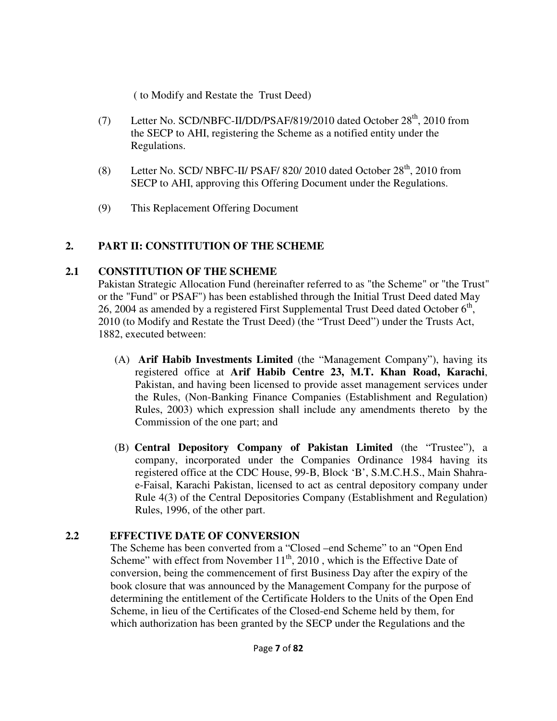( to Modify and Restate the Trust Deed)

- (7) Letter No. SCD/NBFC-II/DD/PSAF/819/2010 dated October 28<sup>th</sup>, 2010 from the SECP to AHI, registering the Scheme as a notified entity under the Regulations.
- (8) Letter No. SCD/ NBFC-II/ PSAF/ 820/ 2010 dated October  $28<sup>th</sup>$ , 2010 from SECP to AHI, approving this Offering Document under the Regulations.
- (9) This Replacement Offering Document

# **2. PART II: CONSTITUTION OF THE SCHEME**

# **2.1 CONSTITUTION OF THE SCHEME**

Pakistan Strategic Allocation Fund (hereinafter referred to as "the Scheme" or "the Trust" or the "Fund" or PSAF") has been established through the Initial Trust Deed dated May 26, 2004 as amended by a registered First Supplemental Trust Deed dated October  $6<sup>th</sup>$ , 2010 (to Modify and Restate the Trust Deed) (the "Trust Deed") under the Trusts Act, 1882, executed between:

- (A) **Arif Habib Investments Limited** (the "Management Company"), having its registered office at **Arif Habib Centre 23, M.T. Khan Road, Karachi**, Pakistan, and having been licensed to provide asset management services under the Rules, (Non-Banking Finance Companies (Establishment and Regulation) Rules, 2003) which expression shall include any amendments thereto by the Commission of the one part; and
- (B) **Central Depository Company of Pakistan Limited** (the "Trustee"), a company, incorporated under the Companies Ordinance 1984 having its registered office at the CDC House, 99-B, Block 'B', S.M.C.H.S., Main Shahrae-Faisal, Karachi Pakistan, licensed to act as central depository company under Rule 4(3) of the Central Depositories Company (Establishment and Regulation) Rules, 1996, of the other part.

# **2.2 EFFECTIVE DATE OF CONVERSION**

The Scheme has been converted from a "Closed –end Scheme" to an "Open End Scheme" with effect from November  $11<sup>th</sup>$ , 2010, which is the Effective Date of conversion, being the commencement of first Business Day after the expiry of the book closure that was announced by the Management Company for the purpose of determining the entitlement of the Certificate Holders to the Units of the Open End Scheme, in lieu of the Certificates of the Closed-end Scheme held by them, for which authorization has been granted by the SECP under the Regulations and the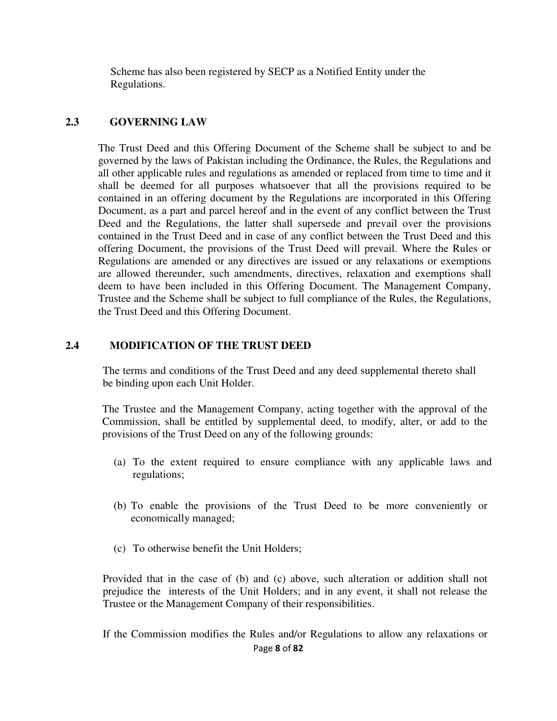Scheme has also been registered by SECP as a Notified Entity under the Regulations.

#### **2.3 GOVERNING LAW**

The Trust Deed and this Offering Document of the Scheme shall be subject to and be governed by the laws of Pakistan including the Ordinance, the Rules, the Regulations and all other applicable rules and regulations as amended or replaced from time to time and it shall be deemed for all purposes whatsoever that all the provisions required to be contained in an offering document by the Regulations are incorporated in this Offering Document, as a part and parcel hereof and in the event of any conflict between the Trust Deed and the Regulations, the latter shall supersede and prevail over the provisions contained in the Trust Deed and in case of any conflict between the Trust Deed and this offering Document, the provisions of the Trust Deed will prevail. Where the Rules or Regulations are amended or any directives are issued or any relaxations or exemptions are allowed thereunder, such amendments, directives, relaxation and exemptions shall deem to have been included in this Offering Document. The Management Company, Trustee and the Scheme shall be subject to full compliance of the Rules, the Regulations, the Trust Deed and this Offering Document.

#### **2.4 MODIFICATION OF THE TRUST DEED**

The terms and conditions of the Trust Deed and any deed supplemental thereto shall be binding upon each Unit Holder.

The Trustee and the Management Company, acting together with the approval of the Commission, shall be entitled by supplemental deed, to modify, alter, or add to the provisions of the Trust Deed on any of the following grounds:

- (a) To the extent required to ensure compliance with any applicable laws and regulations;
- (b) To enable the provisions of the Trust Deed to be more conveniently or economically managed;
- (c) To otherwise benefit the Unit Holders;

Provided that in the case of (b) and (c) above, such alteration or addition shall not prejudice the interests of the Unit Holders; and in any event, it shall not release the Trustee or the Management Company of their responsibilities.

Page **8** of **82** If the Commission modifies the Rules and/or Regulations to allow any relaxations or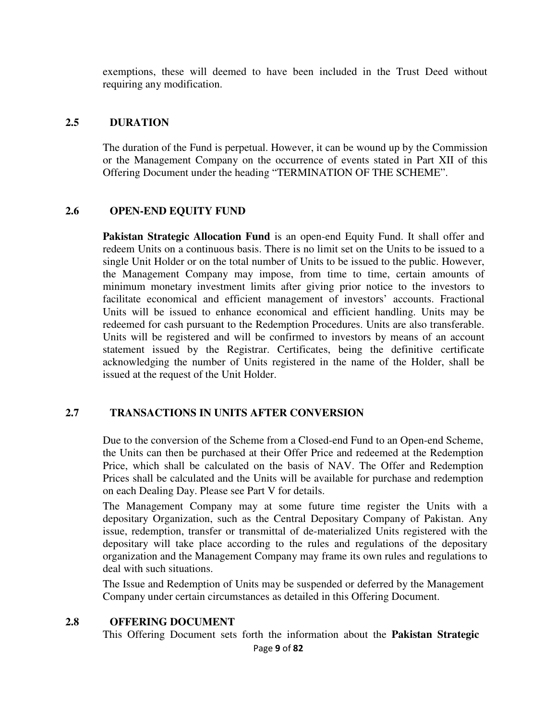exemptions, these will deemed to have been included in the Trust Deed without requiring any modification.

#### **2.5 DURATION**

The duration of the Fund is perpetual. However, it can be wound up by the Commission or the Management Company on the occurrence of events stated in Part XII of this Offering Document under the heading "TERMINATION OF THE SCHEME".

#### **2.6 OPEN-END EQUITY FUND**

**Pakistan Strategic Allocation Fund** is an open-end Equity Fund. It shall offer and redeem Units on a continuous basis. There is no limit set on the Units to be issued to a single Unit Holder or on the total number of Units to be issued to the public. However, the Management Company may impose, from time to time, certain amounts of minimum monetary investment limits after giving prior notice to the investors to facilitate economical and efficient management of investors' accounts. Fractional Units will be issued to enhance economical and efficient handling. Units may be redeemed for cash pursuant to the Redemption Procedures. Units are also transferable. Units will be registered and will be confirmed to investors by means of an account statement issued by the Registrar. Certificates, being the definitive certificate acknowledging the number of Units registered in the name of the Holder, shall be issued at the request of the Unit Holder.

#### **2.7 TRANSACTIONS IN UNITS AFTER CONVERSION**

Due to the conversion of the Scheme from a Closed-end Fund to an Open-end Scheme, the Units can then be purchased at their Offer Price and redeemed at the Redemption Price, which shall be calculated on the basis of NAV. The Offer and Redemption Prices shall be calculated and the Units will be available for purchase and redemption on each Dealing Day. Please see Part V for details.

The Management Company may at some future time register the Units with a depositary Organization, such as the Central Depositary Company of Pakistan. Any issue, redemption, transfer or transmittal of de-materialized Units registered with the depositary will take place according to the rules and regulations of the depositary organization and the Management Company may frame its own rules and regulations to deal with such situations.

The Issue and Redemption of Units may be suspended or deferred by the Management Company under certain circumstances as detailed in this Offering Document.

#### **2.8 OFFERING DOCUMENT**

This Offering Document sets forth the information about the **Pakistan Strategic**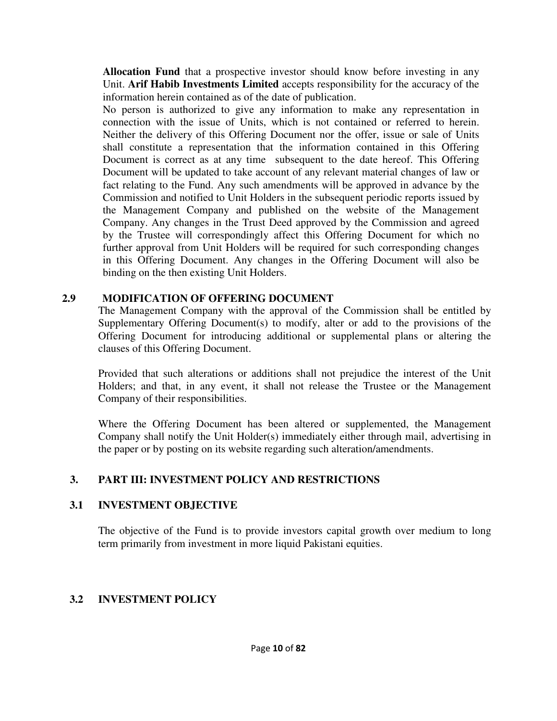**Allocation Fund** that a prospective investor should know before investing in any Unit. **Arif Habib Investments Limited** accepts responsibility for the accuracy of the information herein contained as of the date of publication.

No person is authorized to give any information to make any representation in connection with the issue of Units, which is not contained or referred to herein. Neither the delivery of this Offering Document nor the offer, issue or sale of Units shall constitute a representation that the information contained in this Offering Document is correct as at any time subsequent to the date hereof. This Offering Document will be updated to take account of any relevant material changes of law or fact relating to the Fund. Any such amendments will be approved in advance by the Commission and notified to Unit Holders in the subsequent periodic reports issued by the Management Company and published on the website of the Management Company. Any changes in the Trust Deed approved by the Commission and agreed by the Trustee will correspondingly affect this Offering Document for which no further approval from Unit Holders will be required for such corresponding changes in this Offering Document. Any changes in the Offering Document will also be binding on the then existing Unit Holders.

# **2.9 MODIFICATION OF OFFERING DOCUMENT**

The Management Company with the approval of the Commission shall be entitled by Supplementary Offering Document(s) to modify, alter or add to the provisions of the Offering Document for introducing additional or supplemental plans or altering the clauses of this Offering Document.

Provided that such alterations or additions shall not prejudice the interest of the Unit Holders; and that, in any event, it shall not release the Trustee or the Management Company of their responsibilities.

Where the Offering Document has been altered or supplemented, the Management Company shall notify the Unit Holder(s) immediately either through mail, advertising in the paper or by posting on its website regarding such alteration/amendments.

# **3. PART III: INVESTMENT POLICY AND RESTRICTIONS**

# **3.1 INVESTMENT OBJECTIVE**

The objective of the Fund is to provide investors capital growth over medium to long term primarily from investment in more liquid Pakistani equities.

# **3.2 INVESTMENT POLICY**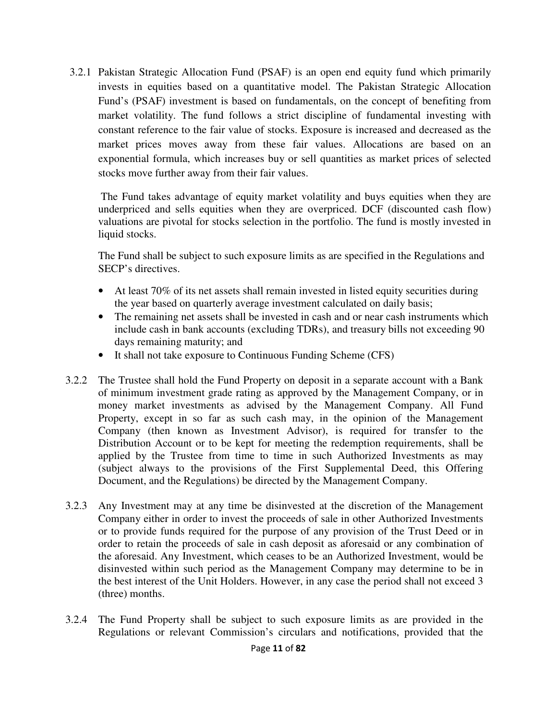3.2.1 Pakistan Strategic Allocation Fund (PSAF) is an open end equity fund which primarily invests in equities based on a quantitative model. The Pakistan Strategic Allocation Fund's (PSAF) investment is based on fundamentals, on the concept of benefiting from market volatility. The fund follows a strict discipline of fundamental investing with constant reference to the fair value of stocks. Exposure is increased and decreased as the market prices moves away from these fair values. Allocations are based on an exponential formula, which increases buy or sell quantities as market prices of selected stocks move further away from their fair values.

 The Fund takes advantage of equity market volatility and buys equities when they are underpriced and sells equities when they are overpriced. DCF (discounted cash flow) valuations are pivotal for stocks selection in the portfolio. The fund is mostly invested in liquid stocks.

The Fund shall be subject to such exposure limits as are specified in the Regulations and SECP's directives.

- At least 70% of its net assets shall remain invested in listed equity securities during the year based on quarterly average investment calculated on daily basis;
- The remaining net assets shall be invested in cash and or near cash instruments which include cash in bank accounts (excluding TDRs), and treasury bills not exceeding 90 days remaining maturity; and
- It shall not take exposure to Continuous Funding Scheme (CFS)
- 3.2.2 The Trustee shall hold the Fund Property on deposit in a separate account with a Bank of minimum investment grade rating as approved by the Management Company, or in money market investments as advised by the Management Company. All Fund Property, except in so far as such cash may, in the opinion of the Management Company (then known as Investment Advisor), is required for transfer to the Distribution Account or to be kept for meeting the redemption requirements, shall be applied by the Trustee from time to time in such Authorized Investments as may (subject always to the provisions of the First Supplemental Deed, this Offering Document, and the Regulations) be directed by the Management Company.
- 3.2.3 Any Investment may at any time be disinvested at the discretion of the Management Company either in order to invest the proceeds of sale in other Authorized Investments or to provide funds required for the purpose of any provision of the Trust Deed or in order to retain the proceeds of sale in cash deposit as aforesaid or any combination of the aforesaid. Any Investment, which ceases to be an Authorized Investment, would be disinvested within such period as the Management Company may determine to be in the best interest of the Unit Holders. However, in any case the period shall not exceed 3 (three) months.
- 3.2.4 The Fund Property shall be subject to such exposure limits as are provided in the Regulations or relevant Commission's circulars and notifications, provided that the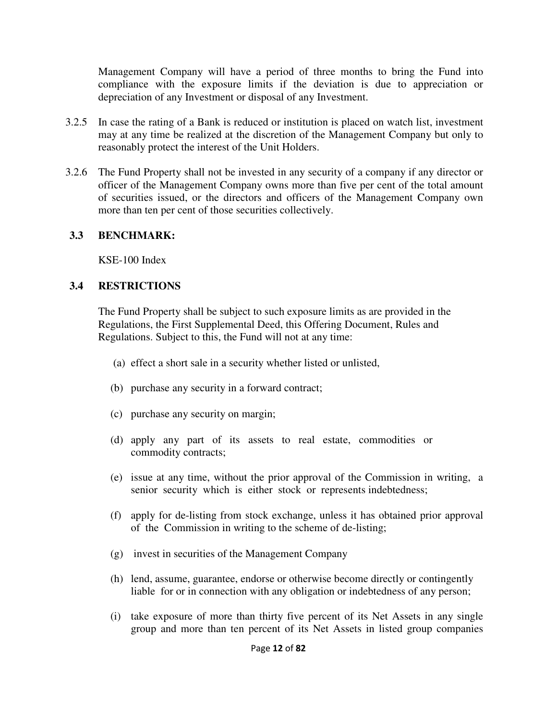Management Company will have a period of three months to bring the Fund into compliance with the exposure limits if the deviation is due to appreciation or depreciation of any Investment or disposal of any Investment.

- 3.2.5 In case the rating of a Bank is reduced or institution is placed on watch list, investment may at any time be realized at the discretion of the Management Company but only to reasonably protect the interest of the Unit Holders.
- 3.2.6 The Fund Property shall not be invested in any security of a company if any director or officer of the Management Company owns more than five per cent of the total amount of securities issued, or the directors and officers of the Management Company own more than ten per cent of those securities collectively.

# **3.3 BENCHMARK:**

KSE-100 Index

# **3.4 RESTRICTIONS**

 The Fund Property shall be subject to such exposure limits as are provided in the Regulations, the First Supplemental Deed, this Offering Document, Rules and Regulations. Subject to this, the Fund will not at any time:

- (a) effect a short sale in a security whether listed or unlisted,
- (b) purchase any security in a forward contract;
- (c) purchase any security on margin;
- (d) apply any part of its assets to real estate, commodities or commodity contracts;
- (e) issue at any time, without the prior approval of the Commission in writing, a senior security which is either stock or represents indebtedness;
- (f) apply for de-listing from stock exchange, unless it has obtained prior approval of the Commission in writing to the scheme of de-listing;
- (g) invest in securities of the Management Company
- (h) lend, assume, guarantee, endorse or otherwise become directly or contingently liable for or in connection with any obligation or indebtedness of any person;
- (i) take exposure of more than thirty five percent of its Net Assets in any single group and more than ten percent of its Net Assets in listed group companies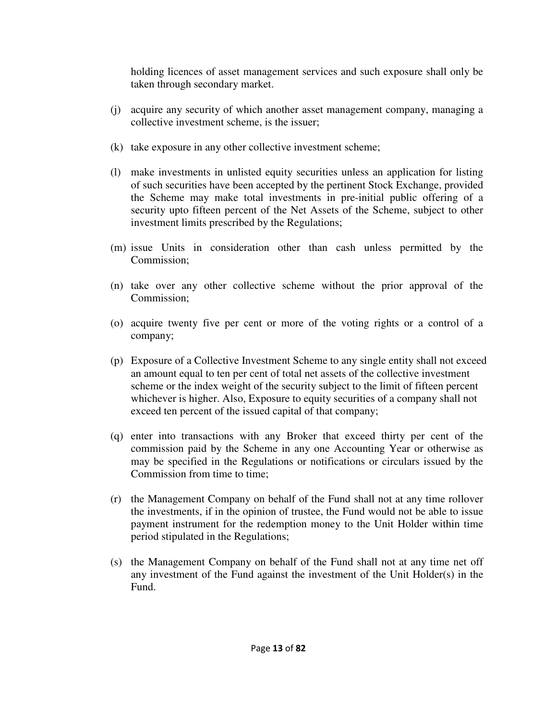holding licences of asset management services and such exposure shall only be taken through secondary market.

- (j) acquire any security of which another asset management company, managing a collective investment scheme, is the issuer;
- (k) take exposure in any other collective investment scheme;
- (l) make investments in unlisted equity securities unless an application for listing of such securities have been accepted by the pertinent Stock Exchange, provided the Scheme may make total investments in pre-initial public offering of a security upto fifteen percent of the Net Assets of the Scheme, subject to other investment limits prescribed by the Regulations;
- (m) issue Units in consideration other than cash unless permitted by the Commission;
- (n) take over any other collective scheme without the prior approval of the Commission;
- (o) acquire twenty five per cent or more of the voting rights or a control of a company;
- (p) Exposure of a Collective Investment Scheme to any single entity shall not exceed an amount equal to ten per cent of total net assets of the collective investment scheme or the index weight of the security subject to the limit of fifteen percent whichever is higher. Also, Exposure to equity securities of a company shall not exceed ten percent of the issued capital of that company;
- (q) enter into transactions with any Broker that exceed thirty per cent of the commission paid by the Scheme in any one Accounting Year or otherwise as may be specified in the Regulations or notifications or circulars issued by the Commission from time to time;
- (r) the Management Company on behalf of the Fund shall not at any time rollover the investments, if in the opinion of trustee, the Fund would not be able to issue payment instrument for the redemption money to the Unit Holder within time period stipulated in the Regulations;
- (s) the Management Company on behalf of the Fund shall not at any time net off any investment of the Fund against the investment of the Unit Holder(s) in the Fund.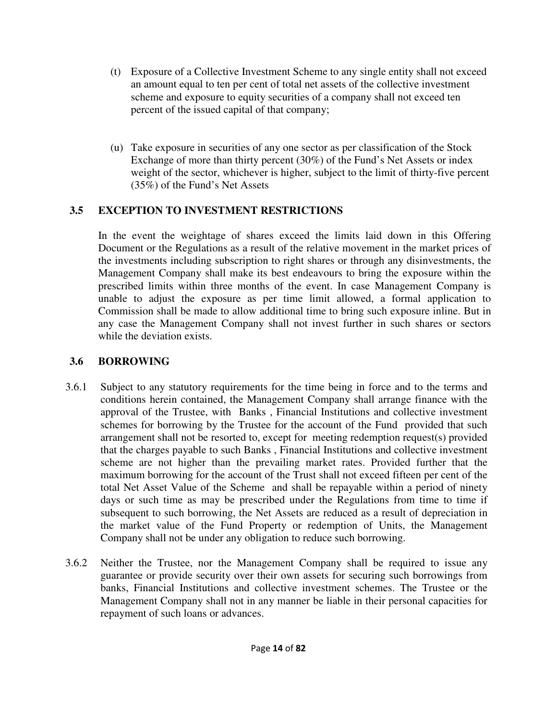- (t) Exposure of a Collective Investment Scheme to any single entity shall not exceed an amount equal to ten per cent of total net assets of the collective investment scheme and exposure to equity securities of a company shall not exceed ten percent of the issued capital of that company;
- (u) Take exposure in securities of any one sector as per classification of the Stock Exchange of more than thirty percent (30%) of the Fund's Net Assets or index weight of the sector, whichever is higher, subject to the limit of thirty-five percent (35%) of the Fund's Net Assets

# **3.5 EXCEPTION TO INVESTMENT RESTRICTIONS**

In the event the weightage of shares exceed the limits laid down in this Offering Document or the Regulations as a result of the relative movement in the market prices of the investments including subscription to right shares or through any disinvestments, the Management Company shall make its best endeavours to bring the exposure within the prescribed limits within three months of the event. In case Management Company is unable to adjust the exposure as per time limit allowed, a formal application to Commission shall be made to allow additional time to bring such exposure inline. But in any case the Management Company shall not invest further in such shares or sectors while the deviation exists.

# **3.6 BORROWING**

- 3.6.1 Subject to any statutory requirements for the time being in force and to the terms and conditions herein contained, the Management Company shall arrange finance with the approval of the Trustee, with Banks , Financial Institutions and collective investment schemes for borrowing by the Trustee for the account of the Fund provided that such arrangement shall not be resorted to, except for meeting redemption request(s) provided that the charges payable to such Banks , Financial Institutions and collective investment scheme are not higher than the prevailing market rates. Provided further that the maximum borrowing for the account of the Trust shall not exceed fifteen per cent of the total Net Asset Value of the Scheme and shall be repayable within a period of ninety days or such time as may be prescribed under the Regulations from time to time if subsequent to such borrowing, the Net Assets are reduced as a result of depreciation in the market value of the Fund Property or redemption of Units, the Management Company shall not be under any obligation to reduce such borrowing.
- 3.6.2 Neither the Trustee, nor the Management Company shall be required to issue any guarantee or provide security over their own assets for securing such borrowings from banks, Financial Institutions and collective investment schemes. The Trustee or the Management Company shall not in any manner be liable in their personal capacities for repayment of such loans or advances.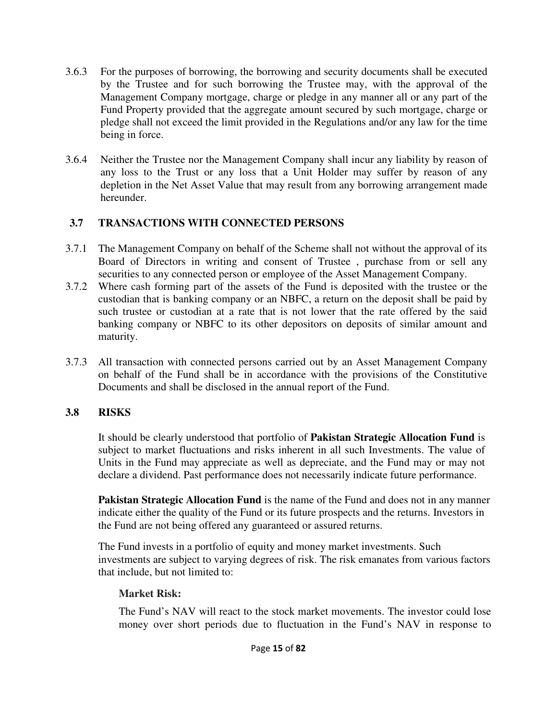- 3.6.3 For the purposes of borrowing, the borrowing and security documents shall be executed by the Trustee and for such borrowing the Trustee may, with the approval of the Management Company mortgage, charge or pledge in any manner all or any part of the Fund Property provided that the aggregate amount secured by such mortgage, charge or pledge shall not exceed the limit provided in the Regulations and/or any law for the time being in force.
- 3.6.4 Neither the Trustee nor the Management Company shall incur any liability by reason of any loss to the Trust or any loss that a Unit Holder may suffer by reason of any depletion in the Net Asset Value that may result from any borrowing arrangement made hereunder.

# **3.7 TRANSACTIONS WITH CONNECTED PERSONS**

- 3.7.1 The Management Company on behalf of the Scheme shall not without the approval of its Board of Directors in writing and consent of Trustee , purchase from or sell any securities to any connected person or employee of the Asset Management Company.
- 3.7.2 Where cash forming part of the assets of the Fund is deposited with the trustee or the custodian that is banking company or an NBFC, a return on the deposit shall be paid by such trustee or custodian at a rate that is not lower that the rate offered by the said banking company or NBFC to its other depositors on deposits of similar amount and maturity.
- 3.7.3 All transaction with connected persons carried out by an Asset Management Company on behalf of the Fund shall be in accordance with the provisions of the Constitutive Documents and shall be disclosed in the annual report of the Fund.

# **3.8 RISKS**

It should be clearly understood that portfolio of **Pakistan Strategic Allocation Fund** is subject to market fluctuations and risks inherent in all such Investments. The value of Units in the Fund may appreciate as well as depreciate, and the Fund may or may not declare a dividend. Past performance does not necessarily indicate future performance.

**Pakistan Strategic Allocation Fund** is the name of the Fund and does not in any manner indicate either the quality of the Fund or its future prospects and the returns. Investors in the Fund are not being offered any guaranteed or assured returns.

The Fund invests in a portfolio of equity and money market investments. Such investments are subject to varying degrees of risk. The risk emanates from various factors that include, but not limited to:

# **Market Risk:**

The Fund's NAV will react to the stock market movements. The investor could lose money over short periods due to fluctuation in the Fund's NAV in response to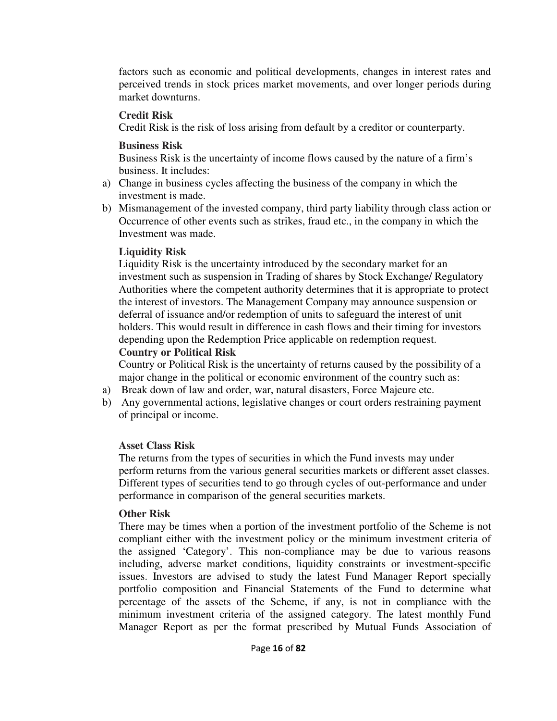factors such as economic and political developments, changes in interest rates and perceived trends in stock prices market movements, and over longer periods during market downturns.

#### **Credit Risk**

Credit Risk is the risk of loss arising from default by a creditor or counterparty.

# **Business Risk**

Business Risk is the uncertainty of income flows caused by the nature of a firm's business. It includes:

- a) Change in business cycles affecting the business of the company in which the investment is made.
- b) Mismanagement of the invested company, third party liability through class action or Occurrence of other events such as strikes, fraud etc., in the company in which the Investment was made.

# **Liquidity Risk**

Liquidity Risk is the uncertainty introduced by the secondary market for an investment such as suspension in Trading of shares by Stock Exchange/ Regulatory Authorities where the competent authority determines that it is appropriate to protect the interest of investors. The Management Company may announce suspension or deferral of issuance and/or redemption of units to safeguard the interest of unit holders. This would result in difference in cash flows and their timing for investors depending upon the Redemption Price applicable on redemption request.

# **Country or Political Risk**

Country or Political Risk is the uncertainty of returns caused by the possibility of a major change in the political or economic environment of the country such as:

- a) Break down of law and order, war, natural disasters, Force Majeure etc.
- b) Any governmental actions, legislative changes or court orders restraining payment of principal or income.

# **Asset Class Risk**

The returns from the types of securities in which the Fund invests may under perform returns from the various general securities markets or different asset classes. Different types of securities tend to go through cycles of out-performance and under performance in comparison of the general securities markets.

# **Other Risk**

There may be times when a portion of the investment portfolio of the Scheme is not compliant either with the investment policy or the minimum investment criteria of the assigned 'Category'. This non-compliance may be due to various reasons including, adverse market conditions, liquidity constraints or investment-specific issues. Investors are advised to study the latest Fund Manager Report specially portfolio composition and Financial Statements of the Fund to determine what percentage of the assets of the Scheme, if any, is not in compliance with the minimum investment criteria of the assigned category. The latest monthly Fund Manager Report as per the format prescribed by Mutual Funds Association of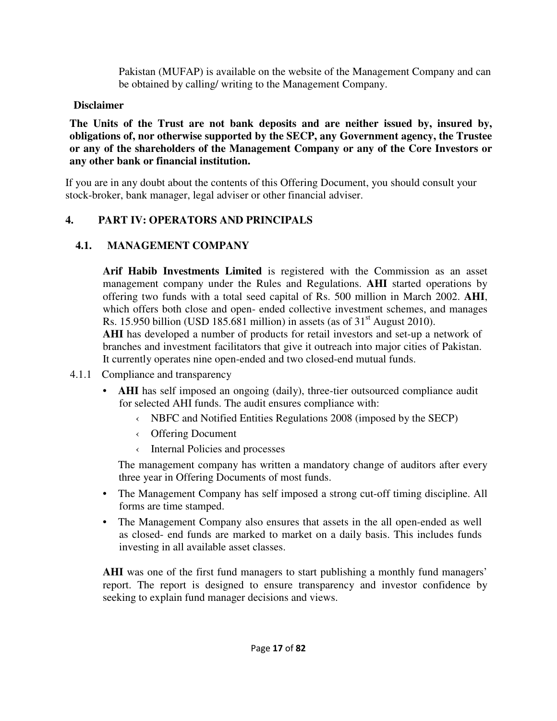Pakistan (MUFAP) is available on the website of the Management Company and can be obtained by calling/ writing to the Management Company.

# **Disclaimer**

**The Units of the Trust are not bank deposits and are neither issued by, insured by, obligations of, nor otherwise supported by the SECP, any Government agency, the Trustee or any of the shareholders of the Management Company or any of the Core Investors or any other bank or financial institution.** 

If you are in any doubt about the contents of this Offering Document, you should consult your stock-broker, bank manager, legal adviser or other financial adviser.

# **4. PART IV: OPERATORS AND PRINCIPALS**

# **4.1. MANAGEMENT COMPANY**

**Arif Habib Investments Limited** is registered with the Commission as an asset management company under the Rules and Regulations. **AHI** started operations by offering two funds with a total seed capital of Rs. 500 million in March 2002. **AHI**, which offers both close and open- ended collective investment schemes, and manages Rs. 15.950 billion (USD 185.681 million) in assets (as of  $31<sup>st</sup>$  August 2010).

**AHI** has developed a number of products for retail investors and set-up a network of branches and investment facilitators that give it outreach into major cities of Pakistan. It currently operates nine open-ended and two closed-end mutual funds.

- 4.1.1 Compliance and transparency
	- **AHI** has self imposed an ongoing (daily), three-tier outsourced compliance audit for selected AHI funds. The audit ensures compliance with:
		- ‹ NBFC and Notified Entities Regulations 2008 (imposed by the SECP)
		- ‹ Offering Document
		- ‹ Internal Policies and processes

 The management company has written a mandatory change of auditors after every three year in Offering Documents of most funds.

- The Management Company has self imposed a strong cut-off timing discipline. All forms are time stamped.
- The Management Company also ensures that assets in the all open-ended as well as closed- end funds are marked to market on a daily basis. This includes funds investing in all available asset classes.

AHI was one of the first fund managers to start publishing a monthly fund managers' report. The report is designed to ensure transparency and investor confidence by seeking to explain fund manager decisions and views.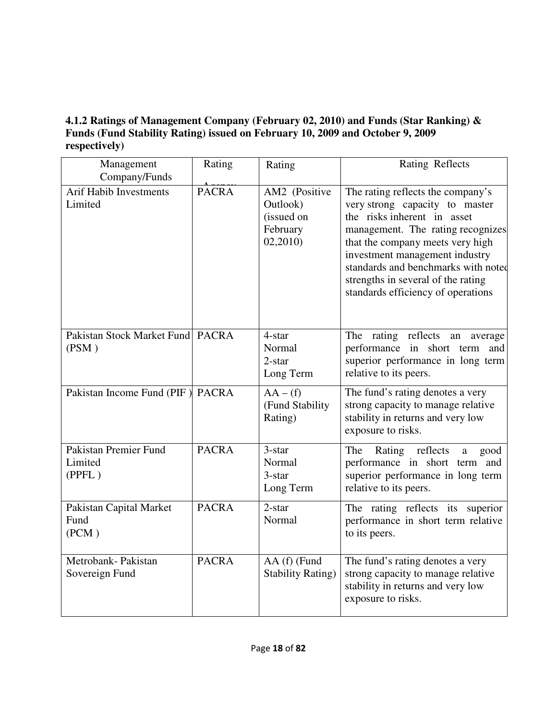# **4.1.2 Ratings of Management Company (February 02, 2010) and Funds (Star Ranking) & Funds (Fund Stability Rating) issued on February 10, 2009 and October 9, 2009 respectively)**

| Management<br>Company/Funds                | Rating       | Rating                                                         | <b>Rating Reflects</b>                                                                                                                                                                                                                                                                                                           |
|--------------------------------------------|--------------|----------------------------------------------------------------|----------------------------------------------------------------------------------------------------------------------------------------------------------------------------------------------------------------------------------------------------------------------------------------------------------------------------------|
| <b>Arif Habib Investments</b><br>Limited   | <b>PACRA</b> | AM2 (Positive<br>Outlook)<br>(issued on<br>February<br>02,2010 | The rating reflects the company's<br>very strong capacity to master<br>the risks inherent in asset<br>management. The rating recognizes<br>that the company meets very high<br>investment management industry<br>standards and benchmarks with noted<br>strengths in several of the rating<br>standards efficiency of operations |
| Pakistan Stock Market Fund PACRA<br>(PSM)  |              | 4-star<br>Normal<br>$2$ -star<br>Long Term                     | The rating reflects an<br>average<br>performance in short term and<br>superior performance in long term<br>relative to its peers.                                                                                                                                                                                                |
| Pakistan Income Fund (PIF) PACRA           |              | $AA - (f)$<br>(Fund Stability<br>Rating)                       | The fund's rating denotes a very<br>strong capacity to manage relative<br>stability in returns and very low<br>exposure to risks.                                                                                                                                                                                                |
| Pakistan Premier Fund<br>Limited<br>(PPFL) | <b>PACRA</b> | $3$ -star<br>Normal<br>3-star<br>Long Term                     | Rating<br>reflects<br>The<br>good<br>$\mathbf{a}$<br>performance in short term and<br>superior performance in long term<br>relative to its peers.                                                                                                                                                                                |
| Pakistan Capital Market<br>Fund<br>(PCM)   | <b>PACRA</b> | $2$ -star<br>Normal                                            | The rating reflects its superior<br>performance in short term relative<br>to its peers.                                                                                                                                                                                                                                          |
| Metrobank-Pakistan<br>Sovereign Fund       | <b>PACRA</b> | AA (f) (Fund<br><b>Stability Rating)</b>                       | The fund's rating denotes a very<br>strong capacity to manage relative<br>stability in returns and very low<br>exposure to risks.                                                                                                                                                                                                |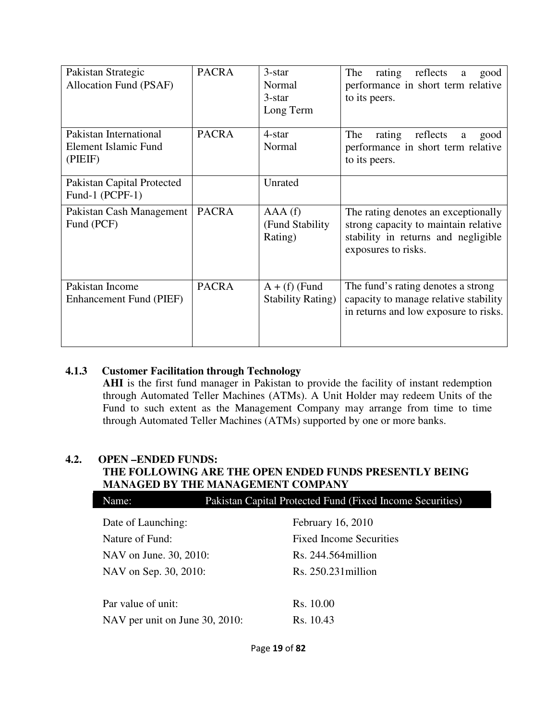| Pakistan Strategic<br>Allocation Fund (PSAF)              | <b>PACRA</b> | 3-star<br>Normal<br>$3$ -star<br>Long Term   | The<br>rating reflects<br>good<br>a<br>performance in short term relative<br>to its peers.                                                |
|-----------------------------------------------------------|--------------|----------------------------------------------|-------------------------------------------------------------------------------------------------------------------------------------------|
| Pakistan International<br>Element Islamic Fund<br>(PIEIF) | <b>PACRA</b> | 4-star<br>Normal                             | The<br>rating<br>reflects<br>a<br>good<br>performance in short term relative<br>to its peers.                                             |
| Pakistan Capital Protected<br>Fund-1 (PCPF-1)             |              | Unrated                                      |                                                                                                                                           |
| Pakistan Cash Management<br>Fund (PCF)                    | <b>PACRA</b> | AAA(f)<br>(Fund Stability)<br>Rating)        | The rating denotes an exceptionally<br>strong capacity to maintain relative<br>stability in returns and negligible<br>exposures to risks. |
| Pakistan Income<br>Enhancement Fund (PIEF)                | <b>PACRA</b> | $A + (f)$ (Fund<br><b>Stability Rating</b> ) | The fund's rating denotes a strong<br>capacity to manage relative stability<br>in returns and low exposure to risks.                      |

# **4.1.3 Customer Facilitation through Technology**

**AHI** is the first fund manager in Pakistan to provide the facility of instant redemption through Automated Teller Machines (ATMs). A Unit Holder may redeem Units of the Fund to such extent as the Management Company may arrange from time to time through Automated Teller Machines (ATMs) supported by one or more banks.

# **4.2. OPEN –ENDED FUNDS:**

# **THE FOLLOWING ARE THE OPEN ENDED FUNDS PRESENTLY BEING MANAGED BY THE MANAGEMENT COMPANY**

| Name:                          | Pakistan Capital Protected Fund (Fixed Income Securities) |                                |  |
|--------------------------------|-----------------------------------------------------------|--------------------------------|--|
| Date of Launching:             |                                                           | February 16, 2010              |  |
| Nature of Fund:                |                                                           | <b>Fixed Income Securities</b> |  |
| NAV on June. 30, 2010:         |                                                           | $Rs. 244.564$ million          |  |
| NAV on Sep. 30, 2010:          |                                                           | $Rs. 250.231$ million          |  |
|                                |                                                           |                                |  |
| Par value of unit:             |                                                           | Rs. 10.00                      |  |
| NAV per unit on June 30, 2010: |                                                           | Rs. 10.43                      |  |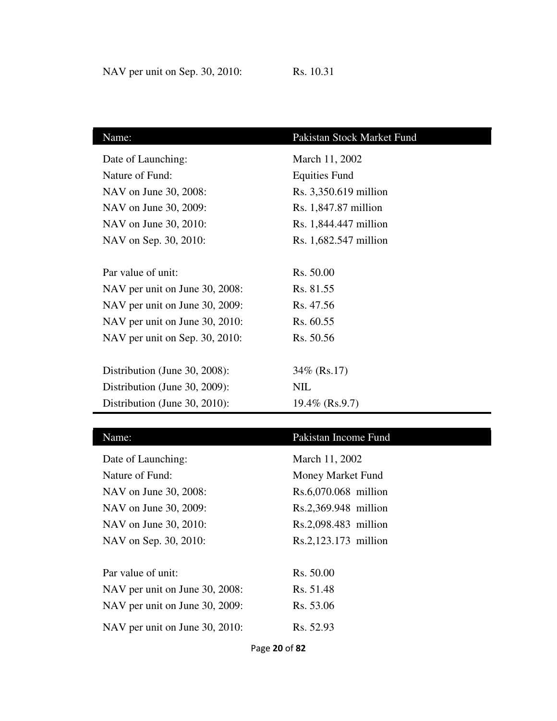| Name:                          | Pakistan Stock Market Fund |
|--------------------------------|----------------------------|
| Date of Launching:             | March 11, 2002             |
| Nature of Fund:                | <b>Equities Fund</b>       |
| NAV on June 30, 2008:          | Rs. 3,350.619 million      |
| NAV on June 30, 2009:          | Rs. 1,847.87 million       |
| NAV on June 30, 2010:          | Rs. 1,844.447 million      |
| NAV on Sep. 30, 2010:          | Rs. 1,682.547 million      |
|                                |                            |
| Par value of unit:             | Rs. 50.00                  |
| NAV per unit on June 30, 2008: | Rs. 81.55                  |
| NAV per unit on June 30, 2009: | Rs. 47.56                  |
| NAV per unit on June 30, 2010: | Rs. 60.55                  |
| NAV per unit on Sep. 30, 2010: | Rs. 50.56                  |
|                                |                            |
| Distribution (June 30, 2008):  | 34\% (Rs.17)               |
| Distribution (June 30, 2009):  | NIL                        |
| Distribution (June 30, 2010):  | $19.4\%$ (Rs.9.7)          |

| Name:                          | Pakistan Income Fund |
|--------------------------------|----------------------|
| Date of Launching:             | March 11, 2002       |
| Nature of Fund:                | Money Market Fund    |
| NAV on June 30, 2008:          | Rs.6,070.068 million |
| NAV on June 30, 2009:          | Rs.2,369.948 million |
| NAV on June 30, 2010:          | Rs.2,098.483 million |
| NAV on Sep. 30, 2010:          | Rs.2,123.173 million |
|                                |                      |
| Par value of unit:             | Rs. 50.00            |
| NAV per unit on June 30, 2008: | Rs. 51.48            |
| NAV per unit on June 30, 2009: | Rs. 53.06            |
| NAV per unit on June 30, 2010: | Rs. 52.93            |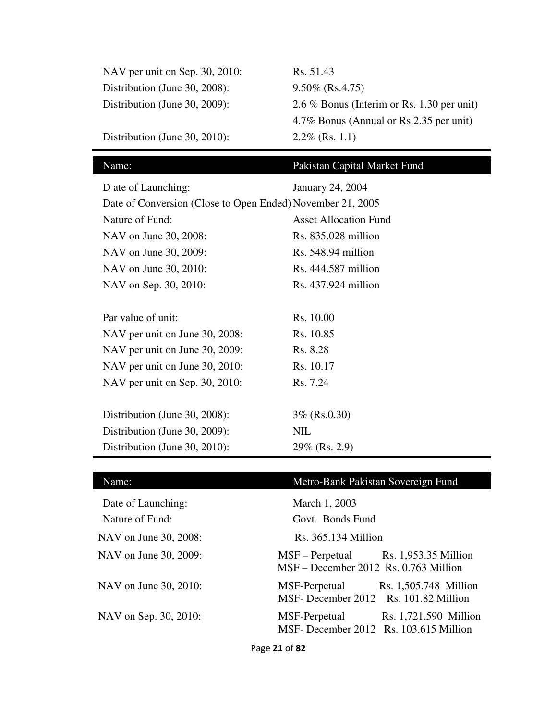| NAV per unit on Sep. 30, 2010: | Rs. 51.43                                  |
|--------------------------------|--------------------------------------------|
| Distribution (June 30, 2008):  | $9.50\%$ (Rs.4.75)                         |
| Distribution (June 30, 2009):  | 2.6 % Bonus (Interim or Rs. 1.30 per unit) |
|                                | 4.7% Bonus (Annual or Rs.2.35 per unit)    |
| Distribution (June 30, 2010):  | $2.2\%$ (Rs. 1.1)                          |

# Name: Pakistan Capital Market Fund

| D ate of Launching:                                        | January 24, 2004             |  |  |
|------------------------------------------------------------|------------------------------|--|--|
| Date of Conversion (Close to Open Ended) November 21, 2005 |                              |  |  |
| Nature of Fund:                                            | <b>Asset Allocation Fund</b> |  |  |
| NAV on June 30, 2008:                                      | Rs. 835.028 million          |  |  |
| NAV on June 30, 2009:                                      | $Rs. 548.94$ million         |  |  |
| NAV on June 30, 2010:                                      | Rs. 444.587 million          |  |  |
| NAV on Sep. 30, 2010:                                      | Rs. 437.924 million          |  |  |
|                                                            |                              |  |  |
| Par value of unit:                                         | Rs. 10.00                    |  |  |
| NAV per unit on June 30, 2008:                             | Rs. 10.85                    |  |  |
| NAV per unit on June 30, 2009:                             | Rs. 8.28                     |  |  |
| NAV per unit on June 30, 2010:                             | Rs. 10.17                    |  |  |
| NAV per unit on Sep. 30, 2010:                             | Rs. 7.24                     |  |  |
|                                                            |                              |  |  |
| Distribution (June 30, 2008):                              | $3\%$ (Rs.0.30)              |  |  |
| Distribution (June 30, 2009):                              | <b>NIL</b>                   |  |  |
| Distribution (June 30, 2010):                              | 29% (Rs. 2.9)                |  |  |

| Name:                 | Metro-Bank Pakistan Sovereign Fund                                               |
|-----------------------|----------------------------------------------------------------------------------|
| Date of Launching:    | March 1, 2003                                                                    |
| Nature of Fund:       | Govt. Bonds Fund                                                                 |
| NAV on June 30, 2008: | $Rs. 365.134$ Million                                                            |
| NAV on June 30, 2009: | MSF – Perpetual<br>Rs. 1,953.35 Million<br>MSF - December 2012 Rs. 0.763 Million |
| NAV on June 30, 2010: | MSF-Perpetual<br>Rs. 1,505.748 Million<br>MSF- December 2012 Rs. 101.82 Million  |
| NAV on Sep. 30, 2010: | MSF-Perpetual<br>Rs. 1,721.590 Million<br>MSF- December 2012 Rs. 103.615 Million |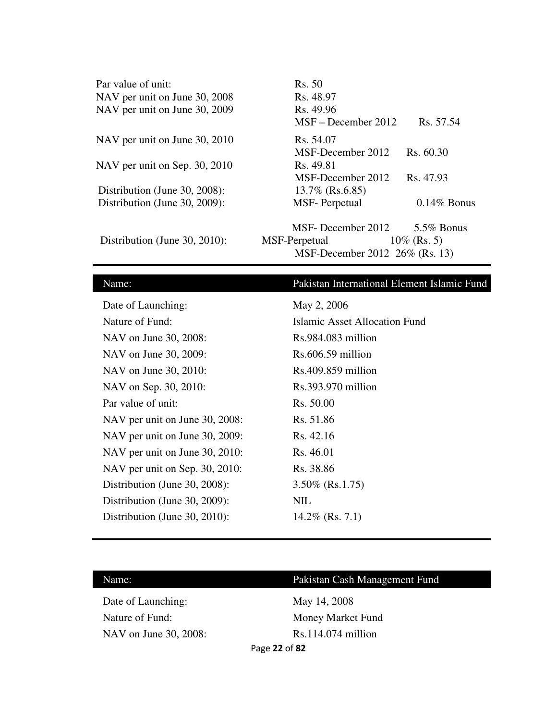| Par value of unit:<br>NAV per unit on June 30, 2008 | Rs. 50<br>Rs. 48.97            |                |
|-----------------------------------------------------|--------------------------------|----------------|
| NAV per unit on June 30, 2009                       | Rs. 49.96                      |                |
|                                                     | $MSF - December 2012$          | Rs. 57.54      |
| NAV per unit on June 30, 2010                       | Rs. 54.07                      |                |
|                                                     | MSF-December 2012              | Rs. 60.30      |
| NAV per unit on Sep. 30, 2010                       | Rs. 49.81                      |                |
|                                                     | MSF-December 2012              | Rs. 47.93      |
| Distribution (June 30, 2008):                       | $13.7\%$ (Rs.6.85)             |                |
| Distribution (June 30, 2009):                       | <b>MSF-Perpetual</b>           | $0.14\%$ Bonus |
|                                                     | MSF- December 2012             | 5.5% Bonus     |
| Distribution (June 30, 2010):                       | MSF-Perpetual                  | $10\%$ (Rs. 5) |
|                                                     | MSF-December 2012 26% (Rs. 13) |                |

# Name: Pakistan International Element Islamic Fund

| Date of Launching:             | May 2, 2006                   |
|--------------------------------|-------------------------------|
| Nature of Fund:                | Islamic Asset Allocation Fund |
| NAV on June 30, 2008:          | $Rs.984.083$ million          |
| NAV on June 30, 2009:          | $Rs.606.59$ million           |
| NAV on June 30, 2010:          | $Rs.409.859$ million          |
| NAV on Sep. 30, 2010:          | $Rs.393.970$ million          |
| Par value of unit:             | Rs. 50.00                     |
| NAV per unit on June 30, 2008: | Rs. 51.86                     |
| NAV per unit on June 30, 2009: | Rs. 42.16                     |
| NAV per unit on June 30, 2010: | Rs. 46.01                     |
| NAV per unit on Sep. 30, 2010: | Rs. 38.86                     |
| Distribution (June 30, 2008):  | $3.50\%$ (Rs.1.75)            |
| Distribution (June 30, 2009):  | NIL                           |
| Distribution (June 30, 2010):  | $14.2\%$ (Rs. 7.1)            |

| Name: |
|-------|
|-------|

# Pakistan Cash Management Fund

Date of Launching: May 14, 2008 Nature of Fund: Money Market Fund NAV on June 30, 2008: Rs.114.074 million

Page **22** of **82**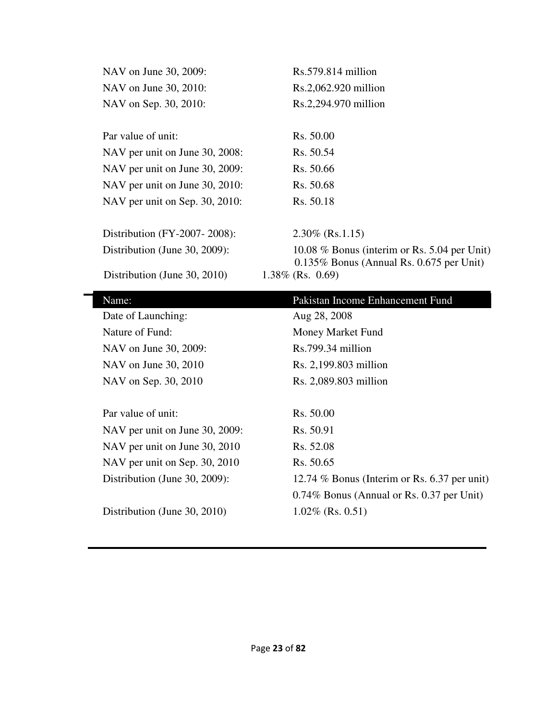| NAV on June 30, 2009:          | Rs.579.814 million                                                 |
|--------------------------------|--------------------------------------------------------------------|
| NAV on June 30, 2010:          | Rs.2,062.920 million                                               |
| NAV on Sep. 30, 2010:          | Rs.2,294.970 million                                               |
|                                |                                                                    |
| Par value of unit:             | Rs. 50.00                                                          |
| NAV per unit on June 30, 2008: | Rs. 50.54                                                          |
| NAV per unit on June 30, 2009: | Rs. 50.66                                                          |
| NAV per unit on June 30, 2010: | Rs. 50.68                                                          |
| NAV per unit on Sep. 30, 2010: | Rs. 50.18                                                          |
|                                |                                                                    |
| Distribution (FY-2007-2008):   | $2.30\%$ (Rs.1.15)                                                 |
| Distribution (June 30, 2009):  | 10.08 $%$ Bonus (interim or Rs. 5.04 per Unit)                     |
| Distribution (June 30, 2010)   | $0.135\%$ Bonus (Annual Rs. 0.675 per Unit)<br>$1.38\%$ (Rs. 0.69) |
|                                |                                                                    |
|                                |                                                                    |
| Name:                          | Pakistan Income Enhancement Fund                                   |
| Date of Launching:             | Aug 28, 2008                                                       |
| Nature of Fund:                | Money Market Fund                                                  |
| NAV on June 30, 2009:          | Rs.799.34 million                                                  |
| NAV on June 30, 2010           | Rs. 2,199.803 million                                              |
| NAV on Sep. 30, 2010           | Rs. 2,089.803 million                                              |
|                                |                                                                    |
| Par value of unit:             | Rs. 50.00                                                          |
| NAV per unit on June 30, 2009: | Rs. 50.91                                                          |
| NAV per unit on June 30, 2010  | Rs. 52.08                                                          |
| NAV per unit on Sep. 30, 2010  | Rs. 50.65                                                          |
| Distribution (June 30, 2009):  | 12.74 % Bonus (Interim or Rs. 6.37 per unit)                       |
|                                | 0.74% Bonus (Annual or Rs. 0.37 per Unit)                          |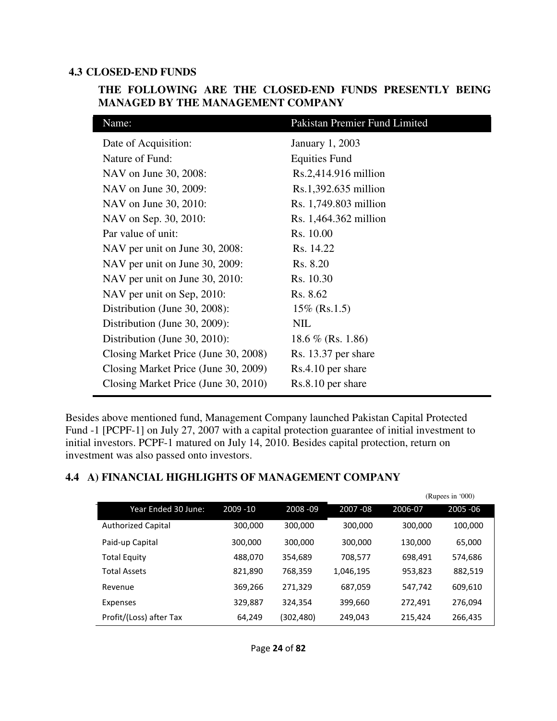#### **4.3 CLOSED-END FUNDS**

| <b>MANAGED BY THE MANAGEMENT COMPANY</b> |                               |  |  |  |  |
|------------------------------------------|-------------------------------|--|--|--|--|
| Name:                                    | Pakistan Premier Fund Limited |  |  |  |  |
| Date of Acquisition:                     | <b>January 1, 2003</b>        |  |  |  |  |
| Nature of Fund:                          | <b>Equities Fund</b>          |  |  |  |  |
| NAV on June 30, 2008:                    | $Rs.2,414.916$ million        |  |  |  |  |
| NAV on June 30, 2009:                    | $Rs.1,392.635$ million        |  |  |  |  |
| NAV on June 30, 2010:                    | Rs. 1,749.803 million         |  |  |  |  |
| NAV on Sep. 30, 2010:                    | Rs. 1,464.362 million         |  |  |  |  |
| Par value of unit:                       | Rs. 10.00                     |  |  |  |  |
| NAV per unit on June 30, 2008:           | Rs. 14.22                     |  |  |  |  |
| NAV per unit on June 30, 2009:           | Rs. 8.20                      |  |  |  |  |
| NAV per unit on June 30, 2010:           | Rs. 10.30                     |  |  |  |  |
| NAV per unit on Sep, 2010:               | Rs. 8.62                      |  |  |  |  |
| Distribution (June 30, 2008):            | $15\%$ (Rs.1.5)               |  |  |  |  |
| Distribution (June 30, 2009):            | NIL                           |  |  |  |  |
| Distribution (June 30, 2010):            | 18.6 % (Rs. 1.86)             |  |  |  |  |

#### **THE FOLLOWING ARE THE CLOSED-END FUNDS PRESENTLY BEING MANAGED BY THE MANAGEMENT COMPANY**

Besides above mentioned fund, Management Company launched Pakistan Capital Protected Fund -1 [PCPF-1] on July 27, 2007 with a capital protection guarantee of initial investment to initial investors. PCPF-1 matured on July 14, 2010. Besides capital protection, return on investment was also passed onto investors.

#### **4.4 A) FINANCIAL HIGHLIGHTS OF MANAGEMENT COMPANY**

Closing Market Price (June 30, 2008) Rs. 13.37 per share Closing Market Price (June 30, 2009) Rs.4.10 per share Closing Market Price (June 30, 2010) Rs.8.10 per share

|                           |             |           |             |         | (Rupees in '000) |
|---------------------------|-------------|-----------|-------------|---------|------------------|
| Year Ended 30 June:       | $2009 - 10$ | 2008-09   | $2007 - 08$ | 2006-07 | 2005 - 06        |
| <b>Authorized Capital</b> | 300,000     | 300,000   | 300,000     | 300,000 | 100,000          |
| Paid-up Capital           | 300,000     | 300,000   | 300,000     | 130,000 | 65,000           |
| <b>Total Equity</b>       | 488,070     | 354,689   | 708,577     | 698,491 | 574,686          |
| <b>Total Assets</b>       | 821,890     | 768,359   | 1,046,195   | 953,823 | 882,519          |
| Revenue                   | 369,266     | 271,329   | 687,059     | 547,742 | 609,610          |
| Expenses                  | 329,887     | 324,354   | 399,660     | 272,491 | 276,094          |
| Profit/(Loss) after Tax   | 64,249      | (302,480) | 249,043     | 215,424 | 266,435          |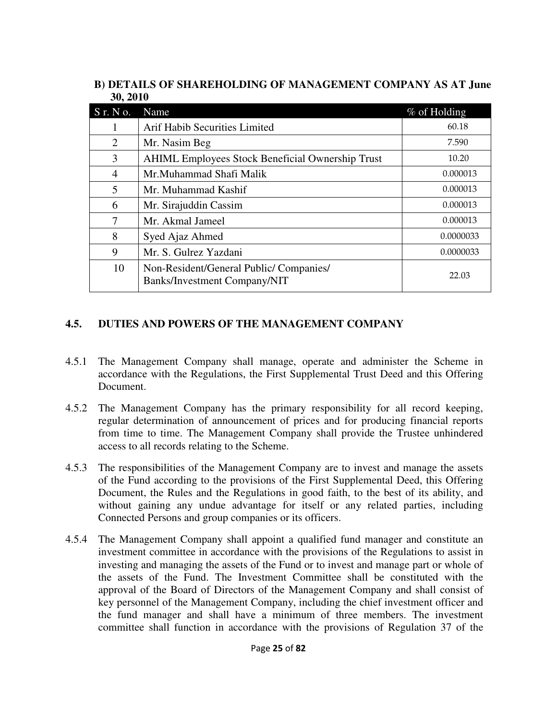|          | B) DETAILS OF SHAREHOLDING OF MANAGEMENT COMPANY AS AT June |  |  |  |
|----------|-------------------------------------------------------------|--|--|--|
| 30, 2010 |                                                             |  |  |  |

| S r. N o.      | Name                                                                          | % of Holding |
|----------------|-------------------------------------------------------------------------------|--------------|
|                | <b>Arif Habib Securities Limited</b>                                          | 60.18        |
| 2              | Mr. Nasim Beg                                                                 | 7.590        |
| 3              | <b>AHIML Employees Stock Beneficial Ownership Trust</b>                       | 10.20        |
| $\overline{4}$ | Mr.Muhammad Shafi Malik                                                       | 0.000013     |
| 5              | Mr. Muhammad Kashif                                                           | 0.000013     |
| 6              | Mr. Sirajuddin Cassim                                                         | 0.000013     |
| 7              | Mr. Akmal Jameel                                                              | 0.000013     |
| 8              | Syed Ajaz Ahmed                                                               | 0.0000033    |
| 9              | Mr. S. Gulrez Yazdani                                                         | 0.0000033    |
| 10             | Non-Resident/General Public/Companies/<br><b>Banks/Investment Company/NIT</b> | 22.03        |

# **4.5. DUTIES AND POWERS OF THE MANAGEMENT COMPANY**

- 4.5.1 The Management Company shall manage, operate and administer the Scheme in accordance with the Regulations, the First Supplemental Trust Deed and this Offering Document.
- 4.5.2 The Management Company has the primary responsibility for all record keeping, regular determination of announcement of prices and for producing financial reports from time to time. The Management Company shall provide the Trustee unhindered access to all records relating to the Scheme.
- 4.5.3 The responsibilities of the Management Company are to invest and manage the assets of the Fund according to the provisions of the First Supplemental Deed, this Offering Document, the Rules and the Regulations in good faith, to the best of its ability, and without gaining any undue advantage for itself or any related parties, including Connected Persons and group companies or its officers.
- 4.5.4 The Management Company shall appoint a qualified fund manager and constitute an investment committee in accordance with the provisions of the Regulations to assist in investing and managing the assets of the Fund or to invest and manage part or whole of the assets of the Fund. The Investment Committee shall be constituted with the approval of the Board of Directors of the Management Company and shall consist of key personnel of the Management Company, including the chief investment officer and the fund manager and shall have a minimum of three members. The investment committee shall function in accordance with the provisions of Regulation 37 of the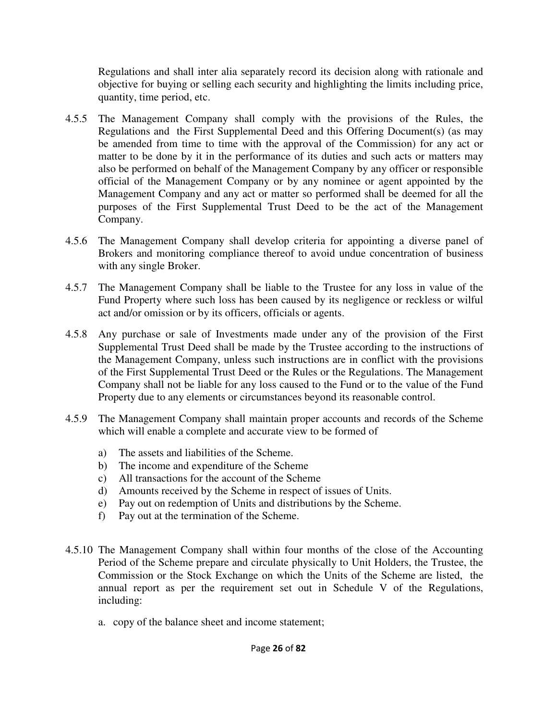Regulations and shall inter alia separately record its decision along with rationale and objective for buying or selling each security and highlighting the limits including price, quantity, time period, etc.

- 4.5.5 The Management Company shall comply with the provisions of the Rules, the Regulations and the First Supplemental Deed and this Offering Document(s) (as may be amended from time to time with the approval of the Commission) for any act or matter to be done by it in the performance of its duties and such acts or matters may also be performed on behalf of the Management Company by any officer or responsible official of the Management Company or by any nominee or agent appointed by the Management Company and any act or matter so performed shall be deemed for all the purposes of the First Supplemental Trust Deed to be the act of the Management Company.
- 4.5.6 The Management Company shall develop criteria for appointing a diverse panel of Brokers and monitoring compliance thereof to avoid undue concentration of business with any single Broker.
- 4.5.7 The Management Company shall be liable to the Trustee for any loss in value of the Fund Property where such loss has been caused by its negligence or reckless or wilful act and/or omission or by its officers, officials or agents.
- 4.5.8 Any purchase or sale of Investments made under any of the provision of the First Supplemental Trust Deed shall be made by the Trustee according to the instructions of the Management Company, unless such instructions are in conflict with the provisions of the First Supplemental Trust Deed or the Rules or the Regulations. The Management Company shall not be liable for any loss caused to the Fund or to the value of the Fund Property due to any elements or circumstances beyond its reasonable control.
- 4.5.9 The Management Company shall maintain proper accounts and records of the Scheme which will enable a complete and accurate view to be formed of
	- a) The assets and liabilities of the Scheme.
	- b) The income and expenditure of the Scheme
	- c) All transactions for the account of the Scheme
	- d) Amounts received by the Scheme in respect of issues of Units.
	- e) Pay out on redemption of Units and distributions by the Scheme.
	- f) Pay out at the termination of the Scheme.
- 4.5.10 The Management Company shall within four months of the close of the Accounting Period of the Scheme prepare and circulate physically to Unit Holders, the Trustee, the Commission or the Stock Exchange on which the Units of the Scheme are listed, the annual report as per the requirement set out in Schedule V of the Regulations, including:
	- a. copy of the balance sheet and income statement;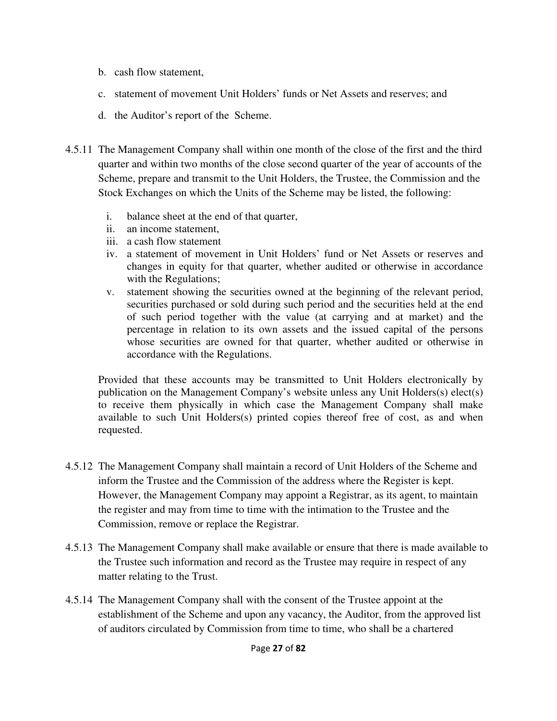- b. cash flow statement,
- c. statement of movement Unit Holders' funds or Net Assets and reserves; and
- d. the Auditor's report of the Scheme.
- 4.5.11 The Management Company shall within one month of the close of the first and the third quarter and within two months of the close second quarter of the year of accounts of the Scheme, prepare and transmit to the Unit Holders, the Trustee, the Commission and the Stock Exchanges on which the Units of the Scheme may be listed, the following:
	- i. balance sheet at the end of that quarter,
	- ii. an income statement,
	- iii. a cash flow statement
	- iv. a statement of movement in Unit Holders' fund or Net Assets or reserves and changes in equity for that quarter, whether audited or otherwise in accordance with the Regulations;
	- v. statement showing the securities owned at the beginning of the relevant period, securities purchased or sold during such period and the securities held at the end of such period together with the value (at carrying and at market) and the percentage in relation to its own assets and the issued capital of the persons whose securities are owned for that quarter, whether audited or otherwise in accordance with the Regulations.

Provided that these accounts may be transmitted to Unit Holders electronically by publication on the Management Company's website unless any Unit Holders(s) elect(s) to receive them physically in which case the Management Company shall make available to such Unit Holders(s) printed copies thereof free of cost, as and when requested.

- 4.5.12 The Management Company shall maintain a record of Unit Holders of the Scheme and inform the Trustee and the Commission of the address where the Register is kept. However, the Management Company may appoint a Registrar, as its agent, to maintain the register and may from time to time with the intimation to the Trustee and the Commission, remove or replace the Registrar.
- 4.5.13 The Management Company shall make available or ensure that there is made available to the Trustee such information and record as the Trustee may require in respect of any matter relating to the Trust.
- 4.5.14 The Management Company shall with the consent of the Trustee appoint at the establishment of the Scheme and upon any vacancy, the Auditor, from the approved list of auditors circulated by Commission from time to time, who shall be a chartered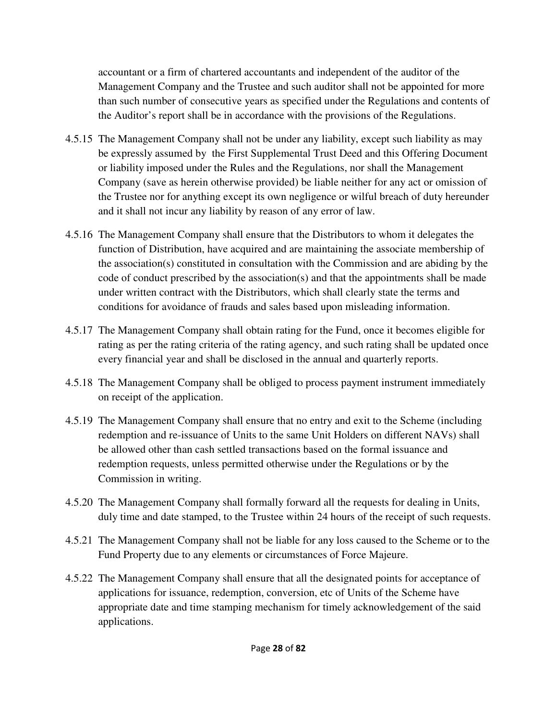accountant or a firm of chartered accountants and independent of the auditor of the Management Company and the Trustee and such auditor shall not be appointed for more than such number of consecutive years as specified under the Regulations and contents of the Auditor's report shall be in accordance with the provisions of the Regulations.

- 4.5.15 The Management Company shall not be under any liability, except such liability as may be expressly assumed by the First Supplemental Trust Deed and this Offering Document or liability imposed under the Rules and the Regulations, nor shall the Management Company (save as herein otherwise provided) be liable neither for any act or omission of the Trustee nor for anything except its own negligence or wilful breach of duty hereunder and it shall not incur any liability by reason of any error of law.
- 4.5.16 The Management Company shall ensure that the Distributors to whom it delegates the function of Distribution, have acquired and are maintaining the associate membership of the association(s) constituted in consultation with the Commission and are abiding by the code of conduct prescribed by the association(s) and that the appointments shall be made under written contract with the Distributors, which shall clearly state the terms and conditions for avoidance of frauds and sales based upon misleading information.
- 4.5.17 The Management Company shall obtain rating for the Fund, once it becomes eligible for rating as per the rating criteria of the rating agency, and such rating shall be updated once every financial year and shall be disclosed in the annual and quarterly reports.
- 4.5.18 The Management Company shall be obliged to process payment instrument immediately on receipt of the application.
- 4.5.19 The Management Company shall ensure that no entry and exit to the Scheme (including redemption and re-issuance of Units to the same Unit Holders on different NAVs) shall be allowed other than cash settled transactions based on the formal issuance and redemption requests, unless permitted otherwise under the Regulations or by the Commission in writing.
- 4.5.20 The Management Company shall formally forward all the requests for dealing in Units, duly time and date stamped, to the Trustee within 24 hours of the receipt of such requests.
- 4.5.21 The Management Company shall not be liable for any loss caused to the Scheme or to the Fund Property due to any elements or circumstances of Force Majeure.
- 4.5.22 The Management Company shall ensure that all the designated points for acceptance of applications for issuance, redemption, conversion, etc of Units of the Scheme have appropriate date and time stamping mechanism for timely acknowledgement of the said applications.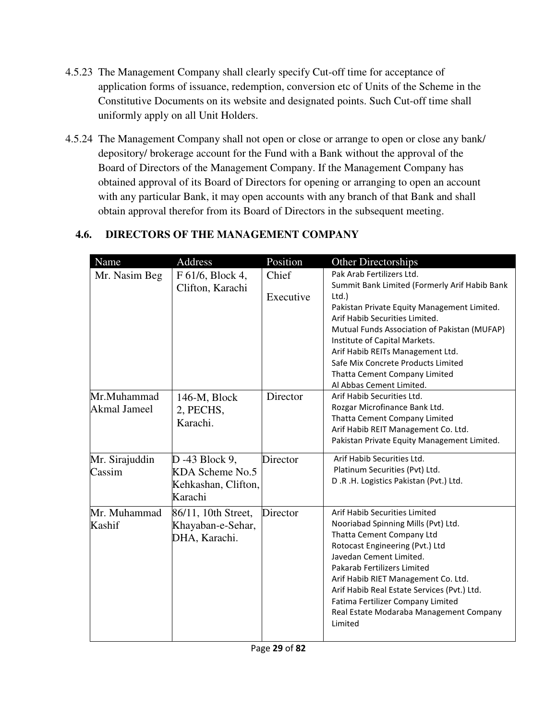- 4.5.23 The Management Company shall clearly specify Cut-off time for acceptance of application forms of issuance, redemption, conversion etc of Units of the Scheme in the Constitutive Documents on its website and designated points. Such Cut-off time shall uniformly apply on all Unit Holders.
- 4.5.24 The Management Company shall not open or close or arrange to open or close any bank/ depository/ brokerage account for the Fund with a Bank without the approval of the Board of Directors of the Management Company. If the Management Company has obtained approval of its Board of Directors for opening or arranging to open an account with any particular Bank, it may open accounts with any branch of that Bank and shall obtain approval therefor from its Board of Directors in the subsequent meeting.

| Name                        | Address                                                             | Position              | <b>Other Directorships</b>                                                                                                                                                                                                                                                                                                                                                                                                                               |
|-----------------------------|---------------------------------------------------------------------|-----------------------|----------------------------------------------------------------------------------------------------------------------------------------------------------------------------------------------------------------------------------------------------------------------------------------------------------------------------------------------------------------------------------------------------------------------------------------------------------|
| Mr. Nasim Beg               | F 61/6, Block 4,                                                    | Chief                 | Pak Arab Fertilizers Ltd.<br>Summit Bank Limited (Formerly Arif Habib Bank                                                                                                                                                                                                                                                                                                                                                                               |
| Mr.Muhammad<br>Akmal Jameel | Clifton, Karachi<br>146-M, Block<br>2, PECHS,<br>Karachi.           | Executive<br>Director | $Ltd.$ )<br>Pakistan Private Equity Management Limited.<br>Arif Habib Securities Limited.<br>Mutual Funds Association of Pakistan (MUFAP)<br>Institute of Capital Markets.<br>Arif Habib REITs Management Ltd.<br>Safe Mix Concrete Products Limited<br>Thatta Cement Company Limited<br>Al Abbas Cement Limited.<br>Arif Habib Securities Ltd.<br>Rozgar Microfinance Bank Ltd.<br>Thatta Cement Company Limited<br>Arif Habib REIT Management Co. Ltd. |
|                             |                                                                     |                       | Pakistan Private Equity Management Limited.                                                                                                                                                                                                                                                                                                                                                                                                              |
| Mr. Sirajuddin<br>Cassim    | D -43 Block 9,<br>KDA Scheme No.5<br>Kehkashan, Clifton,<br>Karachi | Director              | Arif Habib Securities Ltd.<br>Platinum Securities (Pvt) Ltd.<br>D.R.H. Logistics Pakistan (Pvt.) Ltd.                                                                                                                                                                                                                                                                                                                                                    |
| Mr. Muhammad<br>Kashif      | 86/11, 10th Street,<br>Khayaban-e-Sehar,<br>DHA, Karachi.           | Director              | Arif Habib Securities Limited<br>Nooriabad Spinning Mills (Pvt) Ltd.<br>Thatta Cement Company Ltd<br>Rotocast Engineering (Pvt.) Ltd<br>Javedan Cement Limited.<br>Pakarab Fertilizers Limited<br>Arif Habib RIET Management Co. Ltd.<br>Arif Habib Real Estate Services (Pvt.) Ltd.<br>Fatima Fertilizer Company Limited<br>Real Estate Modaraba Management Company<br>Limited                                                                          |

# **4.6. DIRECTORS OF THE MANAGEMENT COMPANY**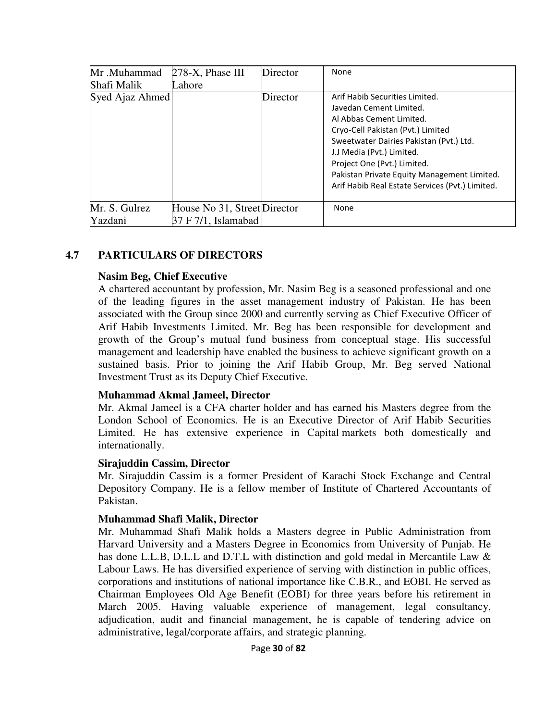| Mr.Muhammad     | $278-X$ , Phase III          | Director | None                                                                                                                                                                                                                                                                                                                                |
|-----------------|------------------------------|----------|-------------------------------------------------------------------------------------------------------------------------------------------------------------------------------------------------------------------------------------------------------------------------------------------------------------------------------------|
| Shafi Malik     | Lahore                       |          |                                                                                                                                                                                                                                                                                                                                     |
| Syed Ajaz Ahmed |                              | Director | Arif Habib Securities Limited.<br>Javedan Cement Limited.<br>Al Abbas Cement Limited.<br>Cryo-Cell Pakistan (Pvt.) Limited<br>Sweetwater Dairies Pakistan (Pvt.) Ltd.<br>J.J Media (Pvt.) Limited.<br>Project One (Pvt.) Limited.<br>Pakistan Private Equity Management Limited.<br>Arif Habib Real Estate Services (Pvt.) Limited. |
| Mr. S. Gulrez   | House No 31, Street Director |          | None                                                                                                                                                                                                                                                                                                                                |
| Yazdani         | 37 F 7/1, Islamabad          |          |                                                                                                                                                                                                                                                                                                                                     |

#### **4.7 PARTICULARS OF DIRECTORS**

#### **Nasim Beg, Chief Executive**

A chartered accountant by profession, Mr. Nasim Beg is a seasoned professional and one of the leading figures in the asset management industry of Pakistan. He has been associated with the Group since 2000 and currently serving as Chief Executive Officer of Arif Habib Investments Limited. Mr. Beg has been responsible for development and growth of the Group's mutual fund business from conceptual stage. His successful management and leadership have enabled the business to achieve significant growth on a sustained basis. Prior to joining the Arif Habib Group, Mr. Beg served National Investment Trust as its Deputy Chief Executive.

#### **Muhammad Akmal Jameel, Director**

Mr. Akmal Jameel is a CFA charter holder and has earned his Masters degree from the London School of Economics. He is an Executive Director of Arif Habib Securities Limited. He has extensive experience in Capital markets both domestically and internationally.

#### **Sirajuddin Cassim, Director**

Mr. Sirajuddin Cassim is a former President of Karachi Stock Exchange and Central Depository Company. He is a fellow member of Institute of Chartered Accountants of Pakistan.

#### **Muhammad Shafi Malik, Director**

Mr. Muhammad Shafi Malik holds a Masters degree in Public Administration from Harvard University and a Masters Degree in Economics from University of Punjab. He has done L.L.B, D.L.L and D.T.L with distinction and gold medal in Mercantile Law  $\&$ Labour Laws. He has diversified experience of serving with distinction in public offices, corporations and institutions of national importance like C.B.R., and EOBI. He served as Chairman Employees Old Age Benefit (EOBI) for three years before his retirement in March 2005. Having valuable experience of management, legal consultancy, adjudication, audit and financial management, he is capable of tendering advice on administrative, legal/corporate affairs, and strategic planning.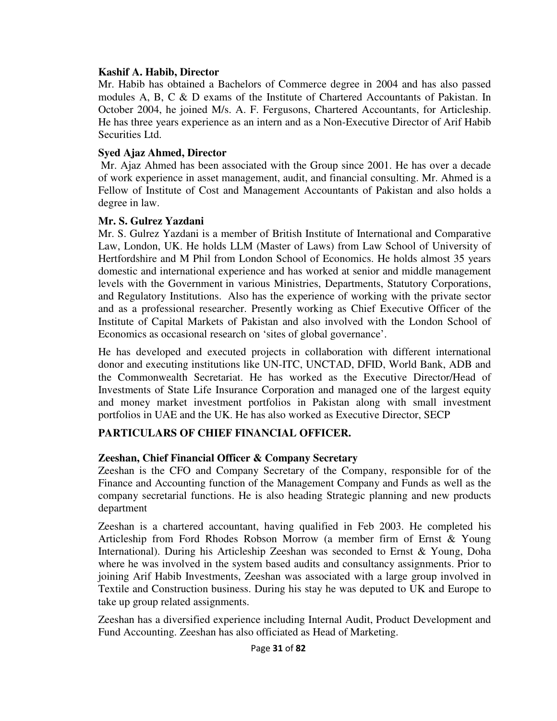#### **Kashif A. Habib, Director**

Mr. Habib has obtained a Bachelors of Commerce degree in 2004 and has also passed modules A, B, C & D exams of the Institute of Chartered Accountants of Pakistan. In October 2004, he joined M/s. A. F. Fergusons, Chartered Accountants, for Articleship. He has three years experience as an intern and as a Non-Executive Director of Arif Habib Securities Ltd.

#### **Syed Ajaz Ahmed, Director**

 Mr. Ajaz Ahmed has been associated with the Group since 2001. He has over a decade of work experience in asset management, audit, and financial consulting. Mr. Ahmed is a Fellow of Institute of Cost and Management Accountants of Pakistan and also holds a degree in law.

#### **Mr. S. Gulrez Yazdani**

Mr. S. Gulrez Yazdani is a member of British Institute of International and Comparative Law, London, UK. He holds LLM (Master of Laws) from Law School of University of Hertfordshire and M Phil from London School of Economics. He holds almost 35 years domestic and international experience and has worked at senior and middle management levels with the Government in various Ministries, Departments, Statutory Corporations, and Regulatory Institutions. Also has the experience of working with the private sector and as a professional researcher. Presently working as Chief Executive Officer of the Institute of Capital Markets of Pakistan and also involved with the London School of Economics as occasional research on 'sites of global governance'.

He has developed and executed projects in collaboration with different international donor and executing institutions like UN-ITC, UNCTAD, DFID, World Bank, ADB and the Commonwealth Secretariat. He has worked as the Executive Director/Head of Investments of State Life Insurance Corporation and managed one of the largest equity and money market investment portfolios in Pakistan along with small investment portfolios in UAE and the UK. He has also worked as Executive Director, SECP

# **PARTICULARS OF CHIEF FINANCIAL OFFICER.**

# **Zeeshan, Chief Financial Officer & Company Secretary**

Zeeshan is the CFO and Company Secretary of the Company, responsible for of the Finance and Accounting function of the Management Company and Funds as well as the company secretarial functions. He is also heading Strategic planning and new products department

Zeeshan is a chartered accountant, having qualified in Feb 2003. He completed his Articleship from Ford Rhodes Robson Morrow (a member firm of Ernst & Young International). During his Articleship Zeeshan was seconded to Ernst & Young, Doha where he was involved in the system based audits and consultancy assignments. Prior to joining Arif Habib Investments, Zeeshan was associated with a large group involved in Textile and Construction business. During his stay he was deputed to UK and Europe to take up group related assignments.

Zeeshan has a diversified experience including Internal Audit, Product Development and Fund Accounting. Zeeshan has also officiated as Head of Marketing.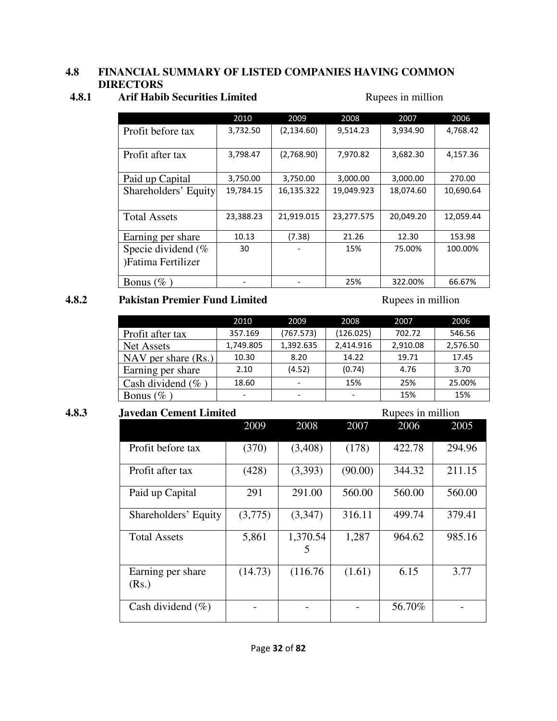#### **4.8 FINANCIAL SUMMARY OF LISTED COMPANIES HAVING COMMON DIRECTORS**

# **4.8.1 Arif Habib Securities Limited Rupees in million**

|                       | 2010      | 2009        | 2008       | 2007      | 2006      |
|-----------------------|-----------|-------------|------------|-----------|-----------|
| Profit before tax     | 3,732.50  | (2, 134.60) | 9,514.23   | 3,934.90  | 4,768.42  |
|                       |           |             |            |           |           |
| Profit after tax      | 3,798.47  | (2,768.90)  | 7,970.82   | 3,682.30  | 4,157.36  |
|                       |           |             |            |           |           |
| Paid up Capital       | 3,750.00  | 3,750.00    | 3,000.00   | 3,000.00  | 270.00    |
| Shareholders' Equity  | 19,784.15 | 16,135.322  | 19,049.923 | 18,074.60 | 10,690.64 |
|                       |           |             |            |           |           |
| <b>Total Assets</b>   | 23,388.23 | 21,919.015  | 23,277.575 | 20,049.20 | 12,059.44 |
| Earning per share     | 10.13     | (7.38)      | 21.26      | 12.30     | 153.98    |
|                       |           |             |            |           |           |
| Specie dividend $(\%$ | 30        |             | 15%        | 75.00%    | 100.00%   |
| )Fatima Fertilizer    |           |             |            |           |           |
| Bonus $(\%$           |           |             | 25%        | 322.00%   | 66.67%    |

#### **4.8.2 Pakistan Premier Fund Limited** Rupees in million

|                       | 2010      | 2009      | 2008      | 2007     | 2006     |
|-----------------------|-----------|-----------|-----------|----------|----------|
| Profit after tax      | 357.169   | (767.573) | (126.025) | 702.72   | 546.56   |
| Net Assets            | 1,749.805 | 1,392.635 | 2,414.916 | 2,910.08 | 2,576.50 |
| NAV per share $(Rs.)$ | 10.30     | 8.20      | 14.22     | 19.71    | 17.45    |
| Earning per share     | 2.10      | (4.52)    | (0.74)    | 4.76     | 3.70     |
| Cash dividend $(\% )$ | 18.60     |           | 15%       | 25%      | 25.00%   |
| Bonus ( $\%$ )        |           |           |           | 15%      | 15%      |

# **4.8.3** Javedan Cement Limited Rupees in million

| aveaan Cement Limnea<br>тароов не ништоп |         |               |         |        |        |
|------------------------------------------|---------|---------------|---------|--------|--------|
|                                          | 2009    | 2008          | 2007    | 2006   | 2005   |
| Profit before tax                        | (370)   | (3,408)       | (178)   | 422.78 | 294.96 |
| Profit after tax                         | (428)   | (3,393)       | (90.00) | 344.32 | 211.15 |
| Paid up Capital                          | 291     | 291.00        | 560.00  | 560.00 | 560.00 |
| Shareholders' Equity                     | (3,775) | (3,347)       | 316.11  | 499.74 | 379.41 |
| <b>Total Assets</b>                      | 5,861   | 1,370.54<br>C | 1,287   | 964.62 | 985.16 |
| Earning per share<br>(Rs.)               | (14.73) | (116.76)      | (1.61)  | 6.15   | 3.77   |
| Cash dividend $(\% )$                    |         |               |         | 56.70% |        |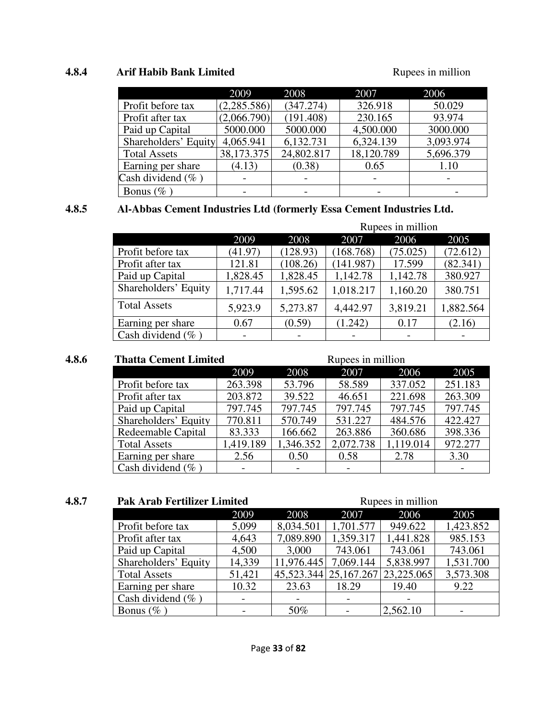#### **4.8.4 Arif Habib Bank Limited Rupees in million Rupees** in million

|                       | 2009        | 2008       | 2007       | 2006      |
|-----------------------|-------------|------------|------------|-----------|
| Profit before tax     | (2,285.586) | (347.274)  | 326.918    | 50.029    |
| Profit after tax      | (2,066.790) | (191.408)  | 230.165    | 93.974    |
| Paid up Capital       | 5000.000    | 5000.000   | 4,500.000  | 3000.000  |
| Shareholders' Equity  | 4,065.941   | 6,132.731  | 6,324.139  | 3,093.974 |
| <b>Total Assets</b>   | 38,173.375  | 24,802.817 | 18,120.789 | 5,696.379 |
| Earning per share     | (4.13)      | (0.38)     | 0.65       | 1.10      |
| Cash dividend $(\%$ ) |             |            |            |           |
| Bonus ( $\%$ )        |             |            |            |           |

#### **4.8.5 Al-Abbas Cement Industries Ltd (formerly Essa Cement Industries Ltd.**

|                       |          |          | Rupees in million |          |           |  |  |  |
|-----------------------|----------|----------|-------------------|----------|-----------|--|--|--|
|                       | 2009     | 2008     | 2007              | 2006     | 2005      |  |  |  |
| Profit before tax     | (41.97)  | (128.93) | (168.768)         | (75.025) | (72.612)  |  |  |  |
| Profit after tax      | 121.81   | (108.26) | (141.987)         | 17.599   | (82.341)  |  |  |  |
| Paid up Capital       | 1,828.45 | 1,828.45 | 1,142.78          | 1,142.78 | 380.927   |  |  |  |
| Shareholders' Equity  | 1,717.44 | 1,595.62 | 1,018.217         | 1,160.20 | 380.751   |  |  |  |
| <b>Total Assets</b>   | 5,923.9  | 5,273.87 | 4,442.97          | 3,819.21 | 1,882.564 |  |  |  |
| Earning per share     | 0.67     | (0.59)   | (1.242)           | 0.17     | (2.16)    |  |  |  |
| Cash dividend $(\%$ ) |          |          |                   |          |           |  |  |  |

#### **4.8.6** Thatta Cement Limited Rupees in million 2009 2008 2007 2006 2005 Profit before tax 263.398 53.796 58.589 337.052 251.183 Profit after tax 203.872 39.522 46.651 221.698 263.309 Paid up Capital 797.745 797.745 797.745 797.745 797.745 797.745<br>Shareholders' Equity 770.811 570.749 531.227 484.576 422.427 Shareholders' Equity 770.811 570.749 531.227 484.576 422.427<br>Redeemable Capital 83.333 166.662 263.886 360.686 398.336 Redeemable Capital 83.333 166.662 263.886<br>Total Assets 1,419.189 1,346.352 2,072.738 Total Assets 1,419.189 1,346.352 2,072.738 1,119.014 972.277<br>Earning per share 2.56 0.50 0.58 2.78 3.30 Earning per share

|                       | <b>Pak Arab Fertilizer Limited</b> |            |                           | Rupees in million |           |  |
|-----------------------|------------------------------------|------------|---------------------------|-------------------|-----------|--|
|                       | 2009                               | 2008       | 2007                      | 2006              | 2005      |  |
| Profit before tax     | 5,099                              | 8,034.501  | 1,701.577                 | 949.622           | 1,423.852 |  |
| Profit after tax      | 4,643                              | 7,089.890  | 1,359.317                 | 1,441.828         | 985.153   |  |
| Paid up Capital       | 4,500                              | 3,000      | 743.061                   | 743.061           | 743.061   |  |
| Shareholders' Equity  | 14,339                             | 11,976.445 | 7,069.144                 | 5,838.997         | 1,531.700 |  |
| <b>Total Assets</b>   | 51,421                             |            | 45, 523. 344 25, 167. 267 | 23,225.065        | 3,573.308 |  |
| Earning per share     | 10.32                              | 23.63      | 18.29                     | 19.40             | 9.22      |  |
| Cash dividend $(\%$ ) |                                    |            |                           |                   |           |  |
| Bonus $(\%$ )         |                                    | 50%        |                           | 2,562.10          |           |  |

Cash dividend  $(\% )$   $\qquad$  -  $\qquad$  -  $\qquad$  -  $\qquad$  -  $\qquad$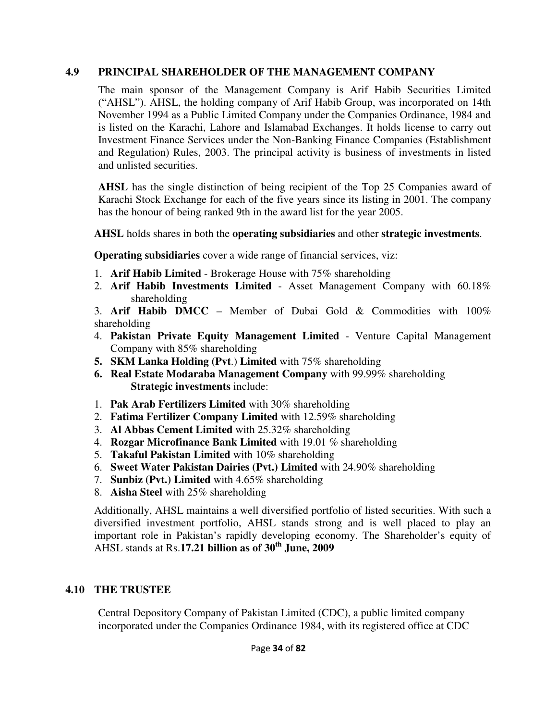# **4.9 PRINCIPAL SHAREHOLDER OF THE MANAGEMENT COMPANY**

The main sponsor of the Management Company is Arif Habib Securities Limited ("AHSL"). AHSL, the holding company of Arif Habib Group, was incorporated on 14th November 1994 as a Public Limited Company under the Companies Ordinance, 1984 and is listed on the Karachi, Lahore and Islamabad Exchanges. It holds license to carry out Investment Finance Services under the Non-Banking Finance Companies (Establishment and Regulation) Rules, 2003. The principal activity is business of investments in listed and unlisted securities.

**AHSL** has the single distinction of being recipient of the Top 25 Companies award of Karachi Stock Exchange for each of the five years since its listing in 2001. The company has the honour of being ranked 9th in the award list for the year 2005.

**AHSL** holds shares in both the **operating subsidiaries** and other **strategic investments**.

**Operating subsidiaries** cover a wide range of financial services, viz:

- 1. **Arif Habib Limited**  Brokerage House with 75% shareholding
- 2. **Arif Habib Investments Limited**  Asset Management Company with 60.18% shareholding

3. **Arif Habib DMCC** – Member of Dubai Gold & Commodities with 100% shareholding

- 4. **Pakistan Private Equity Management Limited**  Venture Capital Management Company with 85% shareholding
- **5. SKM Lanka Holding (Pvt**.) **Limited** with 75% shareholding
- **6. Real Estate Modaraba Management Company** with 99.99% shareholding **Strategic investments** include:
- 1. **Pak Arab Fertilizers Limited** with 30% shareholding
- 2. **Fatima Fertilizer Company Limited** with 12.59% shareholding
- 3. **Al Abbas Cement Limited** with 25.32% shareholding
- 4. **Rozgar Microfinance Bank Limited** with 19.01 % shareholding
- 5. **Takaful Pakistan Limited** with 10% shareholding
- 6. **Sweet Water Pakistan Dairies (Pvt.) Limited** with 24.90% shareholding
- 7. **Sunbiz (Pvt.) Limited** with 4.65% shareholding
- 8. **Aisha Steel** with 25% shareholding

Additionally, AHSL maintains a well diversified portfolio of listed securities. With such a diversified investment portfolio, AHSL stands strong and is well placed to play an important role in Pakistan's rapidly developing economy. The Shareholder's equity of AHSL stands at Rs.**17.21 billion as of 30th June, 2009**

# **4.10 THE TRUSTEE**

Central Depository Company of Pakistan Limited (CDC), a public limited company incorporated under the Companies Ordinance 1984, with its registered office at CDC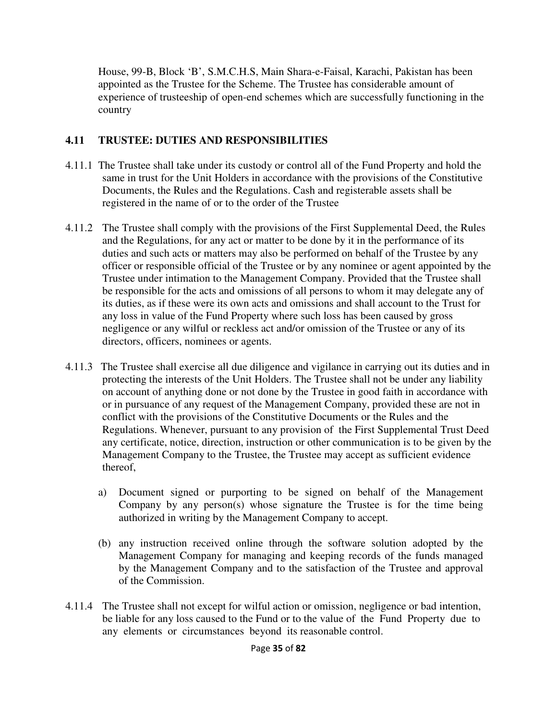House, 99-B, Block 'B', S.M.C.H.S, Main Shara-e-Faisal, Karachi, Pakistan has been appointed as the Trustee for the Scheme. The Trustee has considerable amount of experience of trusteeship of open-end schemes which are successfully functioning in the country

# **4.11 TRUSTEE: DUTIES AND RESPONSIBILITIES**

- 4.11.1 The Trustee shall take under its custody or control all of the Fund Property and hold the same in trust for the Unit Holders in accordance with the provisions of the Constitutive Documents, the Rules and the Regulations. Cash and registerable assets shall be registered in the name of or to the order of the Trustee
- 4.11.2 The Trustee shall comply with the provisions of the First Supplemental Deed, the Rules and the Regulations, for any act or matter to be done by it in the performance of its duties and such acts or matters may also be performed on behalf of the Trustee by any officer or responsible official of the Trustee or by any nominee or agent appointed by the Trustee under intimation to the Management Company. Provided that the Trustee shall be responsible for the acts and omissions of all persons to whom it may delegate any of its duties, as if these were its own acts and omissions and shall account to the Trust for any loss in value of the Fund Property where such loss has been caused by gross negligence or any wilful or reckless act and/or omission of the Trustee or any of its directors, officers, nominees or agents.
- 4.11.3 The Trustee shall exercise all due diligence and vigilance in carrying out its duties and in protecting the interests of the Unit Holders. The Trustee shall not be under any liability on account of anything done or not done by the Trustee in good faith in accordance with or in pursuance of any request of the Management Company, provided these are not in conflict with the provisions of the Constitutive Documents or the Rules and the Regulations. Whenever, pursuant to any provision of the First Supplemental Trust Deed any certificate, notice, direction, instruction or other communication is to be given by the Management Company to the Trustee, the Trustee may accept as sufficient evidence thereof,
	- a) Document signed or purporting to be signed on behalf of the Management Company by any person $(s)$  whose signature the Trustee is for the time being authorized in writing by the Management Company to accept.
	- (b) any instruction received online through the software solution adopted by the Management Company for managing and keeping records of the funds managed by the Management Company and to the satisfaction of the Trustee and approval of the Commission.
- 4.11.4 The Trustee shall not except for wilful action or omission, negligence or bad intention, be liable for any loss caused to the Fund or to the value of the Fund Property due to any elements or circumstances beyond its reasonable control.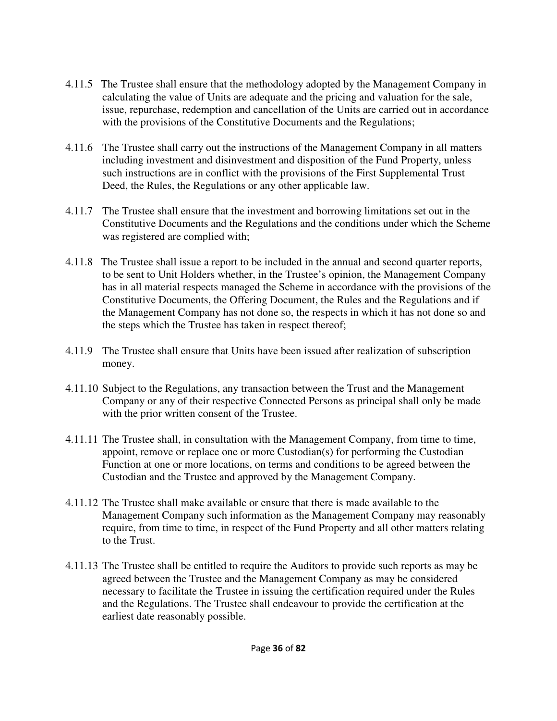- 4.11.5 The Trustee shall ensure that the methodology adopted by the Management Company in calculating the value of Units are adequate and the pricing and valuation for the sale, issue, repurchase, redemption and cancellation of the Units are carried out in accordance with the provisions of the Constitutive Documents and the Regulations;
- 4.11.6 The Trustee shall carry out the instructions of the Management Company in all matters including investment and disinvestment and disposition of the Fund Property, unless such instructions are in conflict with the provisions of the First Supplemental Trust Deed, the Rules, the Regulations or any other applicable law.
- 4.11.7 The Trustee shall ensure that the investment and borrowing limitations set out in the Constitutive Documents and the Regulations and the conditions under which the Scheme was registered are complied with;
- 4.11.8 The Trustee shall issue a report to be included in the annual and second quarter reports, to be sent to Unit Holders whether, in the Trustee's opinion, the Management Company has in all material respects managed the Scheme in accordance with the provisions of the Constitutive Documents, the Offering Document, the Rules and the Regulations and if the Management Company has not done so, the respects in which it has not done so and the steps which the Trustee has taken in respect thereof;
- 4.11.9 The Trustee shall ensure that Units have been issued after realization of subscription money.
- 4.11.10 Subject to the Regulations, any transaction between the Trust and the Management Company or any of their respective Connected Persons as principal shall only be made with the prior written consent of the Trustee.
- 4.11.11 The Trustee shall, in consultation with the Management Company, from time to time, appoint, remove or replace one or more Custodian(s) for performing the Custodian Function at one or more locations, on terms and conditions to be agreed between the Custodian and the Trustee and approved by the Management Company.
- 4.11.12 The Trustee shall make available or ensure that there is made available to the Management Company such information as the Management Company may reasonably require, from time to time, in respect of the Fund Property and all other matters relating to the Trust.
- 4.11.13 The Trustee shall be entitled to require the Auditors to provide such reports as may be agreed between the Trustee and the Management Company as may be considered necessary to facilitate the Trustee in issuing the certification required under the Rules and the Regulations. The Trustee shall endeavour to provide the certification at the earliest date reasonably possible.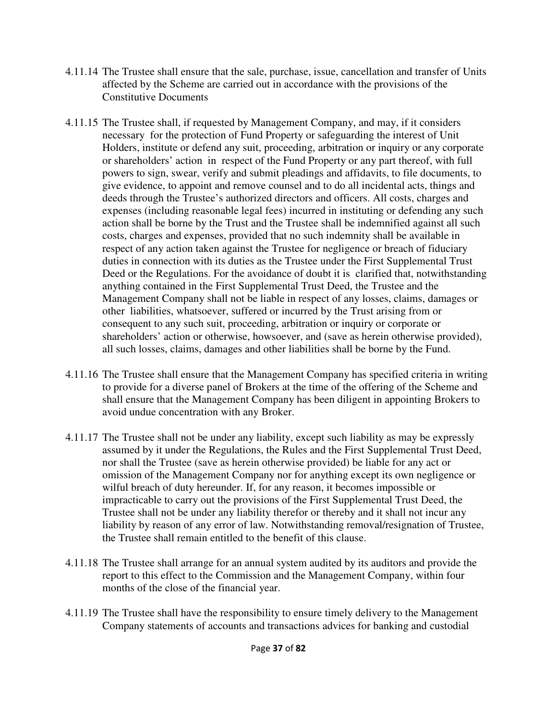- 4.11.14 The Trustee shall ensure that the sale, purchase, issue, cancellation and transfer of Units affected by the Scheme are carried out in accordance with the provisions of the Constitutive Documents
- 4.11.15 The Trustee shall, if requested by Management Company, and may, if it considers necessary for the protection of Fund Property or safeguarding the interest of Unit Holders, institute or defend any suit, proceeding, arbitration or inquiry or any corporate or shareholders' action in respect of the Fund Property or any part thereof, with full powers to sign, swear, verify and submit pleadings and affidavits, to file documents, to give evidence, to appoint and remove counsel and to do all incidental acts, things and deeds through the Trustee's authorized directors and officers. All costs, charges and expenses (including reasonable legal fees) incurred in instituting or defending any such action shall be borne by the Trust and the Trustee shall be indemnified against all such costs, charges and expenses, provided that no such indemnity shall be available in respect of any action taken against the Trustee for negligence or breach of fiduciary duties in connection with its duties as the Trustee under the First Supplemental Trust Deed or the Regulations. For the avoidance of doubt it is clarified that, notwithstanding anything contained in the First Supplemental Trust Deed, the Trustee and the Management Company shall not be liable in respect of any losses, claims, damages or other liabilities, whatsoever, suffered or incurred by the Trust arising from or consequent to any such suit, proceeding, arbitration or inquiry or corporate or shareholders' action or otherwise, howsoever, and (save as herein otherwise provided), all such losses, claims, damages and other liabilities shall be borne by the Fund.
- 4.11.16 The Trustee shall ensure that the Management Company has specified criteria in writing to provide for a diverse panel of Brokers at the time of the offering of the Scheme and shall ensure that the Management Company has been diligent in appointing Brokers to avoid undue concentration with any Broker.
- 4.11.17 The Trustee shall not be under any liability, except such liability as may be expressly assumed by it under the Regulations, the Rules and the First Supplemental Trust Deed, nor shall the Trustee (save as herein otherwise provided) be liable for any act or omission of the Management Company nor for anything except its own negligence or wilful breach of duty hereunder. If, for any reason, it becomes impossible or impracticable to carry out the provisions of the First Supplemental Trust Deed, the Trustee shall not be under any liability therefor or thereby and it shall not incur any liability by reason of any error of law. Notwithstanding removal/resignation of Trustee, the Trustee shall remain entitled to the benefit of this clause.
- 4.11.18 The Trustee shall arrange for an annual system audited by its auditors and provide the report to this effect to the Commission and the Management Company, within four months of the close of the financial year.
- 4.11.19 The Trustee shall have the responsibility to ensure timely delivery to the Management Company statements of accounts and transactions advices for banking and custodial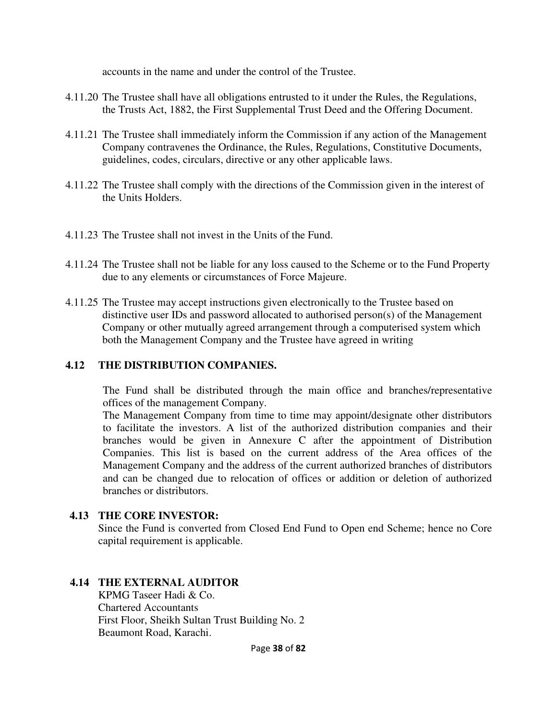accounts in the name and under the control of the Trustee.

- 4.11.20 The Trustee shall have all obligations entrusted to it under the Rules, the Regulations, the Trusts Act, 1882, the First Supplemental Trust Deed and the Offering Document.
- 4.11.21 The Trustee shall immediately inform the Commission if any action of the Management Company contravenes the Ordinance, the Rules, Regulations, Constitutive Documents, guidelines, codes, circulars, directive or any other applicable laws.
- 4.11.22 The Trustee shall comply with the directions of the Commission given in the interest of the Units Holders.
- 4.11.23 The Trustee shall not invest in the Units of the Fund.
- 4.11.24 The Trustee shall not be liable for any loss caused to the Scheme or to the Fund Property due to any elements or circumstances of Force Majeure.
- 4.11.25 The Trustee may accept instructions given electronically to the Trustee based on distinctive user IDs and password allocated to authorised person(s) of the Management Company or other mutually agreed arrangement through a computerised system which both the Management Company and the Trustee have agreed in writing

#### **4.12 THE DISTRIBUTION COMPANIES.**

The Fund shall be distributed through the main office and branches/representative offices of the management Company.

The Management Company from time to time may appoint/designate other distributors to facilitate the investors. A list of the authorized distribution companies and their branches would be given in Annexure C after the appointment of Distribution Companies. This list is based on the current address of the Area offices of the Management Company and the address of the current authorized branches of distributors and can be changed due to relocation of offices or addition or deletion of authorized branches or distributors.

#### **4.13 THE CORE INVESTOR:**

Since the Fund is converted from Closed End Fund to Open end Scheme; hence no Core capital requirement is applicable.

#### **4.14 THE EXTERNAL AUDITOR**

KPMG Taseer Hadi & Co. Chartered Accountants First Floor, Sheikh Sultan Trust Building No. 2 Beaumont Road, Karachi.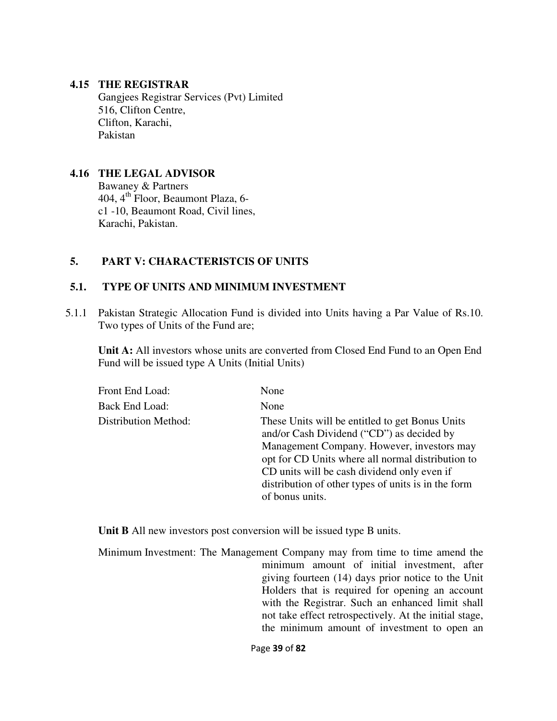#### **4.15 THE REGISTRAR**

Gangjees Registrar Services (Pvt) Limited 516, Clifton Centre, Clifton, Karachi, Pakistan

#### **4.16 THE LEGAL ADVISOR**

 Bawaney & Partners 404, 4th Floor, Beaumont Plaza, 6 c1 -10, Beaumont Road, Civil lines, Karachi, Pakistan.

#### **5. PART V: CHARACTERISTCIS OF UNITS**

#### **5.1. TYPE OF UNITS AND MINIMUM INVESTMENT**

5.1.1 Pakistan Strategic Allocation Fund is divided into Units having a Par Value of Rs.10. Two types of Units of the Fund are;

**Unit A:** All investors whose units are converted from Closed End Fund to an Open End Fund will be issued type A Units (Initial Units)

| Front End Load:      | None                                                                                                                                                                                                                                                                                                                     |
|----------------------|--------------------------------------------------------------------------------------------------------------------------------------------------------------------------------------------------------------------------------------------------------------------------------------------------------------------------|
| Back End Load:       | None                                                                                                                                                                                                                                                                                                                     |
| Distribution Method: | These Units will be entitled to get Bonus Units<br>and/or Cash Dividend ("CD") as decided by<br>Management Company. However, investors may<br>opt for CD Units where all normal distribution to<br>CD units will be cash dividend only even if<br>distribution of other types of units is in the form<br>of bonus units. |

**Unit B** All new investors post conversion will be issued type B units.

Minimum Investment: The Management Company may from time to time amend the minimum amount of initial investment, after giving fourteen (14) days prior notice to the Unit Holders that is required for opening an account with the Registrar. Such an enhanced limit shall not take effect retrospectively. At the initial stage, the minimum amount of investment to open an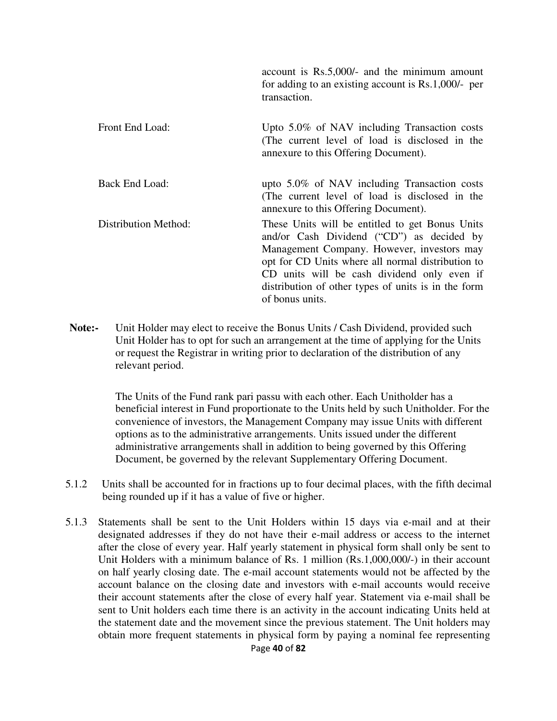|                             | account is Rs.5,000/- and the minimum amount<br>for adding to an existing account is $Rs.1,000/-$ per<br>transaction.                                                                                                                                                                                                    |
|-----------------------------|--------------------------------------------------------------------------------------------------------------------------------------------------------------------------------------------------------------------------------------------------------------------------------------------------------------------------|
| Front End Load:             | Upto $5.0\%$ of NAV including Transaction costs<br>(The current level of load is disclosed in the<br>annexure to this Offering Document).                                                                                                                                                                                |
| Back End Load:              | upto 5.0% of NAV including Transaction costs<br>(The current level of load is disclosed in the<br>annexure to this Offering Document).                                                                                                                                                                                   |
| <b>Distribution Method:</b> | These Units will be entitled to get Bonus Units<br>and/or Cash Dividend ("CD") as decided by<br>Management Company. However, investors may<br>opt for CD Units where all normal distribution to<br>CD units will be cash dividend only even if<br>distribution of other types of units is in the form<br>of bonus units. |

**Note:-** Unit Holder may elect to receive the Bonus Units / Cash Dividend, provided such Unit Holder has to opt for such an arrangement at the time of applying for the Units or request the Registrar in writing prior to declaration of the distribution of any relevant period.

> The Units of the Fund rank pari passu with each other. Each Unitholder has a beneficial interest in Fund proportionate to the Units held by such Unitholder. For the convenience of investors, the Management Company may issue Units with different options as to the administrative arrangements. Units issued under the different administrative arrangements shall in addition to being governed by this Offering Document, be governed by the relevant Supplementary Offering Document.

- 5.1.2 Units shall be accounted for in fractions up to four decimal places, with the fifth decimal being rounded up if it has a value of five or higher.
- 5.1.3 Statements shall be sent to the Unit Holders within 15 days via e-mail and at their designated addresses if they do not have their e-mail address or access to the internet after the close of every year. Half yearly statement in physical form shall only be sent to Unit Holders with a minimum balance of Rs. 1 million (Rs.1,000,000/-) in their account on half yearly closing date. The e-mail account statements would not be affected by the account balance on the closing date and investors with e-mail accounts would receive their account statements after the close of every half year. Statement via e-mail shall be sent to Unit holders each time there is an activity in the account indicating Units held at the statement date and the movement since the previous statement. The Unit holders may obtain more frequent statements in physical form by paying a nominal fee representing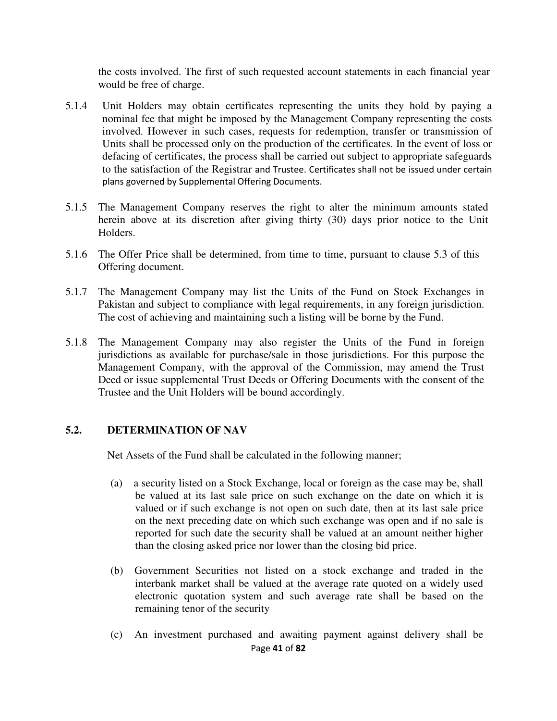the costs involved. The first of such requested account statements in each financial year would be free of charge.

- 5.1.4 Unit Holders may obtain certificates representing the units they hold by paying a nominal fee that might be imposed by the Management Company representing the costs involved. However in such cases, requests for redemption, transfer or transmission of Units shall be processed only on the production of the certificates. In the event of loss or defacing of certificates, the process shall be carried out subject to appropriate safeguards to the satisfaction of the Registrar and Trustee. Certificates shall not be issued under certain plans governed by Supplemental Offering Documents.
- 5.1.5 The Management Company reserves the right to alter the minimum amounts stated herein above at its discretion after giving thirty (30) days prior notice to the Unit Holders.
- 5.1.6 The Offer Price shall be determined, from time to time, pursuant to clause 5.3 of this Offering document.
- 5.1.7 The Management Company may list the Units of the Fund on Stock Exchanges in Pakistan and subject to compliance with legal requirements, in any foreign jurisdiction. The cost of achieving and maintaining such a listing will be borne by the Fund.
- 5.1.8 The Management Company may also register the Units of the Fund in foreign jurisdictions as available for purchase/sale in those jurisdictions. For this purpose the Management Company, with the approval of the Commission, may amend the Trust Deed or issue supplemental Trust Deeds or Offering Documents with the consent of the Trustee and the Unit Holders will be bound accordingly.

### **5.2. DETERMINATION OF NAV**

Net Assets of the Fund shall be calculated in the following manner;

- (a) a security listed on a Stock Exchange, local or foreign as the case may be, shall be valued at its last sale price on such exchange on the date on which it is valued or if such exchange is not open on such date, then at its last sale price on the next preceding date on which such exchange was open and if no sale is reported for such date the security shall be valued at an amount neither higher than the closing asked price nor lower than the closing bid price.
- (b) Government Securities not listed on a stock exchange and traded in the interbank market shall be valued at the average rate quoted on a widely used electronic quotation system and such average rate shall be based on the remaining tenor of the security
- Page **41** of **82** (c) An investment purchased and awaiting payment against delivery shall be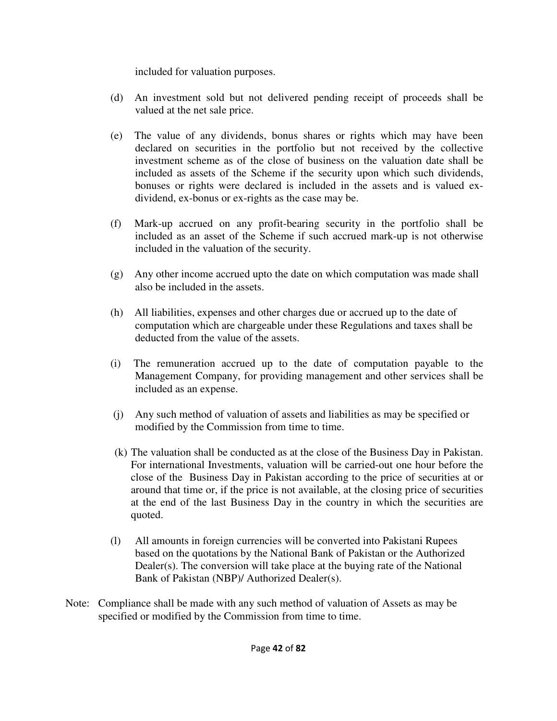included for valuation purposes.

- (d) An investment sold but not delivered pending receipt of proceeds shall be valued at the net sale price.
- (e) The value of any dividends, bonus shares or rights which may have been declared on securities in the portfolio but not received by the collective investment scheme as of the close of business on the valuation date shall be included as assets of the Scheme if the security upon which such dividends, bonuses or rights were declared is included in the assets and is valued exdividend, ex-bonus or ex-rights as the case may be.
- (f) Mark-up accrued on any profit-bearing security in the portfolio shall be included as an asset of the Scheme if such accrued mark-up is not otherwise included in the valuation of the security.
- (g) Any other income accrued upto the date on which computation was made shall also be included in the assets.
- (h) All liabilities, expenses and other charges due or accrued up to the date of computation which are chargeable under these Regulations and taxes shall be deducted from the value of the assets.
- (i) The remuneration accrued up to the date of computation payable to the Management Company, for providing management and other services shall be included as an expense.
- (j) Any such method of valuation of assets and liabilities as may be specified or modified by the Commission from time to time.
- (k) The valuation shall be conducted as at the close of the Business Day in Pakistan. For international Investments, valuation will be carried-out one hour before the close of the Business Day in Pakistan according to the price of securities at or around that time or, if the price is not available, at the closing price of securities at the end of the last Business Day in the country in which the securities are quoted.
- (l) All amounts in foreign currencies will be converted into Pakistani Rupees based on the quotations by the National Bank of Pakistan or the Authorized Dealer(s). The conversion will take place at the buying rate of the National Bank of Pakistan (NBP)/ Authorized Dealer(s).
- Note: Compliance shall be made with any such method of valuation of Assets as may be specified or modified by the Commission from time to time.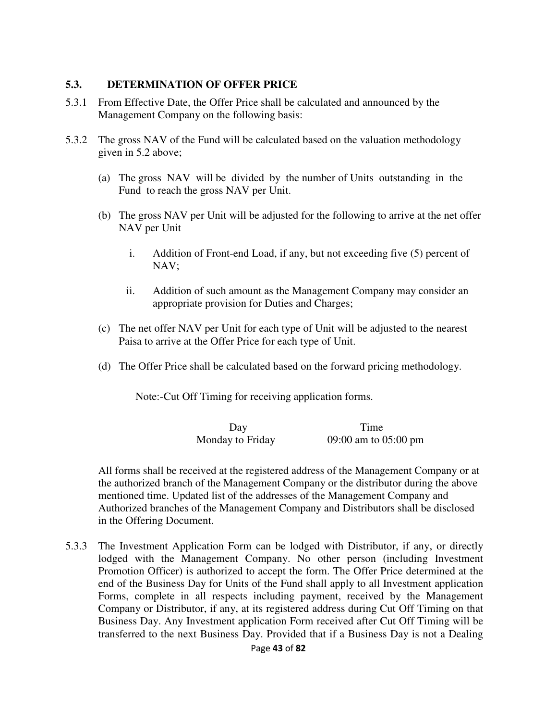#### **5.3. DETERMINATION OF OFFER PRICE**

- 5.3.1 From Effective Date, the Offer Price shall be calculated and announced by the Management Company on the following basis:
- 5.3.2 The gross NAV of the Fund will be calculated based on the valuation methodology given in 5.2 above;
	- (a) The gross NAV will be divided by the number of Units outstanding in the Fund to reach the gross NAV per Unit.
	- (b) The gross NAV per Unit will be adjusted for the following to arrive at the net offer NAV per Unit
		- i. Addition of Front-end Load, if any, but not exceeding five (5) percent of NAV;
		- ii. Addition of such amount as the Management Company may consider an appropriate provision for Duties and Charges;
	- (c) The net offer NAV per Unit for each type of Unit will be adjusted to the nearest Paisa to arrive at the Offer Price for each type of Unit.
	- (d) The Offer Price shall be calculated based on the forward pricing methodology.

Note:- Cut Off Timing for receiving application forms.

Day Time Monday to Friday 09:00 am to 05:00 pm

 All forms shall be received at the registered address of the Management Company or at the authorized branch of the Management Company or the distributor during the above mentioned time. Updated list of the addresses of the Management Company and Authorized branches of the Management Company and Distributors shall be disclosed in the Offering Document.

5.3.3 The Investment Application Form can be lodged with Distributor, if any, or directly lodged with the Management Company. No other person (including Investment Promotion Officer) is authorized to accept the form. The Offer Price determined at the end of the Business Day for Units of the Fund shall apply to all Investment application Forms, complete in all respects including payment, received by the Management Company or Distributor, if any, at its registered address during Cut Off Timing on that Business Day. Any Investment application Form received after Cut Off Timing will be transferred to the next Business Day. Provided that if a Business Day is not a Dealing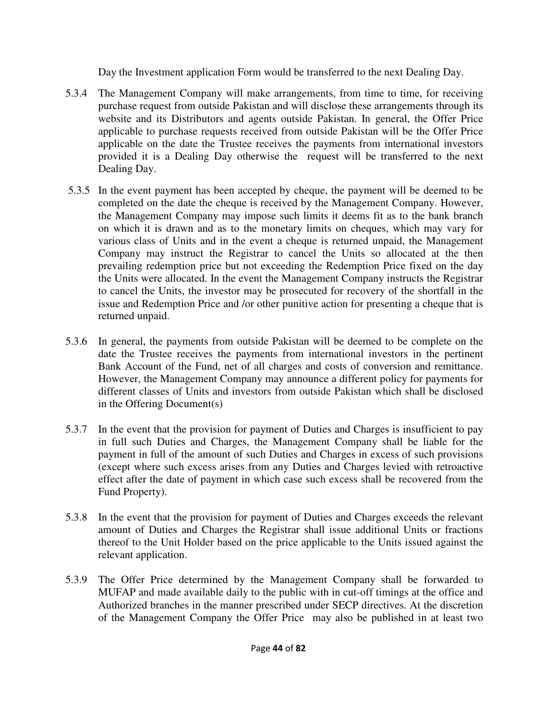Day the Investment application Form would be transferred to the next Dealing Day.

- 5.3.4 The Management Company will make arrangements, from time to time, for receiving purchase request from outside Pakistan and will disclose these arrangements through its website and its Distributors and agents outside Pakistan. In general, the Offer Price applicable to purchase requests received from outside Pakistan will be the Offer Price applicable on the date the Trustee receives the payments from international investors provided it is a Dealing Day otherwise the request will be transferred to the next Dealing Day.
- 5.3.5 In the event payment has been accepted by cheque, the payment will be deemed to be completed on the date the cheque is received by the Management Company. However, the Management Company may impose such limits it deems fit as to the bank branch on which it is drawn and as to the monetary limits on cheques, which may vary for various class of Units and in the event a cheque is returned unpaid, the Management Company may instruct the Registrar to cancel the Units so allocated at the then prevailing redemption price but not exceeding the Redemption Price fixed on the day the Units were allocated. In the event the Management Company instructs the Registrar to cancel the Units, the investor may be prosecuted for recovery of the shortfall in the issue and Redemption Price and /or other punitive action for presenting a cheque that is returned unpaid.
- 5.3.6 In general, the payments from outside Pakistan will be deemed to be complete on the date the Trustee receives the payments from international investors in the pertinent Bank Account of the Fund, net of all charges and costs of conversion and remittance. However, the Management Company may announce a different policy for payments for different classes of Units and investors from outside Pakistan which shall be disclosed in the Offering Document(s)
- 5.3.7 In the event that the provision for payment of Duties and Charges is insufficient to pay in full such Duties and Charges, the Management Company shall be liable for the payment in full of the amount of such Duties and Charges in excess of such provisions (except where such excess arises from any Duties and Charges levied with retroactive effect after the date of payment in which case such excess shall be recovered from the Fund Property).
- 5.3.8 In the event that the provision for payment of Duties and Charges exceeds the relevant amount of Duties and Charges the Registrar shall issue additional Units or fractions thereof to the Unit Holder based on the price applicable to the Units issued against the relevant application.
- 5.3.9 The Offer Price determined by the Management Company shall be forwarded to MUFAP and made available daily to the public with in cut-off timings at the office and Authorized branches in the manner prescribed under SECP directives. At the discretion of the Management Company the Offer Price may also be published in at least two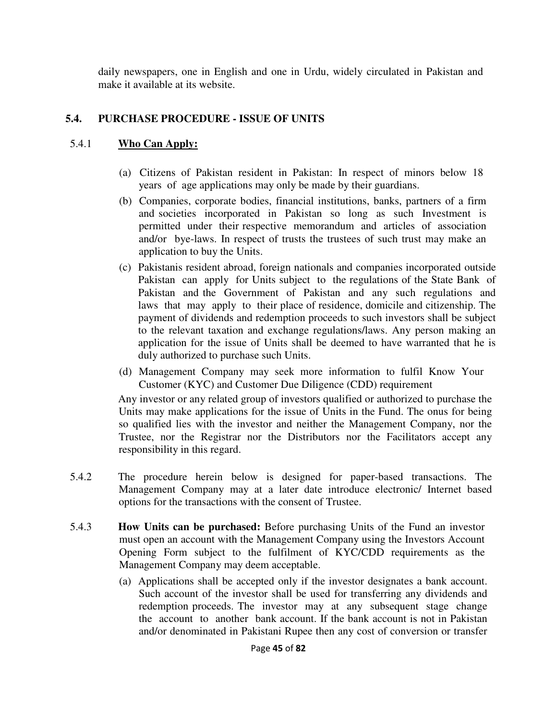daily newspapers, one in English and one in Urdu, widely circulated in Pakistan and make it available at its website.

### **5.4. PURCHASE PROCEDURE - ISSUE OF UNITS**

### 5.4.1 **Who Can Apply:**

- (a) Citizens of Pakistan resident in Pakistan: In respect of minors below 18 years of age applications may only be made by their guardians.
- (b) Companies, corporate bodies, financial institutions, banks, partners of a firm and societies incorporated in Pakistan so long as such Investment is permitted under their respective memorandum and articles of association and/or bye-laws. In respect of trusts the trustees of such trust may make an application to buy the Units.
- (c) Pakistanis resident abroad, foreign nationals and companies incorporated outside Pakistan can apply for Units subject to the regulations of the State Bank of Pakistan and the Government of Pakistan and any such regulations and laws that may apply to their place of residence, domicile and citizenship. The payment of dividends and redemption proceeds to such investors shall be subject to the relevant taxation and exchange regulations/laws. Any person making an application for the issue of Units shall be deemed to have warranted that he is duly authorized to purchase such Units.
- (d) Management Company may seek more information to fulfil Know Your Customer (KYC) and Customer Due Diligence (CDD) requirement

 Any investor or any related group of investors qualified or authorized to purchase the Units may make applications for the issue of Units in the Fund. The onus for being so qualified lies with the investor and neither the Management Company, nor the Trustee, nor the Registrar nor the Distributors nor the Facilitators accept any responsibility in this regard.

- 5.4.2 The procedure herein below is designed for paper-based transactions. The Management Company may at a later date introduce electronic/ Internet based options for the transactions with the consent of Trustee.
- 5.4.3 **How Units can be purchased:** Before purchasing Units of the Fund an investor must open an account with the Management Company using the Investors Account Opening Form subject to the fulfilment of KYC/CDD requirements as the Management Company may deem acceptable.
	- (a) Applications shall be accepted only if the investor designates a bank account. Such account of the investor shall be used for transferring any dividends and redemption proceeds. The investor may at any subsequent stage change the account to another bank account. If the bank account is not in Pakistan and/or denominated in Pakistani Rupee then any cost of conversion or transfer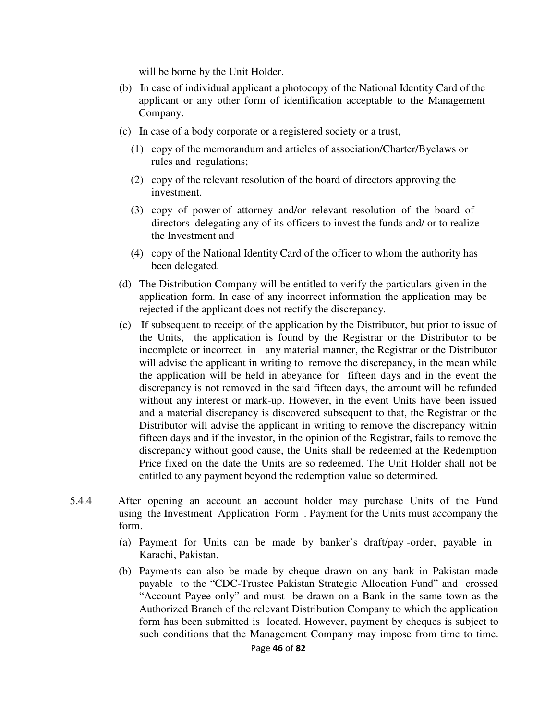will be borne by the Unit Holder.

- (b) In case of individual applicant a photocopy of the National Identity Card of the applicant or any other form of identification acceptable to the Management Company.
- (c) In case of a body corporate or a registered society or a trust,
	- (1) copy of the memorandum and articles of association/Charter/Byelaws or rules and regulations;
	- (2) copy of the relevant resolution of the board of directors approving the investment.
	- (3) copy of power of attorney and/or relevant resolution of the board of directors delegating any of its officers to invest the funds and/ or to realize the Investment and
	- (4) copy of the National Identity Card of the officer to whom the authority has been delegated.
- (d) The Distribution Company will be entitled to verify the particulars given in the application form. In case of any incorrect information the application may be rejected if the applicant does not rectify the discrepancy.
- (e) If subsequent to receipt of the application by the Distributor, but prior to issue of the Units, the application is found by the Registrar or the Distributor to be incomplete or incorrect in any material manner, the Registrar or the Distributor will advise the applicant in writing to remove the discrepancy, in the mean while the application will be held in abeyance for fifteen days and in the event the discrepancy is not removed in the said fifteen days, the amount will be refunded without any interest or mark-up. However, in the event Units have been issued and a material discrepancy is discovered subsequent to that, the Registrar or the Distributor will advise the applicant in writing to remove the discrepancy within fifteen days and if the investor, in the opinion of the Registrar, fails to remove the discrepancy without good cause, the Units shall be redeemed at the Redemption Price fixed on the date the Units are so redeemed. The Unit Holder shall not be entitled to any payment beyond the redemption value so determined.
- 5.4.4 After opening an account an account holder may purchase Units of the Fund using the Investment Application Form . Payment for the Units must accompany the form.
	- (a) Payment for Units can be made by banker's draft/pay -order, payable in Karachi, Pakistan.
	- (b) Payments can also be made by cheque drawn on any bank in Pakistan made payable to the "CDC-Trustee Pakistan Strategic Allocation Fund" and crossed "Account Payee only" and must be drawn on a Bank in the same town as the Authorized Branch of the relevant Distribution Company to which the application form has been submitted is located. However, payment by cheques is subject to such conditions that the Management Company may impose from time to time.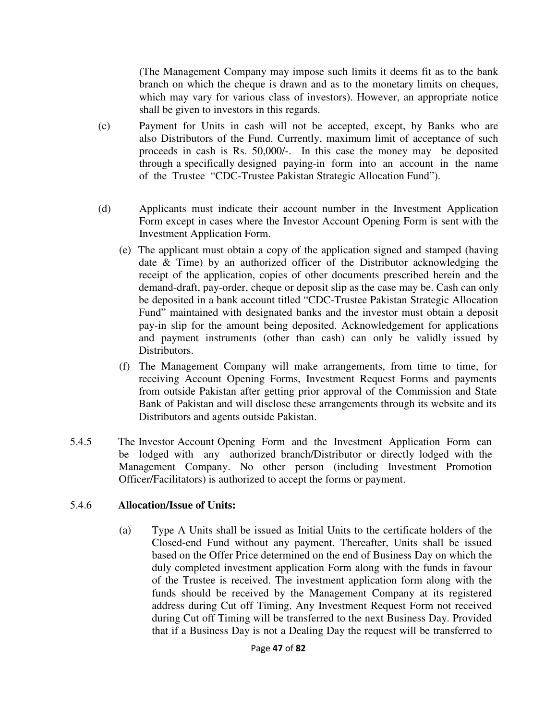(The Management Company may impose such limits it deems fit as to the bank branch on which the cheque is drawn and as to the monetary limits on cheques, which may vary for various class of investors). However, an appropriate notice shall be given to investors in this regards.

- (c) Payment for Units in cash will not be accepted, except, by Banks who are also Distributors of the Fund. Currently, maximum limit of acceptance of such proceeds in cash is Rs. 50,000/-. In this case the money may be deposited through a specifically designed paying-in form into an account in the name of the Trustee "CDC-Trustee Pakistan Strategic Allocation Fund").
- (d) Applicants must indicate their account number in the Investment Application Form except in cases where the Investor Account Opening Form is sent with the Investment Application Form.
	- (e) The applicant must obtain a copy of the application signed and stamped (having date & Time) by an authorized officer of the Distributor acknowledging the receipt of the application, copies of other documents prescribed herein and the demand-draft, pay-order, cheque or deposit slip as the case may be. Cash can only be deposited in a bank account titled "CDC-Trustee Pakistan Strategic Allocation Fund" maintained with designated banks and the investor must obtain a deposit pay-in slip for the amount being deposited. Acknowledgement for applications and payment instruments (other than cash) can only be validly issued by Distributors.
	- (f) The Management Company will make arrangements, from time to time, for receiving Account Opening Forms, Investment Request Forms and payments from outside Pakistan after getting prior approval of the Commission and State Bank of Pakistan and will disclose these arrangements through its website and its Distributors and agents outside Pakistan.
- 5.4.5 The Investor Account Opening Form and the Investment Application Form can be lodged with any authorized branch/Distributor or directly lodged with the Management Company. No other person (including Investment Promotion Officer/Facilitators) is authorized to accept the forms or payment.

### 5.4.6 **Allocation/Issue of Units:**

(a) Type A Units shall be issued as Initial Units to the certificate holders of the Closed-end Fund without any payment. Thereafter, Units shall be issued based on the Offer Price determined on the end of Business Day on which the duly completed investment application Form along with the funds in favour of the Trustee is received. The investment application form along with the funds should be received by the Management Company at its registered address during Cut off Timing. Any Investment Request Form not received during Cut off Timing will be transferred to the next Business Day. Provided that if a Business Day is not a Dealing Day the request will be transferred to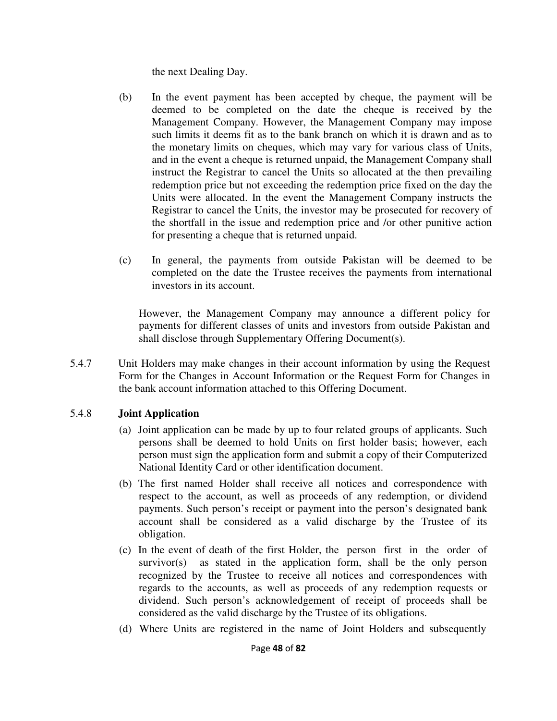the next Dealing Day.

- (b) In the event payment has been accepted by cheque, the payment will be deemed to be completed on the date the cheque is received by the Management Company. However, the Management Company may impose such limits it deems fit as to the bank branch on which it is drawn and as to the monetary limits on cheques, which may vary for various class of Units, and in the event a cheque is returned unpaid, the Management Company shall instruct the Registrar to cancel the Units so allocated at the then prevailing redemption price but not exceeding the redemption price fixed on the day the Units were allocated. In the event the Management Company instructs the Registrar to cancel the Units, the investor may be prosecuted for recovery of the shortfall in the issue and redemption price and /or other punitive action for presenting a cheque that is returned unpaid.
- (c) In general, the payments from outside Pakistan will be deemed to be completed on the date the Trustee receives the payments from international investors in its account.

However, the Management Company may announce a different policy for payments for different classes of units and investors from outside Pakistan and shall disclose through Supplementary Offering Document(s).

5.4.7 Unit Holders may make changes in their account information by using the Request Form for the Changes in Account Information or the Request Form for Changes in the bank account information attached to this Offering Document.

## 5.4.8 **Joint Application**

- (a) Joint application can be made by up to four related groups of applicants. Such persons shall be deemed to hold Units on first holder basis; however, each person must sign the application form and submit a copy of their Computerized National Identity Card or other identification document.
- (b) The first named Holder shall receive all notices and correspondence with respect to the account, as well as proceeds of any redemption, or dividend payments. Such person's receipt or payment into the person's designated bank account shall be considered as a valid discharge by the Trustee of its obligation.
- (c) In the event of death of the first Holder, the person first in the order of survivor(s) as stated in the application form, shall be the only person recognized by the Trustee to receive all notices and correspondences with regards to the accounts, as well as proceeds of any redemption requests or dividend. Such person's acknowledgement of receipt of proceeds shall be considered as the valid discharge by the Trustee of its obligations.
- (d) Where Units are registered in the name of Joint Holders and subsequently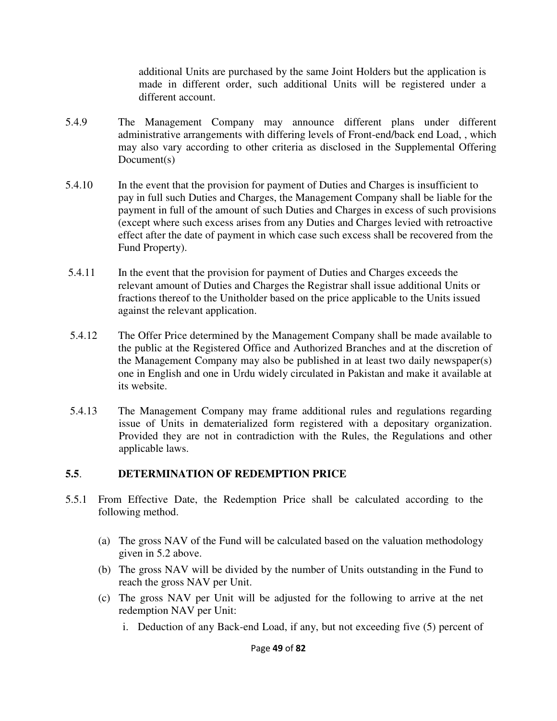additional Units are purchased by the same Joint Holders but the application is made in different order, such additional Units will be registered under a different account.

- 5.4.9 The Management Company may announce different plans under different administrative arrangements with differing levels of Front-end/back end Load, , which may also vary according to other criteria as disclosed in the Supplemental Offering Document(s)
- 5.4.10 In the event that the provision for payment of Duties and Charges is insufficient to pay in full such Duties and Charges, the Management Company shall be liable for the payment in full of the amount of such Duties and Charges in excess of such provisions (except where such excess arises from any Duties and Charges levied with retroactive effect after the date of payment in which case such excess shall be recovered from the Fund Property).
- 5.4.11 In the event that the provision for payment of Duties and Charges exceeds the relevant amount of Duties and Charges the Registrar shall issue additional Units or fractions thereof to the Unitholder based on the price applicable to the Units issued against the relevant application.
- 5.4.12 The Offer Price determined by the Management Company shall be made available to the public at the Registered Office and Authorized Branches and at the discretion of the Management Company may also be published in at least two daily newspaper(s) one in English and one in Urdu widely circulated in Pakistan and make it available at its website.
- 5.4.13 The Management Company may frame additional rules and regulations regarding issue of Units in dematerialized form registered with a depositary organization. Provided they are not in contradiction with the Rules, the Regulations and other applicable laws.

### **5.5**. **DETERMINATION OF REDEMPTION PRICE**

- 5.5.1 From Effective Date, the Redemption Price shall be calculated according to the following method.
	- (a) The gross NAV of the Fund will be calculated based on the valuation methodology given in 5.2 above.
	- (b) The gross NAV will be divided by the number of Units outstanding in the Fund to reach the gross NAV per Unit.
	- (c) The gross NAV per Unit will be adjusted for the following to arrive at the net redemption NAV per Unit:
		- i. Deduction of any Back-end Load, if any, but not exceeding five (5) percent of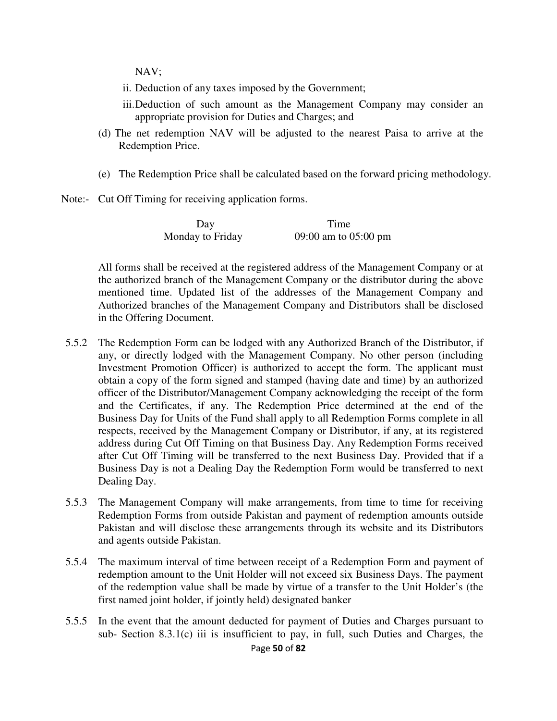NAV;

- ii. Deduction of any taxes imposed by the Government;
- iii. Deduction of such amount as the Management Company may consider an appropriate provision for Duties and Charges; and
- (d) The net redemption NAV will be adjusted to the nearest Paisa to arrive at the Redemption Price.
- (e) The Redemption Price shall be calculated based on the forward pricing methodology.
- Note:- Cut Off Timing for receiving application forms.

| Day              | Time                 |
|------------------|----------------------|
| Monday to Friday | 09:00 am to 05:00 pm |

 All forms shall be received at the registered address of the Management Company or at the authorized branch of the Management Company or the distributor during the above mentioned time. Updated list of the addresses of the Management Company and Authorized branches of the Management Company and Distributors shall be disclosed in the Offering Document.

- 5.5.2 The Redemption Form can be lodged with any Authorized Branch of the Distributor, if any, or directly lodged with the Management Company. No other person (including Investment Promotion Officer) is authorized to accept the form. The applicant must obtain a copy of the form signed and stamped (having date and time) by an authorized officer of the Distributor/Management Company acknowledging the receipt of the form and the Certificates, if any. The Redemption Price determined at the end of the Business Day for Units of the Fund shall apply to all Redemption Forms complete in all respects, received by the Management Company or Distributor, if any, at its registered address during Cut Off Timing on that Business Day. Any Redemption Forms received after Cut Off Timing will be transferred to the next Business Day. Provided that if a Business Day is not a Dealing Day the Redemption Form would be transferred to next Dealing Day.
- 5.5.3 The Management Company will make arrangements, from time to time for receiving Redemption Forms from outside Pakistan and payment of redemption amounts outside Pakistan and will disclose these arrangements through its website and its Distributors and agents outside Pakistan.
- 5.5.4 The maximum interval of time between receipt of a Redemption Form and payment of redemption amount to the Unit Holder will not exceed six Business Days. The payment of the redemption value shall be made by virtue of a transfer to the Unit Holder's (the first named joint holder, if jointly held) designated banker
- 5.5.5 In the event that the amount deducted for payment of Duties and Charges pursuant to sub- Section 8.3.1(c) iii is insufficient to pay, in full, such Duties and Charges, the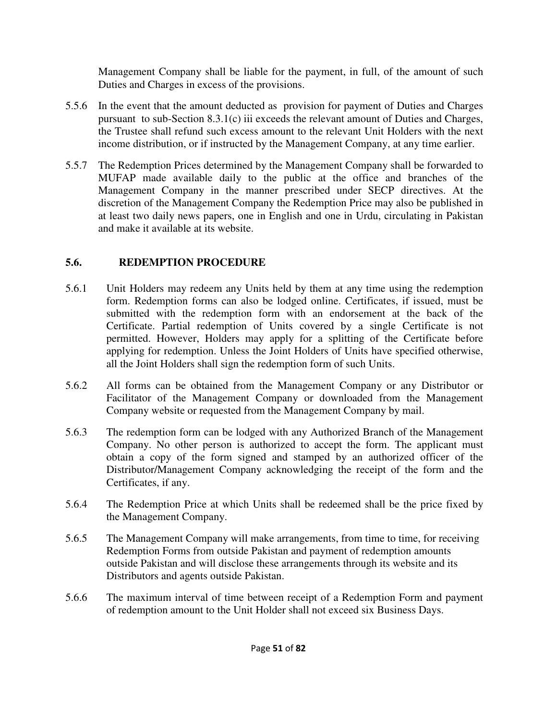Management Company shall be liable for the payment, in full, of the amount of such Duties and Charges in excess of the provisions.

- 5.5.6 In the event that the amount deducted as provision for payment of Duties and Charges pursuant to sub-Section 8.3.1(c) iii exceeds the relevant amount of Duties and Charges, the Trustee shall refund such excess amount to the relevant Unit Holders with the next income distribution, or if instructed by the Management Company, at any time earlier.
- 5.5.7 The Redemption Prices determined by the Management Company shall be forwarded to MUFAP made available daily to the public at the office and branches of the Management Company in the manner prescribed under SECP directives. At the discretion of the Management Company the Redemption Price may also be published in at least two daily news papers, one in English and one in Urdu, circulating in Pakistan and make it available at its website.

## **5.6. REDEMPTION PROCEDURE**

- 5.6.1 Unit Holders may redeem any Units held by them at any time using the redemption form. Redemption forms can also be lodged online. Certificates, if issued, must be submitted with the redemption form with an endorsement at the back of the Certificate. Partial redemption of Units covered by a single Certificate is not permitted. However, Holders may apply for a splitting of the Certificate before applying for redemption. Unless the Joint Holders of Units have specified otherwise, all the Joint Holders shall sign the redemption form of such Units.
- 5.6.2 All forms can be obtained from the Management Company or any Distributor or Facilitator of the Management Company or downloaded from the Management Company website or requested from the Management Company by mail.
- 5.6.3 The redemption form can be lodged with any Authorized Branch of the Management Company. No other person is authorized to accept the form. The applicant must obtain a copy of the form signed and stamped by an authorized officer of the Distributor/Management Company acknowledging the receipt of the form and the Certificates, if any.
- 5.6.4 The Redemption Price at which Units shall be redeemed shall be the price fixed by the Management Company.
- 5.6.5 The Management Company will make arrangements, from time to time, for receiving Redemption Forms from outside Pakistan and payment of redemption amounts outside Pakistan and will disclose these arrangements through its website and its Distributors and agents outside Pakistan.
- 5.6.6 The maximum interval of time between receipt of a Redemption Form and payment of redemption amount to the Unit Holder shall not exceed six Business Days.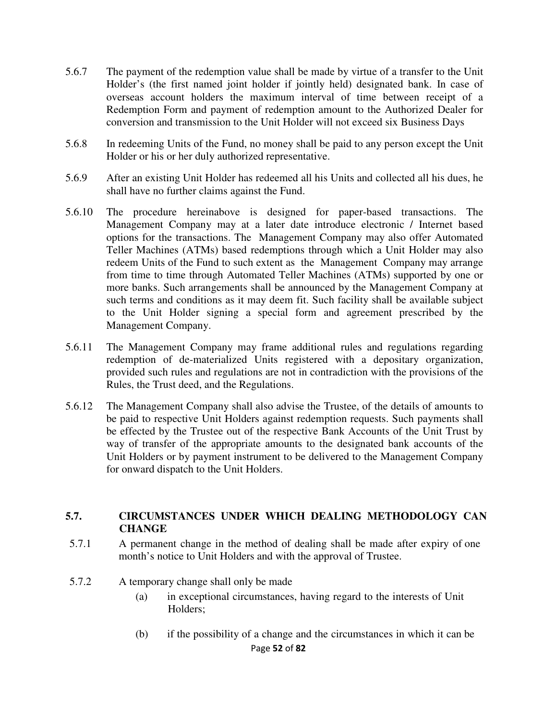- 5.6.7 The payment of the redemption value shall be made by virtue of a transfer to the Unit Holder's (the first named joint holder if jointly held) designated bank. In case of overseas account holders the maximum interval of time between receipt of a Redemption Form and payment of redemption amount to the Authorized Dealer for conversion and transmission to the Unit Holder will not exceed six Business Days
- 5.6.8 In redeeming Units of the Fund, no money shall be paid to any person except the Unit Holder or his or her duly authorized representative.
- 5.6.9 After an existing Unit Holder has redeemed all his Units and collected all his dues, he shall have no further claims against the Fund.
- 5.6.10 The procedure hereinabove is designed for paper-based transactions. The Management Company may at a later date introduce electronic / Internet based options for the transactions. The Management Company may also offer Automated Teller Machines (ATMs) based redemptions through which a Unit Holder may also redeem Units of the Fund to such extent as the Management Company may arrange from time to time through Automated Teller Machines (ATMs) supported by one or more banks. Such arrangements shall be announced by the Management Company at such terms and conditions as it may deem fit. Such facility shall be available subject to the Unit Holder signing a special form and agreement prescribed by the Management Company.
- 5.6.11 The Management Company may frame additional rules and regulations regarding redemption of de-materialized Units registered with a depositary organization, provided such rules and regulations are not in contradiction with the provisions of the Rules, the Trust deed, and the Regulations.
- 5.6.12 The Management Company shall also advise the Trustee, of the details of amounts to be paid to respective Unit Holders against redemption requests. Such payments shall be effected by the Trustee out of the respective Bank Accounts of the Unit Trust by way of transfer of the appropriate amounts to the designated bank accounts of the Unit Holders or by payment instrument to be delivered to the Management Company for onward dispatch to the Unit Holders.

#### **5.7. CIRCUMSTANCES UNDER WHICH DEALING METHODOLOGY CAN CHANGE**

- 5.7.1 A permanent change in the method of dealing shall be made after expiry of one month's notice to Unit Holders and with the approval of Trustee.
- 5.7.2 A temporary change shall only be made
	- (a) in exceptional circumstances, having regard to the interests of Unit Holders;
	- Page **52** of **82** (b) if the possibility of a change and the circumstances in which it can be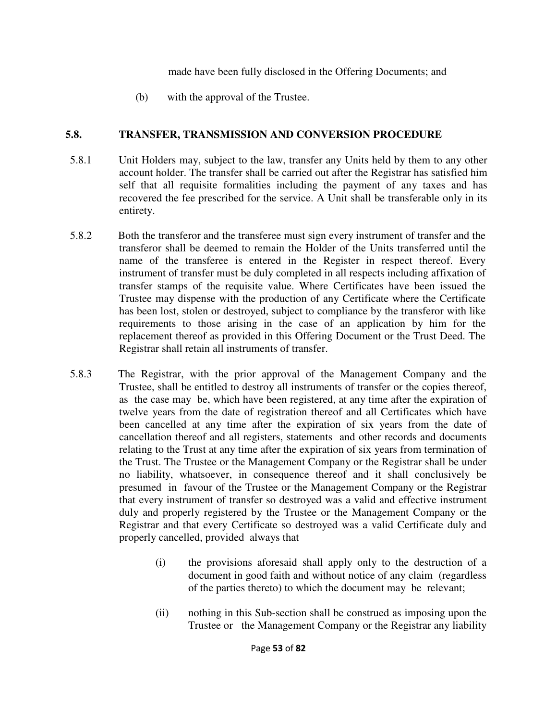made have been fully disclosed in the Offering Documents; and

(b) with the approval of the Trustee.

### **5.8. TRANSFER, TRANSMISSION AND CONVERSION PROCEDURE**

- 5.8.1 Unit Holders may, subject to the law, transfer any Units held by them to any other account holder. The transfer shall be carried out after the Registrar has satisfied him self that all requisite formalities including the payment of any taxes and has recovered the fee prescribed for the service. A Unit shall be transferable only in its entirety.
- 5.8.2 Both the transferor and the transferee must sign every instrument of transfer and the transferor shall be deemed to remain the Holder of the Units transferred until the name of the transferee is entered in the Register in respect thereof. Every instrument of transfer must be duly completed in all respects including affixation of transfer stamps of the requisite value. Where Certificates have been issued the Trustee may dispense with the production of any Certificate where the Certificate has been lost, stolen or destroyed, subject to compliance by the transferor with like requirements to those arising in the case of an application by him for the replacement thereof as provided in this Offering Document or the Trust Deed. The Registrar shall retain all instruments of transfer.
- 5.8.3 The Registrar, with the prior approval of the Management Company and the Trustee, shall be entitled to destroy all instruments of transfer or the copies thereof, as the case may be, which have been registered, at any time after the expiration of twelve years from the date of registration thereof and all Certificates which have been cancelled at any time after the expiration of six years from the date of cancellation thereof and all registers, statements and other records and documents relating to the Trust at any time after the expiration of six years from termination of the Trust. The Trustee or the Management Company or the Registrar shall be under no liability, whatsoever, in consequence thereof and it shall conclusively be presumed in favour of the Trustee or the Management Company or the Registrar that every instrument of transfer so destroyed was a valid and effective instrument duly and properly registered by the Trustee or the Management Company or the Registrar and that every Certificate so destroyed was a valid Certificate duly and properly cancelled, provided always that
	- (i) the provisions aforesaid shall apply only to the destruction of a document in good faith and without notice of any claim (regardless of the parties thereto) to which the document may be relevant;
	- (ii) nothing in this Sub-section shall be construed as imposing upon the Trustee or the Management Company or the Registrar any liability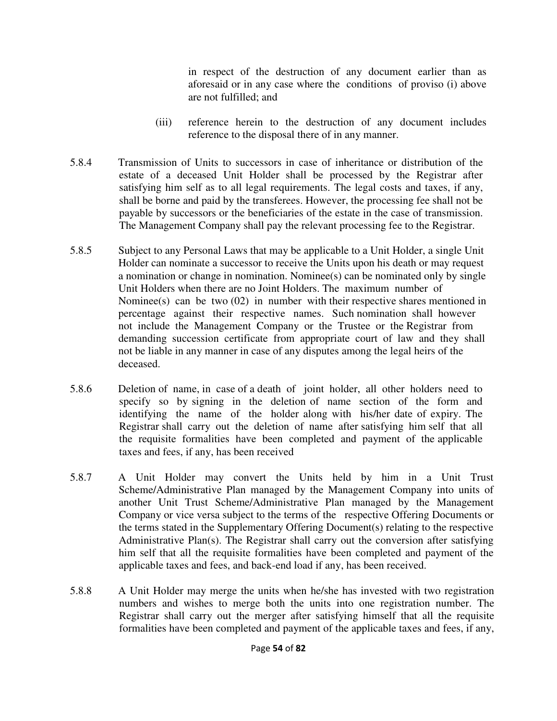in respect of the destruction of any document earlier than as aforesaid or in any case where the conditions of proviso (i) above are not fulfilled; and

- (iii) reference herein to the destruction of any document includes reference to the disposal there of in any manner.
- 5.8.4 Transmission of Units to successors in case of inheritance or distribution of the estate of a deceased Unit Holder shall be processed by the Registrar after satisfying him self as to all legal requirements. The legal costs and taxes, if any, shall be borne and paid by the transferees. However, the processing fee shall not be payable by successors or the beneficiaries of the estate in the case of transmission. The Management Company shall pay the relevant processing fee to the Registrar.
- 5.8.5 Subject to any Personal Laws that may be applicable to a Unit Holder, a single Unit Holder can nominate a successor to receive the Units upon his death or may request a nomination or change in nomination. Nominee(s) can be nominated only by single Unit Holders when there are no Joint Holders. The maximum number of Nominee(s) can be two (02) in number with their respective shares mentioned in percentage against their respective names. Such nomination shall however not include the Management Company or the Trustee or the Registrar from demanding succession certificate from appropriate court of law and they shall not be liable in any manner in case of any disputes among the legal heirs of the deceased.
- 5.8.6 Deletion of name, in case of a death of joint holder, all other holders need to specify so by signing in the deletion of name section of the form and identifying the name of the holder along with his/her date of expiry. The Registrar shall carry out the deletion of name after satisfying him self that all the requisite formalities have been completed and payment of the applicable taxes and fees, if any, has been received
- 5.8.7 A Unit Holder may convert the Units held by him in a Unit Trust Scheme/Administrative Plan managed by the Management Company into units of another Unit Trust Scheme/Administrative Plan managed by the Management Company or vice versa subject to the terms of the respective Offering Documents or the terms stated in the Supplementary Offering Document(s) relating to the respective Administrative Plan(s). The Registrar shall carry out the conversion after satisfying him self that all the requisite formalities have been completed and payment of the applicable taxes and fees, and back-end load if any, has been received.
- 5.8.8 A Unit Holder may merge the units when he/she has invested with two registration numbers and wishes to merge both the units into one registration number. The Registrar shall carry out the merger after satisfying himself that all the requisite formalities have been completed and payment of the applicable taxes and fees, if any,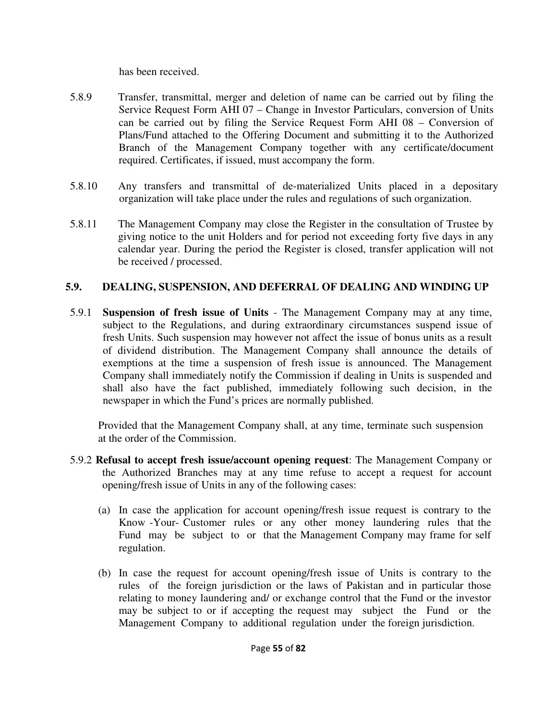has been received.

- 5.8.9 Transfer, transmittal, merger and deletion of name can be carried out by filing the Service Request Form AHI 07 – Change in Investor Particulars, conversion of Units can be carried out by filing the Service Request Form AHI 08 – Conversion of Plans/Fund attached to the Offering Document and submitting it to the Authorized Branch of the Management Company together with any certificate/document required. Certificates, if issued, must accompany the form.
- 5.8.10 Any transfers and transmittal of de-materialized Units placed in a depositary organization will take place under the rules and regulations of such organization.
- 5.8.11 The Management Company may close the Register in the consultation of Trustee by giving notice to the unit Holders and for period not exceeding forty five days in any calendar year. During the period the Register is closed, transfer application will not be received / processed.

### **5.9. DEALING, SUSPENSION, AND DEFERRAL OF DEALING AND WINDING UP**

5.9.1 **Suspension of fresh issue of Units** - The Management Company may at any time, subject to the Regulations, and during extraordinary circumstances suspend issue of fresh Units. Such suspension may however not affect the issue of bonus units as a result of dividend distribution. The Management Company shall announce the details of exemptions at the time a suspension of fresh issue is announced. The Management Company shall immediately notify the Commission if dealing in Units is suspended and shall also have the fact published, immediately following such decision, in the newspaper in which the Fund's prices are normally published.

 Provided that the Management Company shall, at any time, terminate such suspension at the order of the Commission.

- 5.9.2 **Refusal to accept fresh issue/account opening request**: The Management Company or the Authorized Branches may at any time refuse to accept a request for account opening/fresh issue of Units in any of the following cases:
	- (a) In case the application for account opening/fresh issue request is contrary to the Know -Your- Customer rules or any other money laundering rules that the Fund may be subject to or that the Management Company may frame for self regulation.
	- (b) In case the request for account opening/fresh issue of Units is contrary to the rules of the foreign jurisdiction or the laws of Pakistan and in particular those relating to money laundering and/ or exchange control that the Fund or the investor may be subject to or if accepting the request may subject the Fund or the Management Company to additional regulation under the foreign jurisdiction.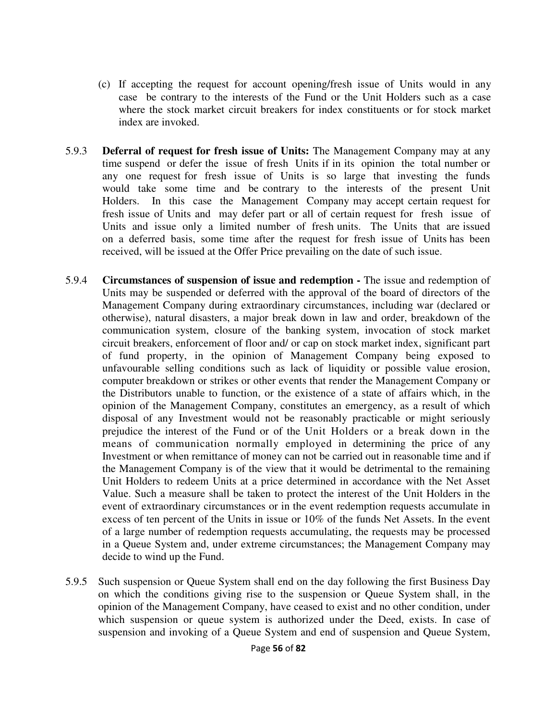- (c) If accepting the request for account opening/fresh issue of Units would in any case be contrary to the interests of the Fund or the Unit Holders such as a case where the stock market circuit breakers for index constituents or for stock market index are invoked.
- 5.9.3 **Deferral of request for fresh issue of Units:** The Management Company may at any time suspend or defer the issue of fresh Units if in its opinion the total number or any one request for fresh issue of Units is so large that investing the funds would take some time and be contrary to the interests of the present Unit Holders. In this case the Management Company may accept certain request for fresh issue of Units and may defer part or all of certain request for fresh issue of Units and issue only a limited number of fresh units. The Units that are issued on a deferred basis, some time after the request for fresh issue of Units has been received, will be issued at the Offer Price prevailing on the date of such issue.
- 5.9.4 **Circumstances of suspension of issue and redemption -** The issue and redemption of Units may be suspended or deferred with the approval of the board of directors of the Management Company during extraordinary circumstances, including war (declared or otherwise), natural disasters, a major break down in law and order, breakdown of the communication system, closure of the banking system, invocation of stock market circuit breakers, enforcement of floor and/ or cap on stock market index, significant part of fund property, in the opinion of Management Company being exposed to unfavourable selling conditions such as lack of liquidity or possible value erosion, computer breakdown or strikes or other events that render the Management Company or the Distributors unable to function, or the existence of a state of affairs which, in the opinion of the Management Company, constitutes an emergency, as a result of which disposal of any Investment would not be reasonably practicable or might seriously prejudice the interest of the Fund or of the Unit Holders or a break down in the means of communication normally employed in determining the price of any Investment or when remittance of money can not be carried out in reasonable time and if the Management Company is of the view that it would be detrimental to the remaining Unit Holders to redeem Units at a price determined in accordance with the Net Asset Value. Such a measure shall be taken to protect the interest of the Unit Holders in the event of extraordinary circumstances or in the event redemption requests accumulate in excess of ten percent of the Units in issue or 10% of the funds Net Assets. In the event of a large number of redemption requests accumulating, the requests may be processed in a Queue System and, under extreme circumstances; the Management Company may decide to wind up the Fund.
- 5.9.5 Such suspension or Queue System shall end on the day following the first Business Day on which the conditions giving rise to the suspension or Queue System shall, in the opinion of the Management Company, have ceased to exist and no other condition, under which suspension or queue system is authorized under the Deed, exists. In case of suspension and invoking of a Queue System and end of suspension and Queue System,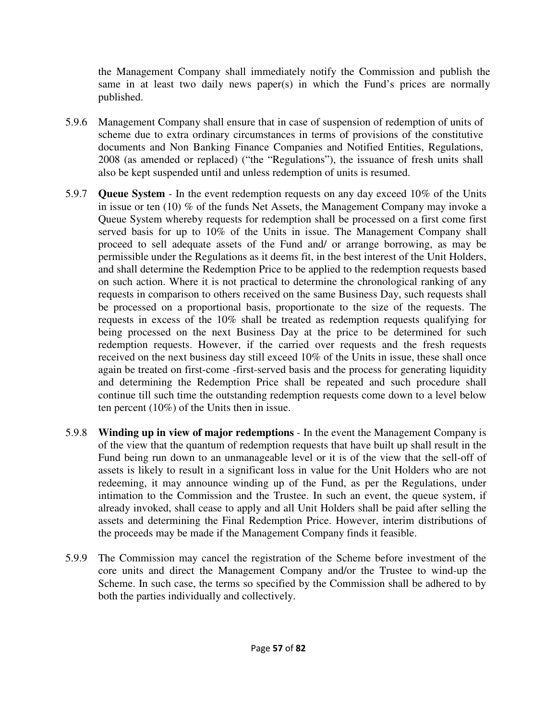the Management Company shall immediately notify the Commission and publish the same in at least two daily news paper(s) in which the Fund's prices are normally published.

- 5.9.6 Management Company shall ensure that in case of suspension of redemption of units of scheme due to extra ordinary circumstances in terms of provisions of the constitutive documents and Non Banking Finance Companies and Notified Entities, Regulations, 2008 (as amended or replaced) ("the "Regulations"), the issuance of fresh units shall also be kept suspended until and unless redemption of units is resumed.
- 5.9.7 **Queue System** In the event redemption requests on any day exceed 10% of the Units in issue or ten (10) % of the funds Net Assets, the Management Company may invoke a Queue System whereby requests for redemption shall be processed on a first come first served basis for up to 10% of the Units in issue. The Management Company shall proceed to sell adequate assets of the Fund and/ or arrange borrowing, as may be permissible under the Regulations as it deems fit, in the best interest of the Unit Holders, and shall determine the Redemption Price to be applied to the redemption requests based on such action. Where it is not practical to determine the chronological ranking of any requests in comparison to others received on the same Business Day, such requests shall be processed on a proportional basis, proportionate to the size of the requests. The requests in excess of the 10% shall be treated as redemption requests qualifying for being processed on the next Business Day at the price to be determined for such redemption requests. However, if the carried over requests and the fresh requests received on the next business day still exceed 10% of the Units in issue, these shall once again be treated on first-come -first-served basis and the process for generating liquidity and determining the Redemption Price shall be repeated and such procedure shall continue till such time the outstanding redemption requests come down to a level below ten percent (10%) of the Units then in issue.
- 5.9.8 **Winding up in view of major redemptions** In the event the Management Company is of the view that the quantum of redemption requests that have built up shall result in the Fund being run down to an unmanageable level or it is of the view that the sell-off of assets is likely to result in a significant loss in value for the Unit Holders who are not redeeming, it may announce winding up of the Fund, as per the Regulations, under intimation to the Commission and the Trustee. In such an event, the queue system, if already invoked, shall cease to apply and all Unit Holders shall be paid after selling the assets and determining the Final Redemption Price. However, interim distributions of the proceeds may be made if the Management Company finds it feasible.
- 5.9.9 The Commission may cancel the registration of the Scheme before investment of the core units and direct the Management Company and/or the Trustee to wind-up the Scheme. In such case, the terms so specified by the Commission shall be adhered to by both the parties individually and collectively.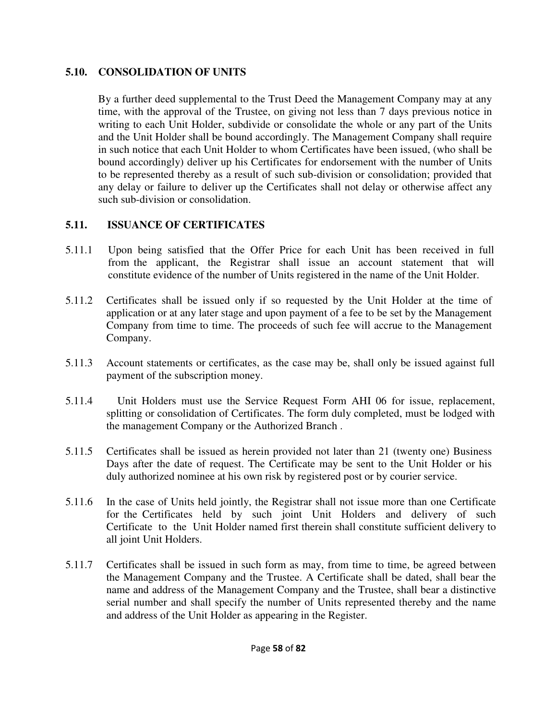### **5.10. CONSOLIDATION OF UNITS**

By a further deed supplemental to the Trust Deed the Management Company may at any time, with the approval of the Trustee, on giving not less than 7 days previous notice in writing to each Unit Holder, subdivide or consolidate the whole or any part of the Units and the Unit Holder shall be bound accordingly. The Management Company shall require in such notice that each Unit Holder to whom Certificates have been issued, (who shall be bound accordingly) deliver up his Certificates for endorsement with the number of Units to be represented thereby as a result of such sub-division or consolidation; provided that any delay or failure to deliver up the Certificates shall not delay or otherwise affect any such sub-division or consolidation.

## **5.11. ISSUANCE OF CERTIFICATES**

- 5.11.1 Upon being satisfied that the Offer Price for each Unit has been received in full from the applicant, the Registrar shall issue an account statement that will constitute evidence of the number of Units registered in the name of the Unit Holder.
- 5.11.2 Certificates shall be issued only if so requested by the Unit Holder at the time of application or at any later stage and upon payment of a fee to be set by the Management Company from time to time. The proceeds of such fee will accrue to the Management Company.
- 5.11.3 Account statements or certificates, as the case may be, shall only be issued against full payment of the subscription money.
- 5.11.4 Unit Holders must use the Service Request Form AHI 06 for issue, replacement, splitting or consolidation of Certificates. The form duly completed, must be lodged with the management Company or the Authorized Branch .
- 5.11.5 Certificates shall be issued as herein provided not later than 21 (twenty one) Business Days after the date of request. The Certificate may be sent to the Unit Holder or his duly authorized nominee at his own risk by registered post or by courier service.
- 5.11.6 In the case of Units held jointly, the Registrar shall not issue more than one Certificate for the Certificates held by such joint Unit Holders and delivery of such Certificate to the Unit Holder named first therein shall constitute sufficient delivery to all joint Unit Holders.
- 5.11.7 Certificates shall be issued in such form as may, from time to time, be agreed between the Management Company and the Trustee. A Certificate shall be dated, shall bear the name and address of the Management Company and the Trustee, shall bear a distinctive serial number and shall specify the number of Units represented thereby and the name and address of the Unit Holder as appearing in the Register.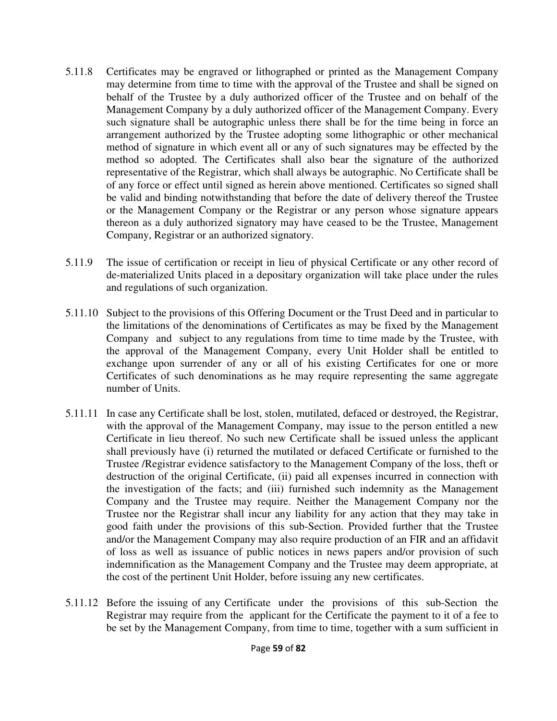- 5.11.8 Certificates may be engraved or lithographed or printed as the Management Company may determine from time to time with the approval of the Trustee and shall be signed on behalf of the Trustee by a duly authorized officer of the Trustee and on behalf of the Management Company by a duly authorized officer of the Management Company. Every such signature shall be autographic unless there shall be for the time being in force an arrangement authorized by the Trustee adopting some lithographic or other mechanical method of signature in which event all or any of such signatures may be effected by the method so adopted. The Certificates shall also bear the signature of the authorized representative of the Registrar, which shall always be autographic. No Certificate shall be of any force or effect until signed as herein above mentioned. Certificates so signed shall be valid and binding notwithstanding that before the date of delivery thereof the Trustee or the Management Company or the Registrar or any person whose signature appears thereon as a duly authorized signatory may have ceased to be the Trustee, Management Company, Registrar or an authorized signatory.
- 5.11.9 The issue of certification or receipt in lieu of physical Certificate or any other record of de-materialized Units placed in a depositary organization will take place under the rules and regulations of such organization.
- 5.11.10 Subject to the provisions of this Offering Document or the Trust Deed and in particular to the limitations of the denominations of Certificates as may be fixed by the Management Company and subject to any regulations from time to time made by the Trustee, with the approval of the Management Company, every Unit Holder shall be entitled to exchange upon surrender of any or all of his existing Certificates for one or more Certificates of such denominations as he may require representing the same aggregate number of Units.
- 5.11.11 In case any Certificate shall be lost, stolen, mutilated, defaced or destroyed, the Registrar, with the approval of the Management Company, may issue to the person entitled a new Certificate in lieu thereof. No such new Certificate shall be issued unless the applicant shall previously have (i) returned the mutilated or defaced Certificate or furnished to the Trustee /Registrar evidence satisfactory to the Management Company of the loss, theft or destruction of the original Certificate, (ii) paid all expenses incurred in connection with the investigation of the facts; and (iii) furnished such indemnity as the Management Company and the Trustee may require. Neither the Management Company nor the Trustee nor the Registrar shall incur any liability for any action that they may take in good faith under the provisions of this sub-Section. Provided further that the Trustee and/or the Management Company may also require production of an FIR and an affidavit of loss as well as issuance of public notices in news papers and/or provision of such indemnification as the Management Company and the Trustee may deem appropriate, at the cost of the pertinent Unit Holder, before issuing any new certificates.
- 5.11.12 Before the issuing of any Certificate under the provisions of this sub-Section the Registrar may require from the applicant for the Certificate the payment to it of a fee to be set by the Management Company, from time to time, together with a sum sufficient in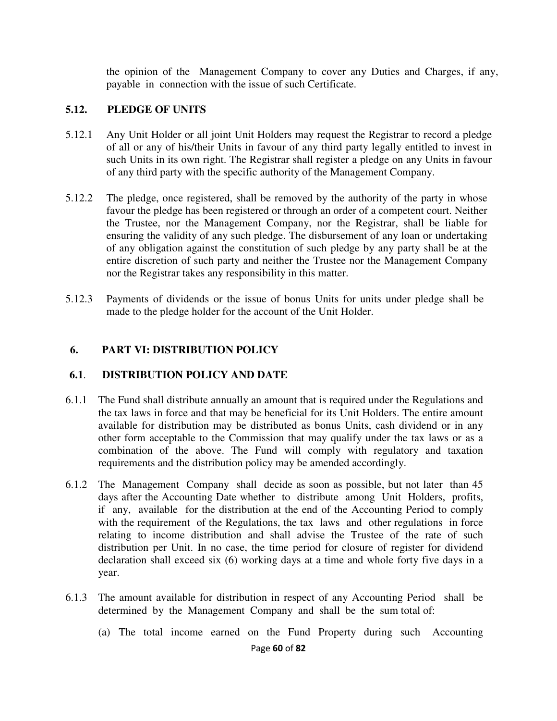the opinion of the Management Company to cover any Duties and Charges, if any, payable in connection with the issue of such Certificate.

#### **5.12. PLEDGE OF UNITS**

- 5.12.1 Any Unit Holder or all joint Unit Holders may request the Registrar to record a pledge of all or any of his/their Units in favour of any third party legally entitled to invest in such Units in its own right. The Registrar shall register a pledge on any Units in favour of any third party with the specific authority of the Management Company.
- 5.12.2 The pledge, once registered, shall be removed by the authority of the party in whose favour the pledge has been registered or through an order of a competent court. Neither the Trustee, nor the Management Company, nor the Registrar, shall be liable for ensuring the validity of any such pledge. The disbursement of any loan or undertaking of any obligation against the constitution of such pledge by any party shall be at the entire discretion of such party and neither the Trustee nor the Management Company nor the Registrar takes any responsibility in this matter.
- 5.12.3 Payments of dividends or the issue of bonus Units for units under pledge shall be made to the pledge holder for the account of the Unit Holder.

### **6. PART VI: DISTRIBUTION POLICY**

#### **6.1**. **DISTRIBUTION POLICY AND DATE**

- 6.1.1 The Fund shall distribute annually an amount that is required under the Regulations and the tax laws in force and that may be beneficial for its Unit Holders. The entire amount available for distribution may be distributed as bonus Units, cash dividend or in any other form acceptable to the Commission that may qualify under the tax laws or as a combination of the above. The Fund will comply with regulatory and taxation requirements and the distribution policy may be amended accordingly.
- 6.1.2 The Management Company shall decide as soon as possible, but not later than 45 days after the Accounting Date whether to distribute among Unit Holders, profits, if any, available for the distribution at the end of the Accounting Period to comply with the requirement of the Regulations, the tax laws and other regulations in force relating to income distribution and shall advise the Trustee of the rate of such distribution per Unit. In no case, the time period for closure of register for dividend declaration shall exceed six (6) working days at a time and whole forty five days in a year.
- 6.1.3 The amount available for distribution in respect of any Accounting Period shall be determined by the Management Company and shall be the sum total of:
	- (a) The total income earned on the Fund Property during such Accounting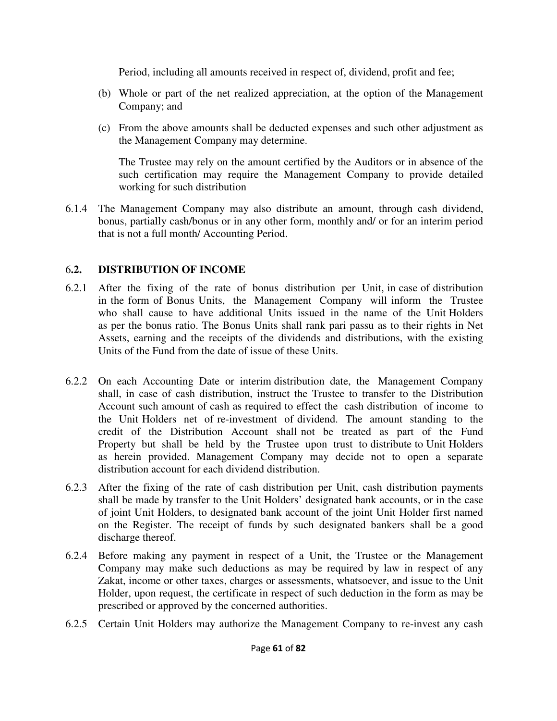Period, including all amounts received in respect of, dividend, profit and fee;

- (b) Whole or part of the net realized appreciation, at the option of the Management Company; and
- (c) From the above amounts shall be deducted expenses and such other adjustment as the Management Company may determine.

The Trustee may rely on the amount certified by the Auditors or in absence of the such certification may require the Management Company to provide detailed working for such distribution

6.1.4 The Management Company may also distribute an amount, through cash dividend, bonus, partially cash/bonus or in any other form, monthly and/ or for an interim period that is not a full month/ Accounting Period.

### 6**.2. DISTRIBUTION OF INCOME**

- 6.2.1 After the fixing of the rate of bonus distribution per Unit, in case of distribution in the form of Bonus Units, the Management Company will inform the Trustee who shall cause to have additional Units issued in the name of the Unit Holders as per the bonus ratio. The Bonus Units shall rank pari passu as to their rights in Net Assets, earning and the receipts of the dividends and distributions, with the existing Units of the Fund from the date of issue of these Units.
- 6.2.2 On each Accounting Date or interim distribution date, the Management Company shall, in case of cash distribution, instruct the Trustee to transfer to the Distribution Account such amount of cash as required to effect the cash distribution of income to the Unit Holders net of re-investment of dividend. The amount standing to the credit of the Distribution Account shall not be treated as part of the Fund Property but shall be held by the Trustee upon trust to distribute to Unit Holders as herein provided. Management Company may decide not to open a separate distribution account for each dividend distribution.
- 6.2.3 After the fixing of the rate of cash distribution per Unit, cash distribution payments shall be made by transfer to the Unit Holders' designated bank accounts, or in the case of joint Unit Holders, to designated bank account of the joint Unit Holder first named on the Register. The receipt of funds by such designated bankers shall be a good discharge thereof.
- 6.2.4 Before making any payment in respect of a Unit, the Trustee or the Management Company may make such deductions as may be required by law in respect of any Zakat, income or other taxes, charges or assessments, whatsoever, and issue to the Unit Holder, upon request, the certificate in respect of such deduction in the form as may be prescribed or approved by the concerned authorities.
- 6.2.5 Certain Unit Holders may authorize the Management Company to re-invest any cash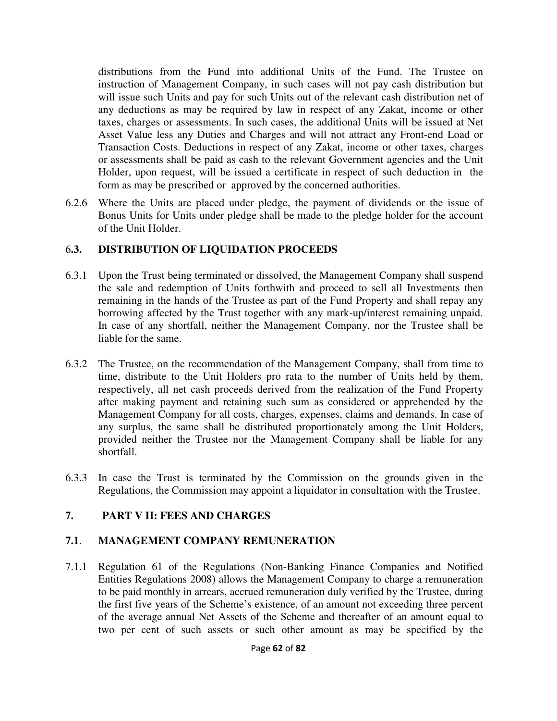distributions from the Fund into additional Units of the Fund. The Trustee on instruction of Management Company, in such cases will not pay cash distribution but will issue such Units and pay for such Units out of the relevant cash distribution net of any deductions as may be required by law in respect of any Zakat, income or other taxes, charges or assessments. In such cases, the additional Units will be issued at Net Asset Value less any Duties and Charges and will not attract any Front-end Load or Transaction Costs. Deductions in respect of any Zakat, income or other taxes, charges or assessments shall be paid as cash to the relevant Government agencies and the Unit Holder, upon request, will be issued a certificate in respect of such deduction in the form as may be prescribed or approved by the concerned authorities.

6.2.6 Where the Units are placed under pledge, the payment of dividends or the issue of Bonus Units for Units under pledge shall be made to the pledge holder for the account of the Unit Holder.

### 6**.3. DISTRIBUTION OF LIQUIDATION PROCEEDS**

- 6.3.1 Upon the Trust being terminated or dissolved, the Management Company shall suspend the sale and redemption of Units forthwith and proceed to sell all Investments then remaining in the hands of the Trustee as part of the Fund Property and shall repay any borrowing affected by the Trust together with any mark-up/interest remaining unpaid. In case of any shortfall, neither the Management Company, nor the Trustee shall be liable for the same.
- 6.3.2 The Trustee, on the recommendation of the Management Company, shall from time to time, distribute to the Unit Holders pro rata to the number of Units held by them, respectively, all net cash proceeds derived from the realization of the Fund Property after making payment and retaining such sum as considered or apprehended by the Management Company for all costs, charges, expenses, claims and demands. In case of any surplus, the same shall be distributed proportionately among the Unit Holders, provided neither the Trustee nor the Management Company shall be liable for any shortfall.
- 6.3.3 In case the Trust is terminated by the Commission on the grounds given in the Regulations, the Commission may appoint a liquidator in consultation with the Trustee.

### **7. PART V II: FEES AND CHARGES**

### **7.1**. **MANAGEMENT COMPANY REMUNERATION**

7.1.1 Regulation 61 of the Regulations (Non-Banking Finance Companies and Notified Entities Regulations 2008) allows the Management Company to charge a remuneration to be paid monthly in arrears, accrued remuneration duly verified by the Trustee, during the first five years of the Scheme's existence, of an amount not exceeding three percent of the average annual Net Assets of the Scheme and thereafter of an amount equal to two per cent of such assets or such other amount as may be specified by the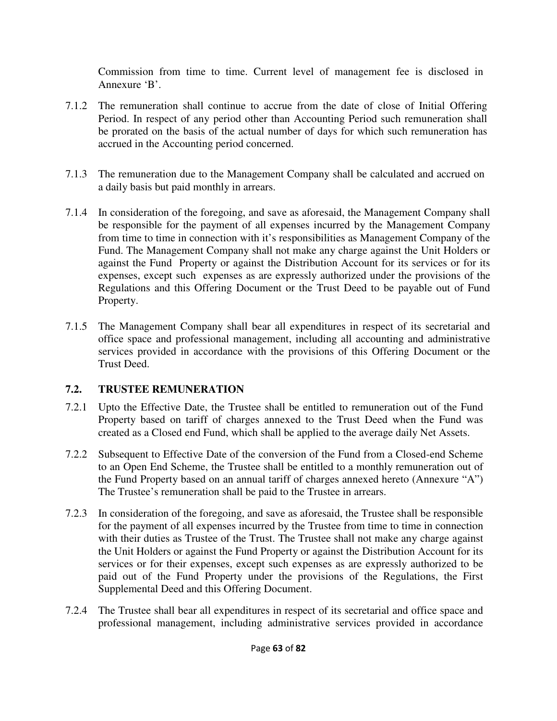Commission from time to time. Current level of management fee is disclosed in Annexure 'B'.

- 7.1.2 The remuneration shall continue to accrue from the date of close of Initial Offering Period. In respect of any period other than Accounting Period such remuneration shall be prorated on the basis of the actual number of days for which such remuneration has accrued in the Accounting period concerned.
- 7.1.3 The remuneration due to the Management Company shall be calculated and accrued on a daily basis but paid monthly in arrears.
- 7.1.4 In consideration of the foregoing, and save as aforesaid, the Management Company shall be responsible for the payment of all expenses incurred by the Management Company from time to time in connection with it's responsibilities as Management Company of the Fund. The Management Company shall not make any charge against the Unit Holders or against the Fund Property or against the Distribution Account for its services or for its expenses, except such expenses as are expressly authorized under the provisions of the Regulations and this Offering Document or the Trust Deed to be payable out of Fund Property.
- 7.1.5 The Management Company shall bear all expenditures in respect of its secretarial and office space and professional management, including all accounting and administrative services provided in accordance with the provisions of this Offering Document or the Trust Deed.

## **7.2. TRUSTEE REMUNERATION**

- 7.2.1 Upto the Effective Date, the Trustee shall be entitled to remuneration out of the Fund Property based on tariff of charges annexed to the Trust Deed when the Fund was created as a Closed end Fund, which shall be applied to the average daily Net Assets.
- 7.2.2 Subsequent to Effective Date of the conversion of the Fund from a Closed-end Scheme to an Open End Scheme, the Trustee shall be entitled to a monthly remuneration out of the Fund Property based on an annual tariff of charges annexed hereto (Annexure "A") The Trustee's remuneration shall be paid to the Trustee in arrears.
- 7.2.3 In consideration of the foregoing, and save as aforesaid, the Trustee shall be responsible for the payment of all expenses incurred by the Trustee from time to time in connection with their duties as Trustee of the Trust. The Trustee shall not make any charge against the Unit Holders or against the Fund Property or against the Distribution Account for its services or for their expenses, except such expenses as are expressly authorized to be paid out of the Fund Property under the provisions of the Regulations, the First Supplemental Deed and this Offering Document.
- 7.2.4 The Trustee shall bear all expenditures in respect of its secretarial and office space and professional management, including administrative services provided in accordance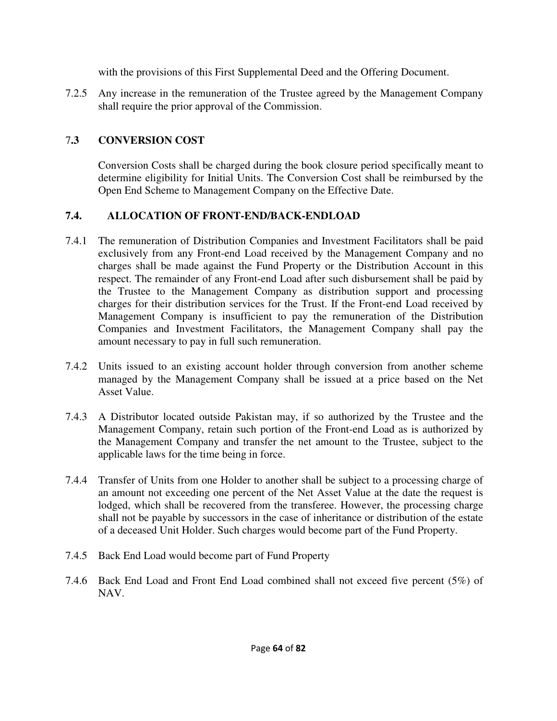with the provisions of this First Supplemental Deed and the Offering Document.

7.2.5 Any increase in the remuneration of the Trustee agreed by the Management Company shall require the prior approval of the Commission.

# 7**.3 CONVERSION COST**

Conversion Costs shall be charged during the book closure period specifically meant to determine eligibility for Initial Units. The Conversion Cost shall be reimbursed by the Open End Scheme to Management Company on the Effective Date.

## **7.4. ALLOCATION OF FRONT-END/BACK-ENDLOAD**

- 7.4.1 The remuneration of Distribution Companies and Investment Facilitators shall be paid exclusively from any Front-end Load received by the Management Company and no charges shall be made against the Fund Property or the Distribution Account in this respect. The remainder of any Front-end Load after such disbursement shall be paid by the Trustee to the Management Company as distribution support and processing charges for their distribution services for the Trust. If the Front-end Load received by Management Company is insufficient to pay the remuneration of the Distribution Companies and Investment Facilitators, the Management Company shall pay the amount necessary to pay in full such remuneration.
- 7.4.2 Units issued to an existing account holder through conversion from another scheme managed by the Management Company shall be issued at a price based on the Net Asset Value.
- 7.4.3 A Distributor located outside Pakistan may, if so authorized by the Trustee and the Management Company, retain such portion of the Front-end Load as is authorized by the Management Company and transfer the net amount to the Trustee, subject to the applicable laws for the time being in force.
- 7.4.4 Transfer of Units from one Holder to another shall be subject to a processing charge of an amount not exceeding one percent of the Net Asset Value at the date the request is lodged, which shall be recovered from the transferee. However, the processing charge shall not be payable by successors in the case of inheritance or distribution of the estate of a deceased Unit Holder. Such charges would become part of the Fund Property.
- 7.4.5 Back End Load would become part of Fund Property
- 7.4.6 Back End Load and Front End Load combined shall not exceed five percent (5%) of NAV.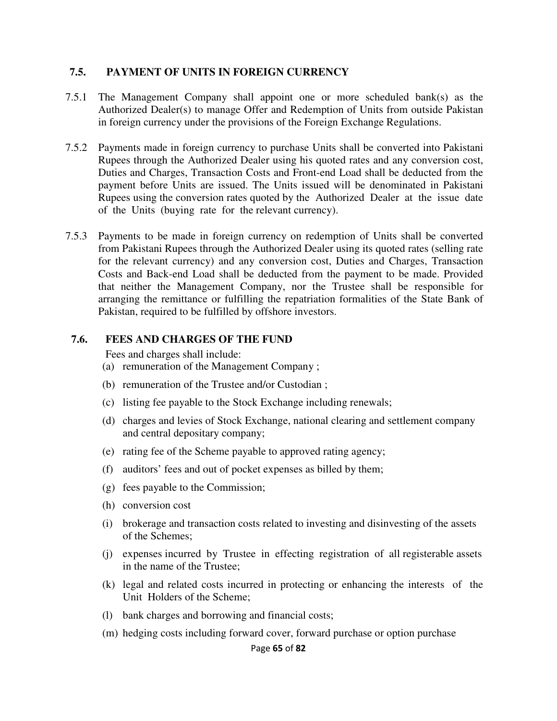#### **7.5. PAYMENT OF UNITS IN FOREIGN CURRENCY**

- 7.5.1 The Management Company shall appoint one or more scheduled bank(s) as the Authorized Dealer(s) to manage Offer and Redemption of Units from outside Pakistan in foreign currency under the provisions of the Foreign Exchange Regulations.
- 7.5.2 Payments made in foreign currency to purchase Units shall be converted into Pakistani Rupees through the Authorized Dealer using his quoted rates and any conversion cost, Duties and Charges, Transaction Costs and Front-end Load shall be deducted from the payment before Units are issued. The Units issued will be denominated in Pakistani Rupees using the conversion rates quoted by the Authorized Dealer at the issue date of the Units (buying rate for the relevant currency).
- 7.5.3 Payments to be made in foreign currency on redemption of Units shall be converted from Pakistani Rupees through the Authorized Dealer using its quoted rates (selling rate for the relevant currency) and any conversion cost, Duties and Charges, Transaction Costs and Back-end Load shall be deducted from the payment to be made. Provided that neither the Management Company, nor the Trustee shall be responsible for arranging the remittance or fulfilling the repatriation formalities of the State Bank of Pakistan, required to be fulfilled by offshore investors.

#### **7.6. FEES AND CHARGES OF THE FUND**

Fees and charges shall include:

- (a) remuneration of the Management Company ;
- (b) remuneration of the Trustee and/or Custodian ;
- (c) listing fee payable to the Stock Exchange including renewals;
- (d) charges and levies of Stock Exchange, national clearing and settlement company and central depositary company;
- (e) rating fee of the Scheme payable to approved rating agency;
- (f) auditors' fees and out of pocket expenses as billed by them;
- (g) fees payable to the Commission;
- (h) conversion cost
- (i) brokerage and transaction costs related to investing and disinvesting of the assets of the Schemes;
- (j) expenses incurred by Trustee in effecting registration of all registerable assets in the name of the Trustee;
- (k) legal and related costs incurred in protecting or enhancing the interests of the Unit Holders of the Scheme;
- (l) bank charges and borrowing and financial costs;
- (m) hedging costs including forward cover, forward purchase or option purchase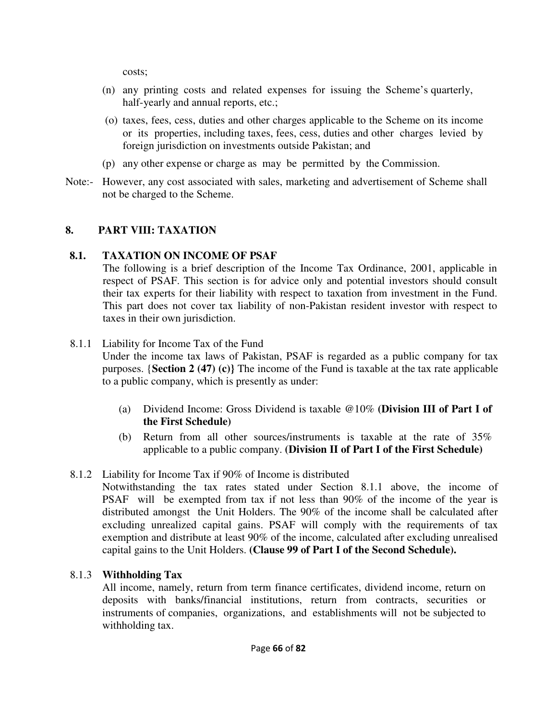costs;

- (n) any printing costs and related expenses for issuing the Scheme's quarterly, half-yearly and annual reports, etc.;
- (o) taxes, fees, cess, duties and other charges applicable to the Scheme on its income or its properties, including taxes, fees, cess, duties and other charges levied by foreign jurisdiction on investments outside Pakistan; and
- (p) any other expense or charge as may be permitted by the Commission.
- Note:- However, any cost associated with sales, marketing and advertisement of Scheme shall not be charged to the Scheme.

### **8. PART VIII: TAXATION**

### **8.1. TAXATION ON INCOME OF PSAF**

The following is a brief description of the Income Tax Ordinance, 2001, applicable in respect of PSAF. This section is for advice only and potential investors should consult their tax experts for their liability with respect to taxation from investment in the Fund. This part does not cover tax liability of non-Pakistan resident investor with respect to taxes in their own jurisdiction.

8.1.1 Liability for Income Tax of the Fund

Under the income tax laws of Pakistan, PSAF is regarded as a public company for tax purposes. {**Section 2 (47) (c)}** The income of the Fund is taxable at the tax rate applicable to a public company, which is presently as under:

- (a) Dividend Income: Gross Dividend is taxable @10% **(Division III of Part I of the First Schedule)**
- (b) Return from all other sources/instruments is taxable at the rate of 35% applicable to a public company. **(Division II of Part I of the First Schedule)**

## 8.1.2 Liability for Income Tax if 90% of Income is distributed

Notwithstanding the tax rates stated under Section 8.1.1 above, the income of PSAF will be exempted from tax if not less than 90% of the income of the year is distributed amongst the Unit Holders. The 90% of the income shall be calculated after excluding unrealized capital gains. PSAF will comply with the requirements of tax exemption and distribute at least 90% of the income, calculated after excluding unrealised capital gains to the Unit Holders. **(Clause 99 of Part I of the Second Schedule).**

## 8.1.3 **Withholding Tax**

All income, namely, return from term finance certificates, dividend income, return on deposits with banks/financial institutions, return from contracts, securities or instruments of companies, organizations, and establishments will not be subjected to withholding tax.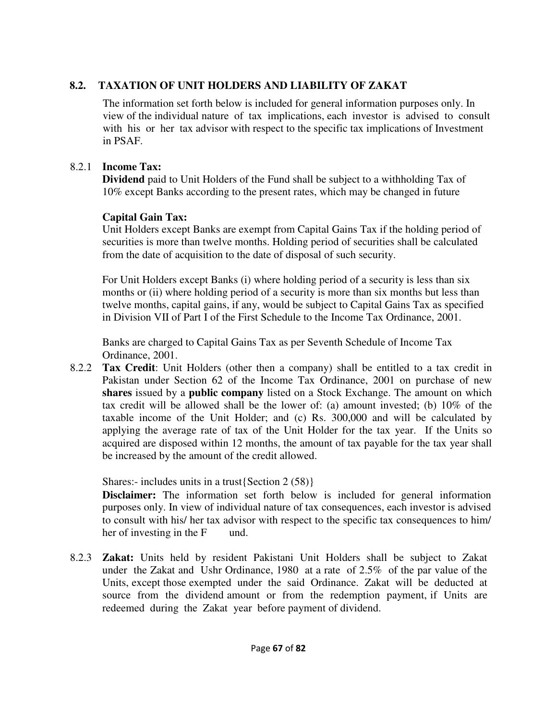## **8.2. TAXATION OF UNIT HOLDERS AND LIABILITY OF ZAKAT**

The information set forth below is included for general information purposes only. In view of the individual nature of tax implications, each investor is advised to consult with his or her tax advisor with respect to the specific tax implications of Investment in PSAF.

## 8.2.1 **Income Tax:**

**Dividend** paid to Unit Holders of the Fund shall be subject to a withholding Tax of 10% except Banks according to the present rates, which may be changed in future

## **Capital Gain Tax:**

Unit Holders except Banks are exempt from Capital Gains Tax if the holding period of securities is more than twelve months. Holding period of securities shall be calculated from the date of acquisition to the date of disposal of such security.

For Unit Holders except Banks (i) where holding period of a security is less than six months or (ii) where holding period of a security is more than six months but less than twelve months, capital gains, if any, would be subject to Capital Gains Tax as specified in Division VII of Part I of the First Schedule to the Income Tax Ordinance, 2001.

Banks are charged to Capital Gains Tax as per Seventh Schedule of Income Tax Ordinance, 2001.

8.2.2 **Tax Credit**: Unit Holders (other then a company) shall be entitled to a tax credit in Pakistan under Section 62 of the Income Tax Ordinance, 2001 on purchase of new **shares** issued by a **public company** listed on a Stock Exchange. The amount on which tax credit will be allowed shall be the lower of: (a) amount invested; (b) 10% of the taxable income of the Unit Holder; and (c) Rs. 300,000 and will be calculated by applying the average rate of tax of the Unit Holder for the tax year. If the Units so acquired are disposed within 12 months, the amount of tax payable for the tax year shall be increased by the amount of the credit allowed.

Shares:- includes units in a trust{Section 2 (58)}

**Disclaimer:** The information set forth below is included for general information purposes only. In view of individual nature of tax consequences, each investor is advised to consult with his/ her tax advisor with respect to the specific tax consequences to him/ her of investing in the F und.

8.2.3 **Zakat:** Units held by resident Pakistani Unit Holders shall be subject to Zakat under the Zakat and Ushr Ordinance, 1980 at a rate of 2.5% of the par value of the Units, except those exempted under the said Ordinance. Zakat will be deducted at source from the dividend amount or from the redemption payment, if Units are redeemed during the Zakat year before payment of dividend.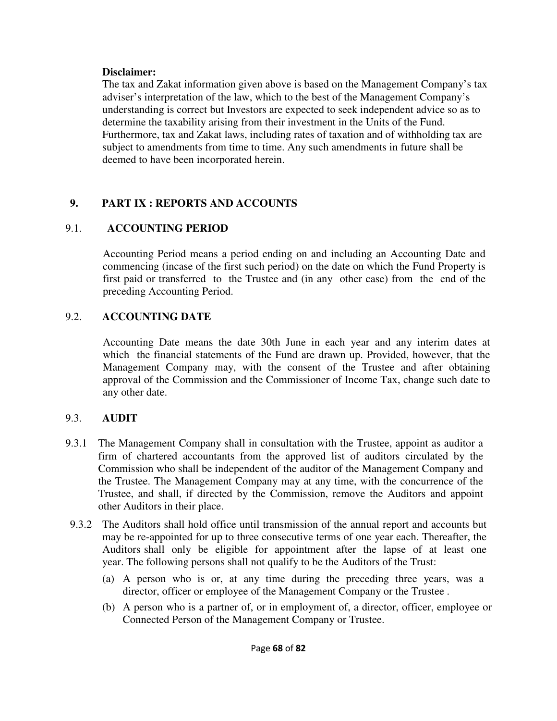#### **Disclaimer:**

The tax and Zakat information given above is based on the Management Company's tax adviser's interpretation of the law, which to the best of the Management Company's understanding is correct but Investors are expected to seek independent advice so as to determine the taxability arising from their investment in the Units of the Fund. Furthermore, tax and Zakat laws, including rates of taxation and of withholding tax are subject to amendments from time to time. Any such amendments in future shall be deemed to have been incorporated herein.

## **9. PART IX : REPORTS AND ACCOUNTS**

## 9.1. **ACCOUNTING PERIOD**

Accounting Period means a period ending on and including an Accounting Date and commencing (incase of the first such period) on the date on which the Fund Property is first paid or transferred to the Trustee and (in any other case) from the end of the preceding Accounting Period.

## 9.2. **ACCOUNTING DATE**

Accounting Date means the date 30th June in each year and any interim dates at which the financial statements of the Fund are drawn up. Provided, however, that the Management Company may, with the consent of the Trustee and after obtaining approval of the Commission and the Commissioner of Income Tax, change such date to any other date.

## 9.3. **AUDIT**

- 9.3.1 The Management Company shall in consultation with the Trustee, appoint as auditor a firm of chartered accountants from the approved list of auditors circulated by the Commission who shall be independent of the auditor of the Management Company and the Trustee. The Management Company may at any time, with the concurrence of the Trustee, and shall, if directed by the Commission, remove the Auditors and appoint other Auditors in their place.
- 9.3.2 The Auditors shall hold office until transmission of the annual report and accounts but may be re-appointed for up to three consecutive terms of one year each. Thereafter, the Auditors shall only be eligible for appointment after the lapse of at least one year. The following persons shall not qualify to be the Auditors of the Trust:
	- (a) A person who is or, at any time during the preceding three years, was a director, officer or employee of the Management Company or the Trustee .
	- (b) A person who is a partner of, or in employment of, a director, officer, employee or Connected Person of the Management Company or Trustee.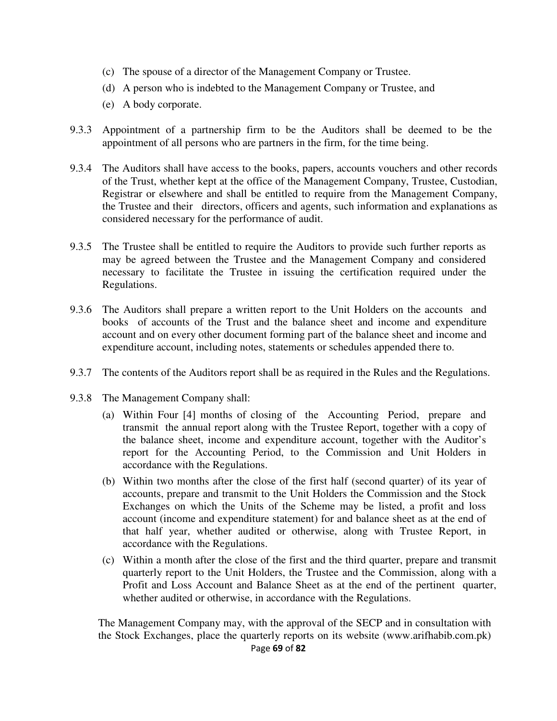- (c) The spouse of a director of the Management Company or Trustee.
- (d) A person who is indebted to the Management Company or Trustee, and
- (e) A body corporate.
- 9.3.3 Appointment of a partnership firm to be the Auditors shall be deemed to be the appointment of all persons who are partners in the firm, for the time being.
- 9.3.4 The Auditors shall have access to the books, papers, accounts vouchers and other records of the Trust, whether kept at the office of the Management Company, Trustee, Custodian, Registrar or elsewhere and shall be entitled to require from the Management Company, the Trustee and their directors, officers and agents, such information and explanations as considered necessary for the performance of audit.
- 9.3.5 The Trustee shall be entitled to require the Auditors to provide such further reports as may be agreed between the Trustee and the Management Company and considered necessary to facilitate the Trustee in issuing the certification required under the Regulations.
- 9.3.6 The Auditors shall prepare a written report to the Unit Holders on the accounts and books of accounts of the Trust and the balance sheet and income and expenditure account and on every other document forming part of the balance sheet and income and expenditure account, including notes, statements or schedules appended there to.
- 9.3.7 The contents of the Auditors report shall be as required in the Rules and the Regulations.
- 9.3.8 The Management Company shall:
	- (a) Within Four [4] months of closing of the Accounting Period, prepare and transmit the annual report along with the Trustee Report, together with a copy of the balance sheet, income and expenditure account, together with the Auditor's report for the Accounting Period, to the Commission and Unit Holders in accordance with the Regulations.
	- (b) Within two months after the close of the first half (second quarter) of its year of accounts, prepare and transmit to the Unit Holders the Commission and the Stock Exchanges on which the Units of the Scheme may be listed, a profit and loss account (income and expenditure statement) for and balance sheet as at the end of that half year, whether audited or otherwise, along with Trustee Report, in accordance with the Regulations.
	- (c) Within a month after the close of the first and the third quarter, prepare and transmit quarterly report to the Unit Holders, the Trustee and the Commission, along with a Profit and Loss Account and Balance Sheet as at the end of the pertinent quarter, whether audited or otherwise, in accordance with the Regulations.

The Management Company may, with the approval of the SECP and in consultation with the Stock Exchanges, place the quarterly reports on its website (www.arifhabib.com.pk)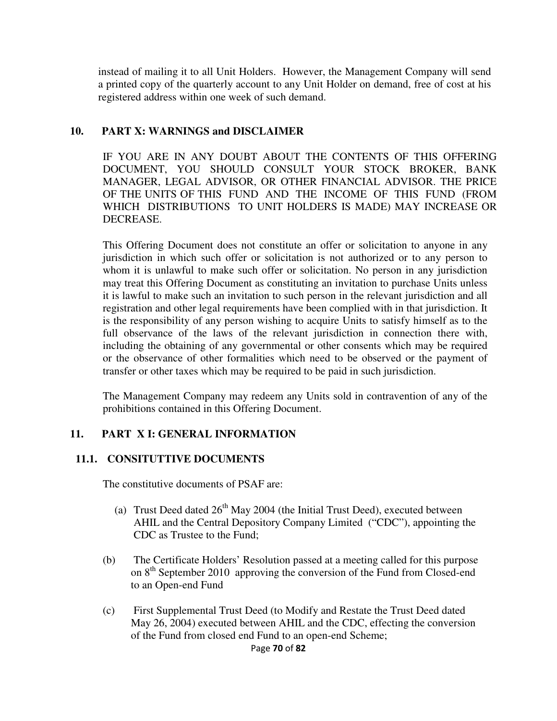instead of mailing it to all Unit Holders. However, the Management Company will send a printed copy of the quarterly account to any Unit Holder on demand, free of cost at his registered address within one week of such demand.

#### **10. PART X: WARNINGS and DISCLAIMER**

IF YOU ARE IN ANY DOUBT ABOUT THE CONTENTS OF THIS OFFERING DOCUMENT, YOU SHOULD CONSULT YOUR STOCK BROKER, BANK MANAGER, LEGAL ADVISOR, OR OTHER FINANCIAL ADVISOR. THE PRICE OF THE UNITS OF THIS FUND AND THE INCOME OF THIS FUND (FROM WHICH DISTRIBUTIONS TO UNIT HOLDERS IS MADE) MAY INCREASE OR DECREASE.

This Offering Document does not constitute an offer or solicitation to anyone in any jurisdiction in which such offer or solicitation is not authorized or to any person to whom it is unlawful to make such offer or solicitation. No person in any jurisdiction may treat this Offering Document as constituting an invitation to purchase Units unless it is lawful to make such an invitation to such person in the relevant jurisdiction and all registration and other legal requirements have been complied with in that jurisdiction. It is the responsibility of any person wishing to acquire Units to satisfy himself as to the full observance of the laws of the relevant jurisdiction in connection there with, including the obtaining of any governmental or other consents which may be required or the observance of other formalities which need to be observed or the payment of transfer or other taxes which may be required to be paid in such jurisdiction.

The Management Company may redeem any Units sold in contravention of any of the prohibitions contained in this Offering Document.

### **11. PART X I: GENERAL INFORMATION**

### **11.1. CONSITUTTIVE DOCUMENTS**

The constitutive documents of PSAF are:

- (a) Trust Deed dated  $26<sup>th</sup>$  May 2004 (the Initial Trust Deed), executed between AHIL and the Central Depository Company Limited ("CDC"), appointing the CDC as Trustee to the Fund;
- (b) The Certificate Holders' Resolution passed at a meeting called for this purpose on  $8<sup>th</sup>$  September 2010 approving the conversion of the Fund from Closed-end to an Open-end Fund
- (c) First Supplemental Trust Deed (to Modify and Restate the Trust Deed dated May 26, 2004) executed between AHIL and the CDC, effecting the conversion of the Fund from closed end Fund to an open-end Scheme;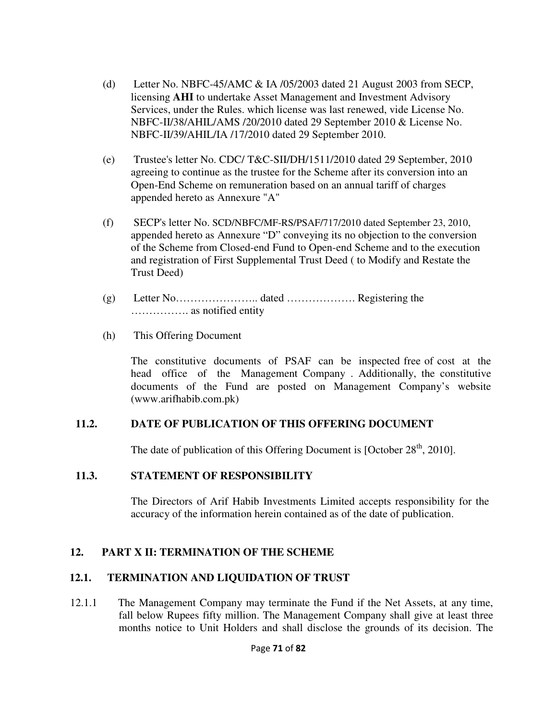- (d) Letter No. NBFC-45/AMC & IA /05/2003 dated 21 August 2003 from SECP, licensing **AHI** to undertake Asset Management and Investment Advisory Services, under the Rules. which license was last renewed, vide License No. NBFC-II/38/AHIL/AMS /20/2010 dated 29 September 2010 & License No. NBFC-II/39/AHIL/IA /17/2010 dated 29 September 2010.
- (e) Trustee's letter No. CDC/ T&C-SII/DH/1511/2010 dated 29 September, 2010 agreeing to continue as the trustee for the Scheme after its conversion into an Open-End Scheme on remuneration based on an annual tariff of charges appended hereto as Annexure "A"
- (f) SECP's letter No. SCD/NBFC/MF-RS/PSAF/717/2010 dated September 23, 2010, appended hereto as Annexure "D" conveying its no objection to the conversion of the Scheme from Closed-end Fund to Open-end Scheme and to the execution and registration of First Supplemental Trust Deed ( to Modify and Restate the Trust Deed)
- (g) Letter No………………….. dated ………………. Registering the ……………. as notified entity
- (h) This Offering Document

The constitutive documents of PSAF can be inspected free of cost at the head office of the Management Company . Additionally, the constitutive documents of the Fund are posted on Management Company's website (www.arifhabib.com.pk)

### **11.2. DATE OF PUBLICATION OF THIS OFFERING DOCUMENT**

The date of publication of this Offering Document is [October  $28<sup>th</sup>$ , 2010].

### **11.3. STATEMENT OF RESPONSIBILITY**

The Directors of Arif Habib Investments Limited accepts responsibility for the accuracy of the information herein contained as of the date of publication.

### **12. PART X II: TERMINATION OF THE SCHEME**

### **12.1. TERMINATION AND LIQUIDATION OF TRUST**

12.1.1 The Management Company may terminate the Fund if the Net Assets, at any time, fall below Rupees fifty million. The Management Company shall give at least three months notice to Unit Holders and shall disclose the grounds of its decision. The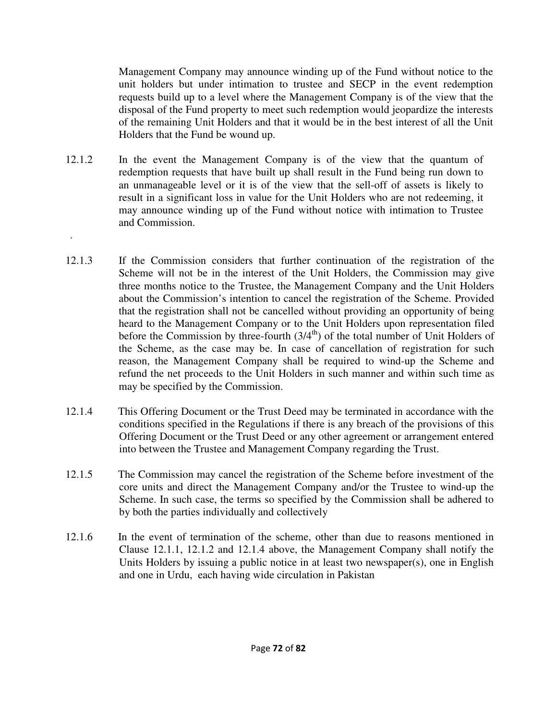Management Company may announce winding up of the Fund without notice to the unit holders but under intimation to trustee and SECP in the event redemption requests build up to a level where the Management Company is of the view that the disposal of the Fund property to meet such redemption would jeopardize the interests of the remaining Unit Holders and that it would be in the best interest of all the Unit Holders that the Fund be wound up.

12.1.2 In the event the Management Company is of the view that the quantum of redemption requests that have built up shall result in the Fund being run down to an unmanageable level or it is of the view that the sell-off of assets is likely to result in a significant loss in value for the Unit Holders who are not redeeming, it may announce winding up of the Fund without notice with intimation to Trustee and Commission.

.

- 12.1.3 If the Commission considers that further continuation of the registration of the Scheme will not be in the interest of the Unit Holders, the Commission may give three months notice to the Trustee, the Management Company and the Unit Holders about the Commission's intention to cancel the registration of the Scheme. Provided that the registration shall not be cancelled without providing an opportunity of being heard to the Management Company or to the Unit Holders upon representation filed before the Commission by three-fourth  $(3/4<sup>th</sup>)$  of the total number of Unit Holders of the Scheme, as the case may be. In case of cancellation of registration for such reason, the Management Company shall be required to wind-up the Scheme and refund the net proceeds to the Unit Holders in such manner and within such time as may be specified by the Commission.
- 12.1.4 This Offering Document or the Trust Deed may be terminated in accordance with the conditions specified in the Regulations if there is any breach of the provisions of this Offering Document or the Trust Deed or any other agreement or arrangement entered into between the Trustee and Management Company regarding the Trust.
- 12.1.5 The Commission may cancel the registration of the Scheme before investment of the core units and direct the Management Company and/or the Trustee to wind-up the Scheme. In such case, the terms so specified by the Commission shall be adhered to by both the parties individually and collectively
- 12.1.6 In the event of termination of the scheme, other than due to reasons mentioned in Clause 12.1.1, 12.1.2 and 12.1.4 above, the Management Company shall notify the Units Holders by issuing a public notice in at least two newspaper $(s)$ , one in English and one in Urdu, each having wide circulation in Pakistan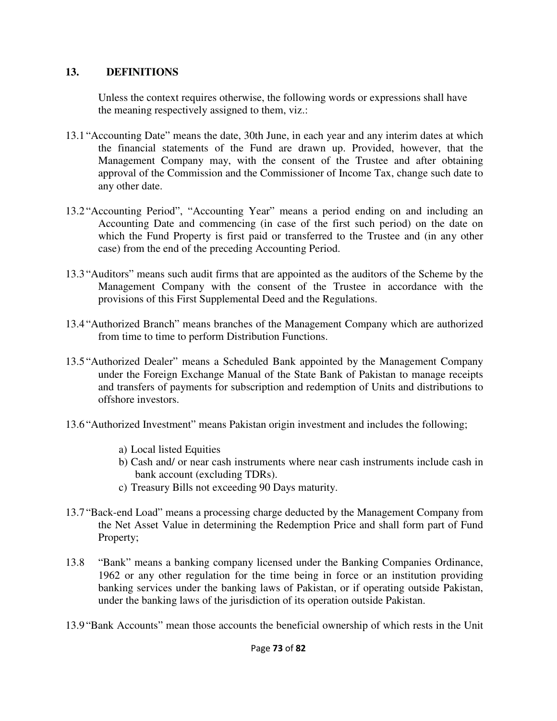### **13. DEFINITIONS**

Unless the context requires otherwise, the following words or expressions shall have the meaning respectively assigned to them, viz.:

- 13.1 "Accounting Date" means the date, 30th June, in each year and any interim dates at which the financial statements of the Fund are drawn up. Provided, however, that the Management Company may, with the consent of the Trustee and after obtaining approval of the Commission and the Commissioner of Income Tax, change such date to any other date.
- 13.2 "Accounting Period", "Accounting Year" means a period ending on and including an Accounting Date and commencing (in case of the first such period) on the date on which the Fund Property is first paid or transferred to the Trustee and (in any other case) from the end of the preceding Accounting Period.
- 13.3 "Auditors" means such audit firms that are appointed as the auditors of the Scheme by the Management Company with the consent of the Trustee in accordance with the provisions of this First Supplemental Deed and the Regulations.
- 13.4 "Authorized Branch" means branches of the Management Company which are authorized from time to time to perform Distribution Functions.
- 13.5 "Authorized Dealer" means a Scheduled Bank appointed by the Management Company under the Foreign Exchange Manual of the State Bank of Pakistan to manage receipts and transfers of payments for subscription and redemption of Units and distributions to offshore investors.
- 13.6 "Authorized Investment" means Pakistan origin investment and includes the following;
	- a) Local listed Equities
	- b) Cash and/ or near cash instruments where near cash instruments include cash in bank account (excluding TDRs).
	- c) Treasury Bills not exceeding 90 Days maturity.
- 13.7 "Back-end Load" means a processing charge deducted by the Management Company from the Net Asset Value in determining the Redemption Price and shall form part of Fund Property;
- 13.8 "Bank" means a banking company licensed under the Banking Companies Ordinance, 1962 or any other regulation for the time being in force or an institution providing banking services under the banking laws of Pakistan, or if operating outside Pakistan, under the banking laws of the jurisdiction of its operation outside Pakistan.
- 13.9 "Bank Accounts" mean those accounts the beneficial ownership of which rests in the Unit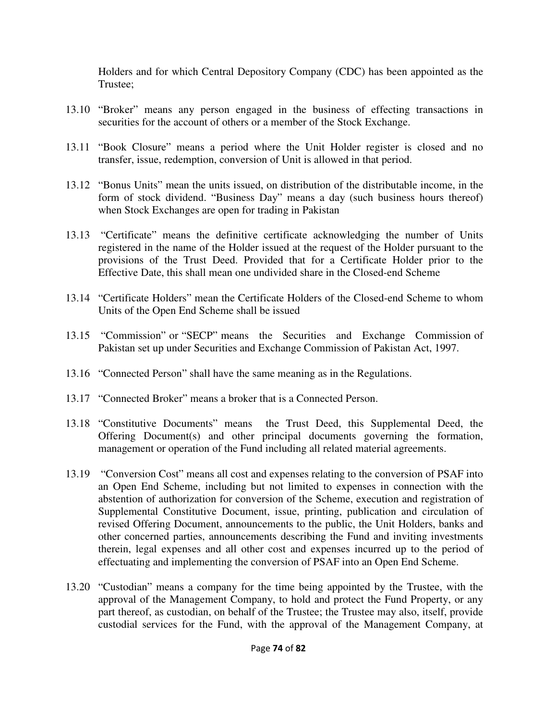Holders and for which Central Depository Company (CDC) has been appointed as the Trustee;

- 13.10 "Broker" means any person engaged in the business of effecting transactions in securities for the account of others or a member of the Stock Exchange.
- 13.11 "Book Closure" means a period where the Unit Holder register is closed and no transfer, issue, redemption, conversion of Unit is allowed in that period.
- 13.12 "Bonus Units" mean the units issued, on distribution of the distributable income, in the form of stock dividend. "Business Day" means a day (such business hours thereof) when Stock Exchanges are open for trading in Pakistan
- 13.13 "Certificate" means the definitive certificate acknowledging the number of Units registered in the name of the Holder issued at the request of the Holder pursuant to the provisions of the Trust Deed. Provided that for a Certificate Holder prior to the Effective Date, this shall mean one undivided share in the Closed-end Scheme
- 13.14 "Certificate Holders" mean the Certificate Holders of the Closed-end Scheme to whom Units of the Open End Scheme shall be issued
- 13.15 "Commission" or "SECP" means the Securities and Exchange Commission of Pakistan set up under Securities and Exchange Commission of Pakistan Act, 1997.
- 13.16 "Connected Person" shall have the same meaning as in the Regulations.
- 13.17 "Connected Broker" means a broker that is a Connected Person.
- 13.18 "Constitutive Documents" means the Trust Deed, this Supplemental Deed, the Offering Document(s) and other principal documents governing the formation, management or operation of the Fund including all related material agreements.
- 13.19 "Conversion Cost" means all cost and expenses relating to the conversion of PSAF into an Open End Scheme, including but not limited to expenses in connection with the abstention of authorization for conversion of the Scheme, execution and registration of Supplemental Constitutive Document, issue, printing, publication and circulation of revised Offering Document, announcements to the public, the Unit Holders, banks and other concerned parties, announcements describing the Fund and inviting investments therein, legal expenses and all other cost and expenses incurred up to the period of effectuating and implementing the conversion of PSAF into an Open End Scheme.
- 13.20 "Custodian" means a company for the time being appointed by the Trustee, with the approval of the Management Company, to hold and protect the Fund Property, or any part thereof, as custodian, on behalf of the Trustee; the Trustee may also, itself, provide custodial services for the Fund, with the approval of the Management Company, at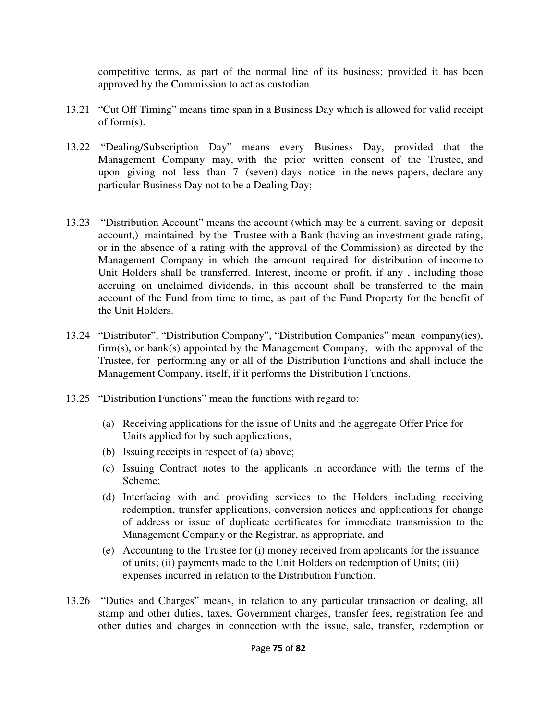competitive terms, as part of the normal line of its business; provided it has been approved by the Commission to act as custodian.

- 13.21 "Cut Off Timing" means time span in a Business Day which is allowed for valid receipt of form(s).
- 13.22 "Dealing/Subscription Day" means every Business Day, provided that the Management Company may, with the prior written consent of the Trustee, and upon giving not less than 7 (seven) days notice in the news papers, declare any particular Business Day not to be a Dealing Day;
- 13.23 "Distribution Account" means the account (which may be a current, saving or deposit account,) maintained by the Trustee with a Bank (having an investment grade rating, or in the absence of a rating with the approval of the Commission) as directed by the Management Company in which the amount required for distribution of income to Unit Holders shall be transferred. Interest, income or profit, if any , including those accruing on unclaimed dividends, in this account shall be transferred to the main account of the Fund from time to time, as part of the Fund Property for the benefit of the Unit Holders.
- 13.24 "Distributor", "Distribution Company", "Distribution Companies" mean company(ies), firm(s), or bank(s) appointed by the Management Company, with the approval of the Trustee, for performing any or all of the Distribution Functions and shall include the Management Company, itself, if it performs the Distribution Functions.
- 13.25 "Distribution Functions" mean the functions with regard to:
	- (a) Receiving applications for the issue of Units and the aggregate Offer Price for Units applied for by such applications;
	- (b) Issuing receipts in respect of (a) above;
	- (c) Issuing Contract notes to the applicants in accordance with the terms of the Scheme;
	- (d) Interfacing with and providing services to the Holders including receiving redemption, transfer applications, conversion notices and applications for change of address or issue of duplicate certificates for immediate transmission to the Management Company or the Registrar, as appropriate, and
	- (e) Accounting to the Trustee for (i) money received from applicants for the issuance of units; (ii) payments made to the Unit Holders on redemption of Units; (iii) expenses incurred in relation to the Distribution Function.
- 13.26 "Duties and Charges" means, in relation to any particular transaction or dealing, all stamp and other duties, taxes, Government charges, transfer fees, registration fee and other duties and charges in connection with the issue, sale, transfer, redemption or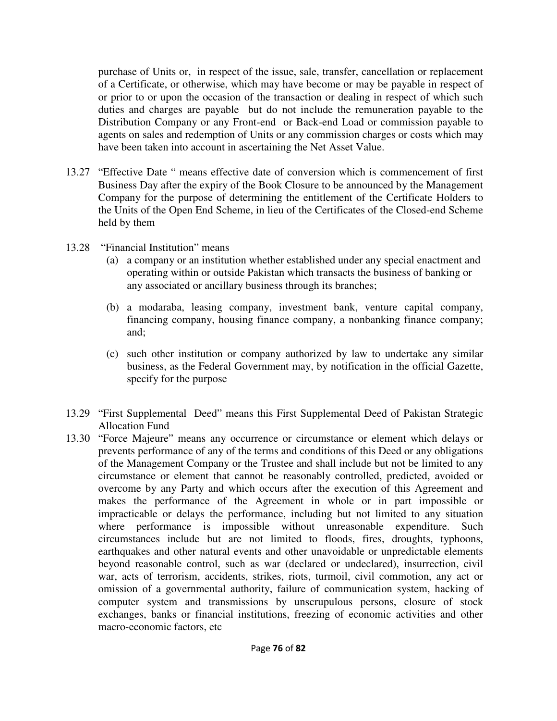purchase of Units or, in respect of the issue, sale, transfer, cancellation or replacement of a Certificate, or otherwise, which may have become or may be payable in respect of or prior to or upon the occasion of the transaction or dealing in respect of which such duties and charges are payable but do not include the remuneration payable to the Distribution Company or any Front-end or Back-end Load or commission payable to agents on sales and redemption of Units or any commission charges or costs which may have been taken into account in ascertaining the Net Asset Value.

- 13.27 "Effective Date " means effective date of conversion which is commencement of first Business Day after the expiry of the Book Closure to be announced by the Management Company for the purpose of determining the entitlement of the Certificate Holders to the Units of the Open End Scheme, in lieu of the Certificates of the Closed-end Scheme held by them
- 13.28 "Financial Institution" means
	- (a) a company or an institution whether established under any special enactment and operating within or outside Pakistan which transacts the business of banking or any associated or ancillary business through its branches;
	- (b) a modaraba, leasing company, investment bank, venture capital company, financing company, housing finance company, a nonbanking finance company; and;
	- (c) such other institution or company authorized by law to undertake any similar business, as the Federal Government may, by notification in the official Gazette, specify for the purpose
- 13.29 "First Supplemental Deed" means this First Supplemental Deed of Pakistan Strategic Allocation Fund
- 13.30 "Force Majeure" means any occurrence or circumstance or element which delays or prevents performance of any of the terms and conditions of this Deed or any obligations of the Management Company or the Trustee and shall include but not be limited to any circumstance or element that cannot be reasonably controlled, predicted, avoided or overcome by any Party and which occurs after the execution of this Agreement and makes the performance of the Agreement in whole or in part impossible or impracticable or delays the performance, including but not limited to any situation where performance is impossible without unreasonable expenditure. Such circumstances include but are not limited to floods, fires, droughts, typhoons, earthquakes and other natural events and other unavoidable or unpredictable elements beyond reasonable control, such as war (declared or undeclared), insurrection, civil war, acts of terrorism, accidents, strikes, riots, turmoil, civil commotion, any act or omission of a governmental authority, failure of communication system, hacking of computer system and transmissions by unscrupulous persons, closure of stock exchanges, banks or financial institutions, freezing of economic activities and other macro-economic factors, etc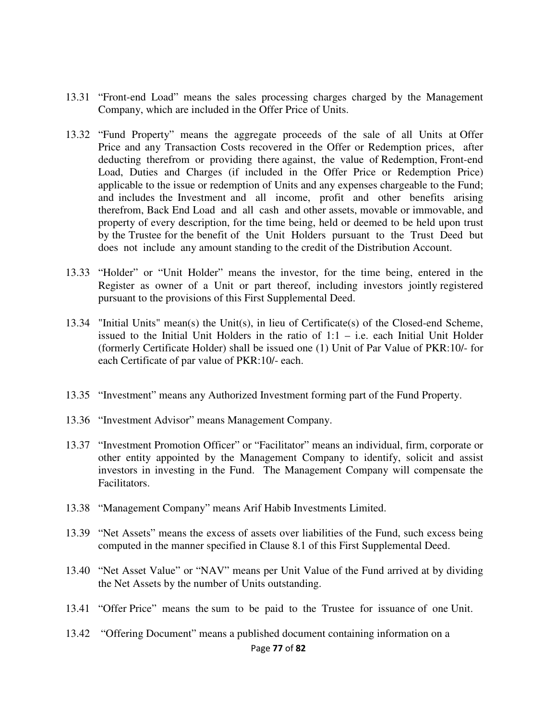- 13.31 "Front-end Load" means the sales processing charges charged by the Management Company, which are included in the Offer Price of Units.
- 13.32 "Fund Property" means the aggregate proceeds of the sale of all Units at Offer Price and any Transaction Costs recovered in the Offer or Redemption prices, after deducting therefrom or providing there against, the value of Redemption, Front-end Load, Duties and Charges (if included in the Offer Price or Redemption Price) applicable to the issue or redemption of Units and any expenses chargeable to the Fund; and includes the Investment and all income, profit and other benefits arising therefrom, Back End Load and all cash and other assets, movable or immovable, and property of every description, for the time being, held or deemed to be held upon trust by the Trustee for the benefit of the Unit Holders pursuant to the Trust Deed but does not include any amount standing to the credit of the Distribution Account.
- 13.33 "Holder" or "Unit Holder" means the investor, for the time being, entered in the Register as owner of a Unit or part thereof, including investors jointly registered pursuant to the provisions of this First Supplemental Deed.
- 13.34 "Initial Units" mean(s) the Unit(s), in lieu of Certificate(s) of the Closed-end Scheme, issued to the Initial Unit Holders in the ratio of  $1:1 - i.e.$  each Initial Unit Holder (formerly Certificate Holder) shall be issued one (1) Unit of Par Value of PKR:10/- for each Certificate of par value of PKR:10/- each.
- 13.35 "Investment" means any Authorized Investment forming part of the Fund Property.
- 13.36 "Investment Advisor" means Management Company.
- 13.37 "Investment Promotion Officer" or "Facilitator" means an individual, firm, corporate or other entity appointed by the Management Company to identify, solicit and assist investors in investing in the Fund. The Management Company will compensate the Facilitators.
- 13.38 "Management Company" means Arif Habib Investments Limited.
- 13.39 "Net Assets" means the excess of assets over liabilities of the Fund, such excess being computed in the manner specified in Clause 8.1 of this First Supplemental Deed.
- 13.40 "Net Asset Value" or "NAV" means per Unit Value of the Fund arrived at by dividing the Net Assets by the number of Units outstanding.
- 13.41 "Offer Price" means the sum to be paid to the Trustee for issuance of one Unit.
- Page **77** of **82** 13.42 "Offering Document" means a published document containing information on a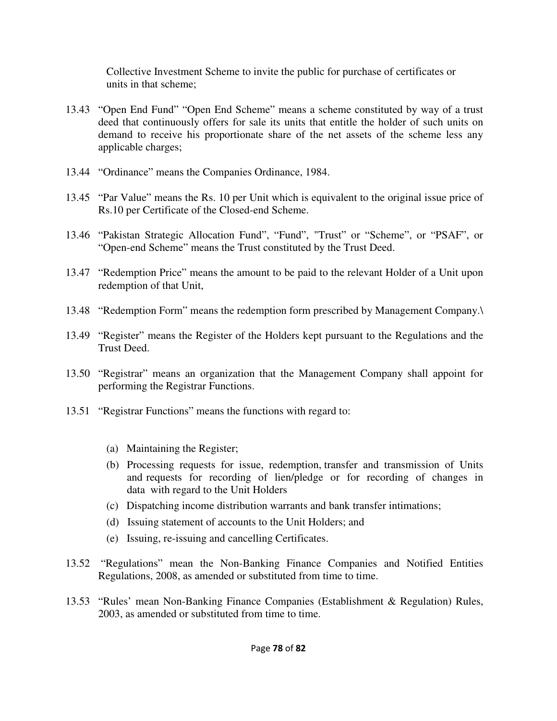Collective Investment Scheme to invite the public for purchase of certificates or units in that scheme;

- 13.43 "Open End Fund" "Open End Scheme" means a scheme constituted by way of a trust deed that continuously offers for sale its units that entitle the holder of such units on demand to receive his proportionate share of the net assets of the scheme less any applicable charges;
- 13.44 "Ordinance" means the Companies Ordinance, 1984.
- 13.45 "Par Value" means the Rs. 10 per Unit which is equivalent to the original issue price of Rs.10 per Certificate of the Closed-end Scheme.
- 13.46 "Pakistan Strategic Allocation Fund", "Fund", "Trust" or "Scheme", or "PSAF", or "Open-end Scheme" means the Trust constituted by the Trust Deed.
- 13.47 "Redemption Price" means the amount to be paid to the relevant Holder of a Unit upon redemption of that Unit,
- 13.48 "Redemption Form" means the redemption form prescribed by Management Company.\
- 13.49 "Register" means the Register of the Holders kept pursuant to the Regulations and the Trust Deed.
- 13.50 "Registrar" means an organization that the Management Company shall appoint for performing the Registrar Functions.
- 13.51 "Registrar Functions" means the functions with regard to:
	- (a) Maintaining the Register;
	- (b) Processing requests for issue, redemption, transfer and transmission of Units and requests for recording of lien/pledge or for recording of changes in data with regard to the Unit Holders
	- (c) Dispatching income distribution warrants and bank transfer intimations;
	- (d) Issuing statement of accounts to the Unit Holders; and
	- (e) Issuing, re-issuing and cancelling Certificates.
- 13.52 "Regulations" mean the Non-Banking Finance Companies and Notified Entities Regulations, 2008, as amended or substituted from time to time.
- 13.53 "Rules' mean Non-Banking Finance Companies (Establishment & Regulation) Rules, 2003, as amended or substituted from time to time.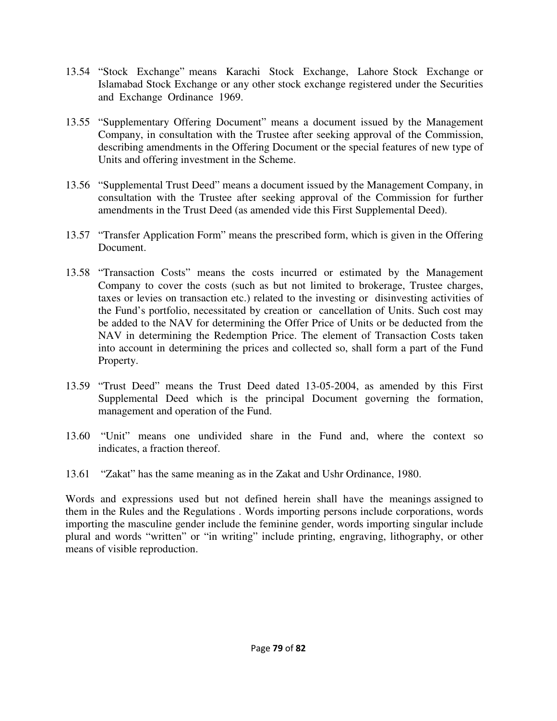- 13.54 "Stock Exchange" means Karachi Stock Exchange, Lahore Stock Exchange or Islamabad Stock Exchange or any other stock exchange registered under the Securities and Exchange Ordinance 1969.
- 13.55 "Supplementary Offering Document" means a document issued by the Management Company, in consultation with the Trustee after seeking approval of the Commission, describing amendments in the Offering Document or the special features of new type of Units and offering investment in the Scheme.
- 13.56 "Supplemental Trust Deed" means a document issued by the Management Company, in consultation with the Trustee after seeking approval of the Commission for further amendments in the Trust Deed (as amended vide this First Supplemental Deed).
- 13.57 "Transfer Application Form" means the prescribed form, which is given in the Offering Document.
- 13.58 "Transaction Costs" means the costs incurred or estimated by the Management Company to cover the costs (such as but not limited to brokerage, Trustee charges, taxes or levies on transaction etc.) related to the investing or disinvesting activities of the Fund's portfolio, necessitated by creation or cancellation of Units. Such cost may be added to the NAV for determining the Offer Price of Units or be deducted from the NAV in determining the Redemption Price. The element of Transaction Costs taken into account in determining the prices and collected so, shall form a part of the Fund Property.
- 13.59 "Trust Deed" means the Trust Deed dated 13-05-2004, as amended by this First Supplemental Deed which is the principal Document governing the formation, management and operation of the Fund.
- 13.60 "Unit" means one undivided share in the Fund and, where the context so indicates, a fraction thereof.
- 13.61 "Zakat" has the same meaning as in the Zakat and Ushr Ordinance, 1980.

Words and expressions used but not defined herein shall have the meanings assigned to them in the Rules and the Regulations . Words importing persons include corporations, words importing the masculine gender include the feminine gender, words importing singular include plural and words "written" or "in writing" include printing, engraving, lithography, or other means of visible reproduction.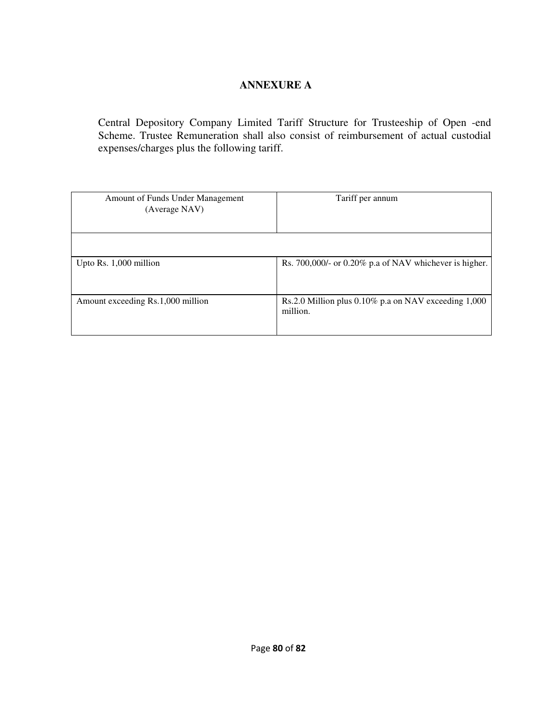# **ANNEXURE A**

Central Depository Company Limited Tariff Structure for Trusteeship of Open -end Scheme. Trustee Remuneration shall also consist of reimbursement of actual custodial expenses/charges plus the following tariff.

| Amount of Funds Under Management<br>(Average NAV) | Tariff per annum                                                      |
|---------------------------------------------------|-----------------------------------------------------------------------|
|                                                   |                                                                       |
| Upto Rs. 1,000 million                            | Rs. 700,000/- or 0.20% p.a of NAV whichever is higher.                |
| Amount exceeding Rs.1,000 million                 | Rs.2.0 Million plus $0.10\%$ p.a on NAV exceeding $1,000$<br>million. |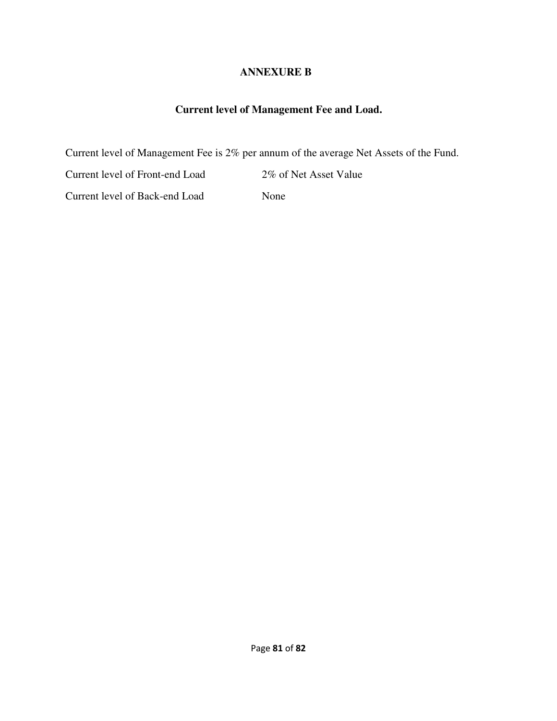### **ANNEXURE B**

## **Current level of Management Fee and Load.**

Current level of Management Fee is 2% per annum of the average Net Assets of the Fund.

Current level of Front-end Load 2% of Net Asset Value

Current level of Back-end Load None